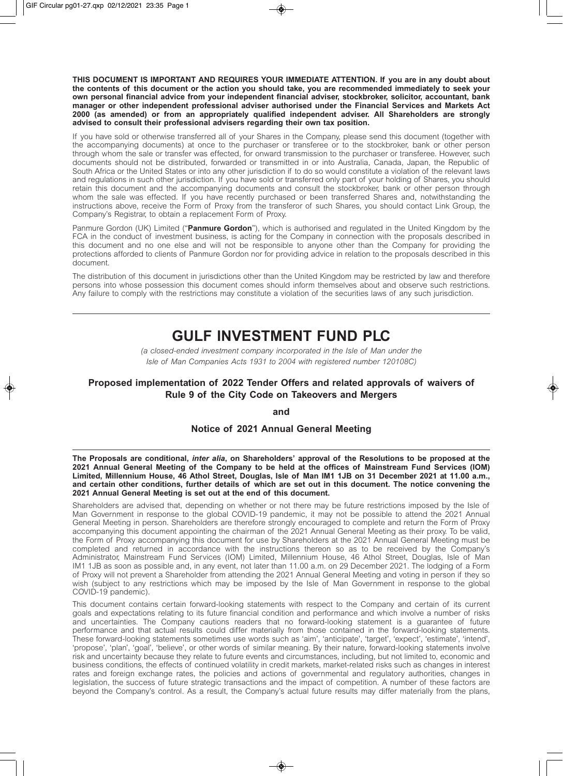**THIS DOCUMENT IS IMPORTANT AND REQUIRES YOUR IMMEDIATE ATTENTION. If you are in any doubt about the contents of this document or the action you should take, you are recommended immediately to seek your own personal financial advice from your independent financial adviser, stockbroker, solicitor, accountant, bank manager or other independent professional adviser authorised under the Financial Services and Markets Act 2000 (as amended) or from an appropriately qualified independent adviser. All Shareholders are strongly advised to consult their professional advisers regarding their own tax position.** 

If you have sold or otherwise transferred all of your Shares in the Company, please send this document (together with the accompanying documents) at once to the purchaser or transferee or to the stockbroker, bank or other person through whom the sale or transfer was effected, for onward transmission to the purchaser or transferee. However, such documents should not be distributed, forwarded or transmitted in or into Australia, Canada, Japan, the Republic of South Africa or the United States or into any other jurisdiction if to do so would constitute a violation of the relevant laws and regulations in such other jurisdiction. If you have sold or transferred only part of your holding of Shares, you should retain this document and the accompanying documents and consult the stockbroker, bank or other person through whom the sale was effected. If you have recently purchased or been transferred Shares and, notwithstanding the instructions above, receive the Form of Proxy from the transferor of such Shares, you should contact Link Group, the Company's Registrar, to obtain a replacement Form of Proxy.

Panmure Gordon (UK) Limited ("**Panmure Gordon**"), which is authorised and regulated in the United Kingdom by the FCA in the conduct of investment business, is acting for the Company in connection with the proposals described in this document and no one else and will not be responsible to anyone other than the Company for providing the protections afforded to clients of Panmure Gordon nor for providing advice in relation to the proposals described in this document.

The distribution of this document in jurisdictions other than the United Kingdom may be restricted by law and therefore persons into whose possession this document comes should inform themselves about and observe such restrictions. Any failure to comply with the restrictions may constitute a violation of the securities laws of any such jurisdiction.

# **GULF INVESTMENT FUND PLC**

*(a closed-ended investment company incorporated in the Isle of Man under the Isle of Man Companies Acts 1931 to 2004 with registered number 120108C)* 

# **Proposed implementation of 2022 Tender Offers and related approvals of waivers of Rule 9 of the City Code on Takeovers and Mergers**

**and** 

#### **Notice of 2021 Annual General Meeting**

**The Proposals are conditional,** *inter alia***, on Shareholders' approval of the Resolutions to be proposed at the 2021 Annual General Meeting of the Company to be held at the offices of Mainstream Fund Services (IOM) Limited, Millennium House, 46 Athol Street, Douglas, Isle of Man IM1 1JB on 31 December 2021 at 11.00 a.m., and certain other conditions, further details of which are set out in this document. The notice convening the 2021 Annual General Meeting is set out at the end of this document.** 

Shareholders are advised that, depending on whether or not there may be future restrictions imposed by the Isle of Man Government in response to the global COVID-19 pandemic, it may not be possible to attend the 2021 Annual General Meeting in person. Shareholders are therefore strongly encouraged to complete and return the Form of Proxy accompanying this document appointing the chairman of the 2021 Annual General Meeting as their proxy. To be valid, the Form of Proxy accompanying this document for use by Shareholders at the 2021 Annual General Meeting must be completed and returned in accordance with the instructions thereon so as to be received by the Company's Administrator, Mainstream Fund Services (IOM) Limited, Millennium House, 46 Athol Street, Douglas, Isle of Man IM1 1JB as soon as possible and, in any event, not later than 11.00 a.m. on 29 December 2021. The lodging of a Form of Proxy will not prevent a Shareholder from attending the 2021 Annual General Meeting and voting in person if they so wish (subject to any restrictions which may be imposed by the Isle of Man Government in response to the global COVID-19 pandemic).

This document contains certain forward-looking statements with respect to the Company and certain of its current goals and expectations relating to its future financial condition and performance and which involve a number of risks and uncertainties. The Company cautions readers that no forward-looking statement is a guarantee of future performance and that actual results could differ materially from those contained in the forward-looking statements. These forward-looking statements sometimes use words such as 'aim', 'anticipate', 'target', 'expect', 'estimate', 'intend', 'propose', 'plan', 'goal', 'believe', or other words of similar meaning. By their nature, forward-looking statements involve risk and uncertainty because they relate to future events and circumstances, including, but not limited to, economic and business conditions, the effects of continued volatility in credit markets, market-related risks such as changes in interest rates and foreign exchange rates, the policies and actions of governmental and regulatory authorities, changes in legislation, the success of future strategic transactions and the impact of competition. A number of these factors are beyond the Company's control. As a result, the Company's actual future results may differ materially from the plans,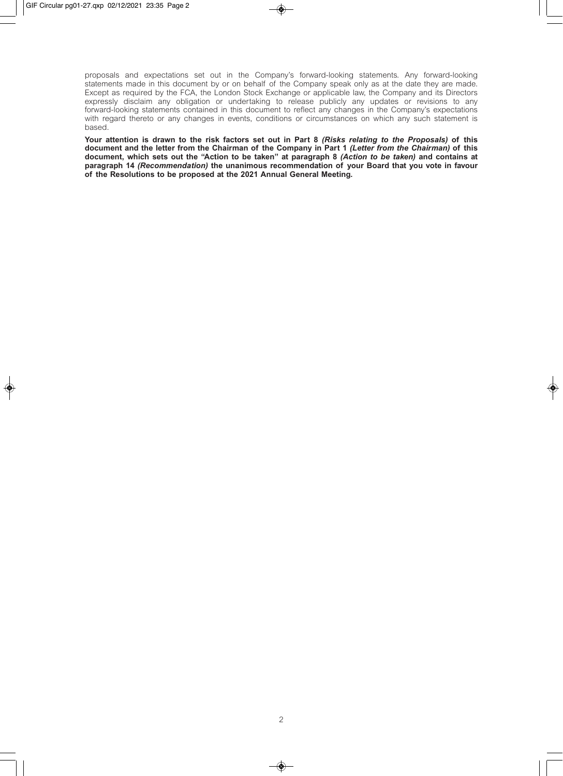proposals and expectations set out in the Company's forward-looking statements. Any forward-looking statements made in this document by or on behalf of the Company speak only as at the date they are made. Except as required by the FCA, the London Stock Exchange or applicable law, the Company and its Directors expressly disclaim any obligation or undertaking to release publicly any updates or revisions to any forward-looking statements contained in this document to reflect any changes in the Company's expectations with regard thereto or any changes in events, conditions or circumstances on which any such statement is based.

**Your attention is drawn to the risk factors set out in Part 8** *(Risks relating to the Proposals)* **of this document and the letter from the Chairman of the Company in Part 1** *(Letter from the Chairman)* **of this document, which sets out the "Action to be taken" at paragraph 8** *(Action to be taken)* **and contains at paragraph 14** *(Recommendation)* **the unanimous recommendation of your Board that you vote in favour of the Resolutions to be proposed at the 2021 Annual General Meeting.**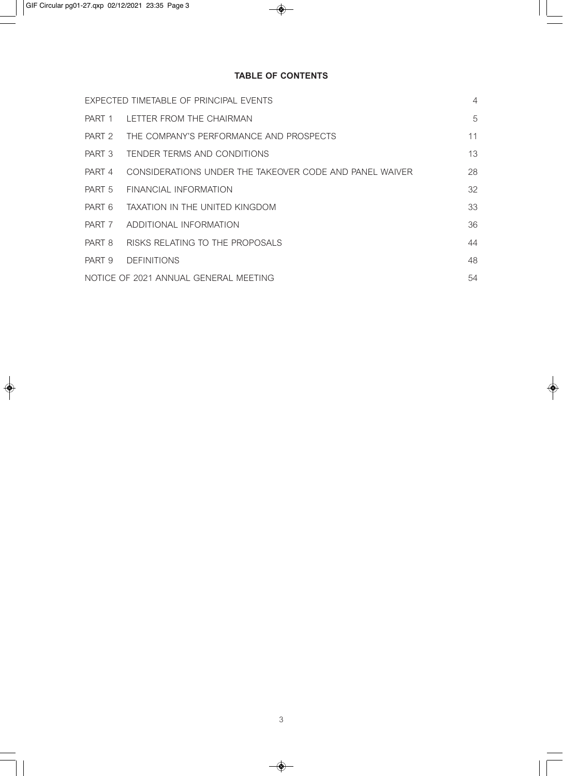# **TABLE OF CONTENTS**

|        | EXPECTED TIMETABLE OF PRINCIPAL EVENTS                  | $\overline{4}$ |
|--------|---------------------------------------------------------|----------------|
| PART 1 | <b>I FTTER FROM THE CHAIRMAN</b>                        | 5              |
| PART 2 | THE COMPANY'S PERFORMANCE AND PROSPECTS                 | 11             |
| PART 3 | <b>TENDER TERMS AND CONDITIONS</b>                      | 13             |
| PART 4 | CONSIDERATIONS UNDER THE TAKEOVER CODE AND PANEL WAIVER | 28             |
| PART 5 | FINANCIAL INFORMATION                                   | 32             |
| PART 6 | TAXATION IN THE UNITED KINGDOM                          | 33             |
| PART 7 | ADDITIONAL INFORMATION                                  | 36             |
| PART 8 | RISKS RELATING TO THE PROPOSALS                         | 44             |
| PART 9 | <b>DEFINITIONS</b>                                      | 48             |
|        | NOTICE OF 2021 ANNUAL GENERAL MEETING                   | 54             |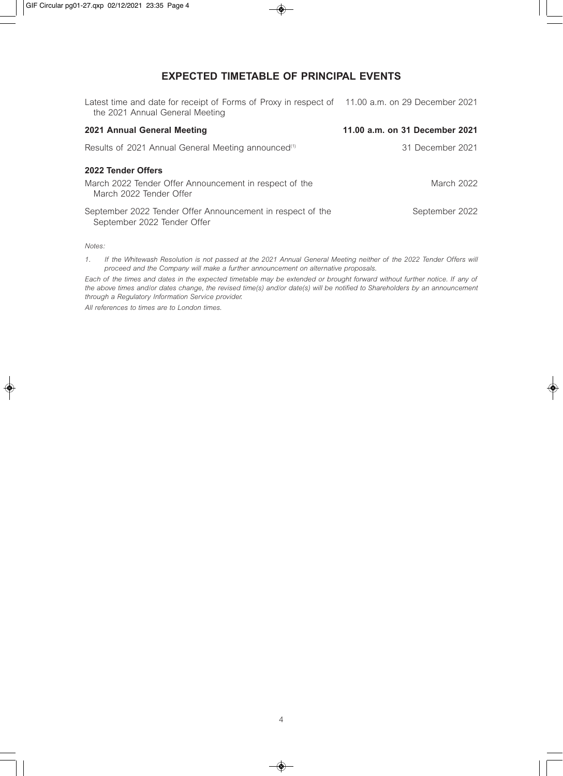# **EXPECTED TIMETABLE OF PRINCIPAL EVENTS**

| Latest time and date for receipt of Forms of Proxy in respect of 11.00 a.m. on 29 December 2021<br>the 2021 Annual General Meeting |                                |
|------------------------------------------------------------------------------------------------------------------------------------|--------------------------------|
| 2021 Annual General Meeting                                                                                                        | 11.00 a.m. on 31 December 2021 |
| Results of 2021 Annual General Meeting announced <sup>(1)</sup>                                                                    | 31 December 2021               |
| 2022 Tender Offers                                                                                                                 |                                |
| March 2022 Tender Offer Announcement in respect of the                                                                             | March 2022                     |

September 2022 Tender Offer Announcement in respect of the September 2022 September 2022 Tender Offer

*Notes:* 

*1. If the Whitewash Resolution is not passed at the 2021 Annual General Meeting neither of the 2022 Tender Offers will proceed and the Company will make a further announcement on alternative proposals.* 

*Each of the times and dates in the expected timetable may be extended or brought forward without further notice. If any of the above times and/or dates change, the revised time(s) and/or date(s) will be notified to Shareholders by an announcement through a Regulatory Information Service provider.* 

*All references to times are to London times.* 

March 2022 Tender Offer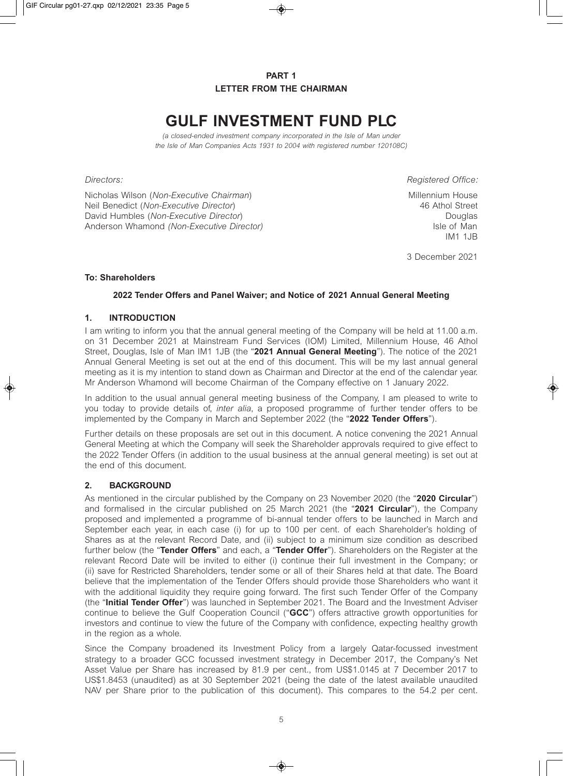## **PART 1 LETTER FROM THE CHAIRMAN**

# **GULF INVESTMENT FUND PLC**

*(a closed-ended investment company incorporated in the Isle of Man under the Isle of Man Companies Acts 1931 to 2004 with registered number 120108C)* 

Nicholas Wilson (*Non-Executive Chairman*) Millennium House<br>
Neil Benedict (*Non-Executive Director*) 46 Athol Street Neil Benedict (*Non-Executive Director*) 46 Athol Street David Humbles (*Non-Executive Director*)<br>
Anderson Whamond *(Non-Executive Director)* Show than the state of Man Anderson Whamond *(Non-Executive Director)* Isle of Man<br>IM1 1.IR

*Directors: Registered Office:* 

IM1 1JB

3 December 2021

## **To: Shareholders**

## **2022 Tender Offers and Panel Waiver; and Notice of 2021 Annual General Meeting**

## **1. INTRODUCTION**

I am writing to inform you that the annual general meeting of the Company will be held at 11.00 a.m. on 31 December 2021 at Mainstream Fund Services (IOM) Limited, Millennium House, 46 Athol Street, Douglas, Isle of Man IM1 1JB (the "**2021 Annual General Meeting**"). The notice of the 2021 Annual General Meeting is set out at the end of this document. This will be my last annual general meeting as it is my intention to stand down as Chairman and Director at the end of the calendar year. Mr Anderson Whamond will become Chairman of the Company effective on 1 January 2022.

In addition to the usual annual general meeting business of the Company, I am pleased to write to you today to provide details of, *inter alia*, a proposed programme of further tender offers to be implemented by the Company in March and September 2022 (the "**2022 Tender Offers**").

Further details on these proposals are set out in this document. A notice convening the 2021 Annual General Meeting at which the Company will seek the Shareholder approvals required to give effect to the 2022 Tender Offers (in addition to the usual business at the annual general meeting) is set out at the end of this document.

#### **2. BACKGROUND**

As mentioned in the circular published by the Company on 23 November 2020 (the "**2020 Circular**") and formalised in the circular published on 25 March 2021 (the "**2021 Circular**"), the Company proposed and implemented a programme of bi-annual tender offers to be launched in March and September each year, in each case (i) for up to 100 per cent. of each Shareholder's holding of Shares as at the relevant Record Date, and (ii) subject to a minimum size condition as described further below (the "**Tender Offers**" and each, a "**Tender Offer**"). Shareholders on the Register at the relevant Record Date will be invited to either (i) continue their full investment in the Company; or (ii) save for Restricted Shareholders, tender some or all of their Shares held at that date. The Board believe that the implementation of the Tender Offers should provide those Shareholders who want it with the additional liquidity they require going forward. The first such Tender Offer of the Company (the "**Initial Tender Offer**") was launched in September 2021. The Board and the Investment Adviser continue to believe the Gulf Cooperation Council ("**GCC**") offers attractive growth opportunities for investors and continue to view the future of the Company with confidence, expecting healthy growth in the region as a whole.

Since the Company broadened its Investment Policy from a largely Qatar-focussed investment strategy to a broader GCC focussed investment strategy in December 2017, the Company's Net Asset Value per Share has increased by 81.9 per cent., from US\$1.0145 at 7 December 2017 to US\$1.8453 (unaudited) as at 30 September 2021 (being the date of the latest available unaudited NAV per Share prior to the publication of this document). This compares to the 54.2 per cent.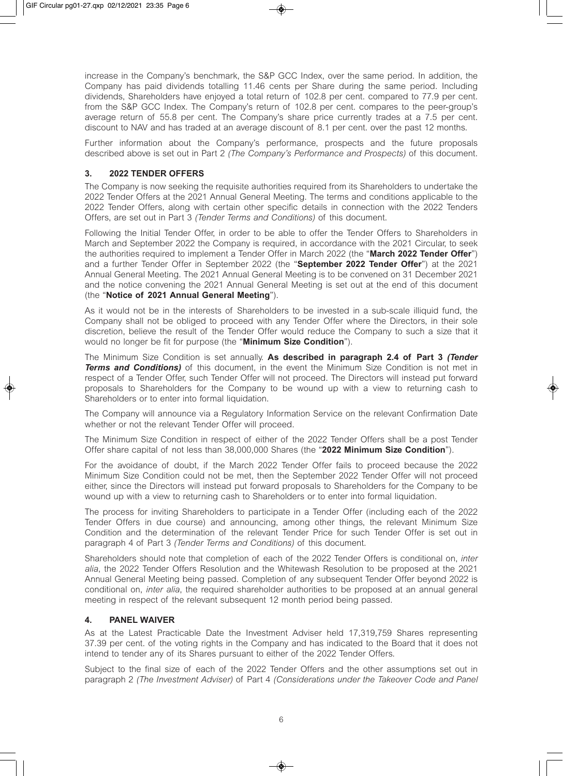increase in the Company's benchmark, the S&P GCC Index, over the same period. In addition, the Company has paid dividends totalling 11.46 cents per Share during the same period. Including dividends, Shareholders have enjoyed a total return of 102.8 per cent. compared to 77.9 per cent. from the S&P GCC Index. The Company's return of 102.8 per cent. compares to the peer-group's average return of 55.8 per cent. The Company's share price currently trades at a 7.5 per cent. discount to NAV and has traded at an average discount of 8.1 per cent. over the past 12 months.

Further information about the Company's performance, prospects and the future proposals described above is set out in Part 2 *(The Company's Performance and Prospects)* of this document.

#### **3. 2022 TENDER OFFERS**

The Company is now seeking the requisite authorities required from its Shareholders to undertake the 2022 Tender Offers at the 2021 Annual General Meeting. The terms and conditions applicable to the 2022 Tender Offers, along with certain other specific details in connection with the 2022 Tenders Offers, are set out in Part 3 *(Tender Terms and Conditions)* of this document.

Following the Initial Tender Offer, in order to be able to offer the Tender Offers to Shareholders in March and September 2022 the Company is required, in accordance with the 2021 Circular, to seek the authorities required to implement a Tender Offer in March 2022 (the "**March 2022 Tender Offer**") and a further Tender Offer in September 2022 (the "**September 2022 Tender Offer**") at the 2021 Annual General Meeting. The 2021 Annual General Meeting is to be convened on 31 December 2021 and the notice convening the 2021 Annual General Meeting is set out at the end of this document (the "**Notice of 2021 Annual General Meeting**").

As it would not be in the interests of Shareholders to be invested in a sub-scale illiquid fund, the Company shall not be obliged to proceed with any Tender Offer where the Directors, in their sole discretion, believe the result of the Tender Offer would reduce the Company to such a size that it would no longer be fit for purpose (the "**Minimum Size Condition**").

The Minimum Size Condition is set annually. **As described in paragraph 2.4 of Part 3** *(Tender*  **Terms and Conditions)** of this document, in the event the Minimum Size Condition is not met in respect of a Tender Offer, such Tender Offer will not proceed. The Directors will instead put forward proposals to Shareholders for the Company to be wound up with a view to returning cash to Shareholders or to enter into formal liquidation.

The Company will announce via a Regulatory Information Service on the relevant Confirmation Date whether or not the relevant Tender Offer will proceed.

The Minimum Size Condition in respect of either of the 2022 Tender Offers shall be a post Tender Offer share capital of not less than 38,000,000 Shares (the "**2022 Minimum Size Condition**").

For the avoidance of doubt, if the March 2022 Tender Offer fails to proceed because the 2022 Minimum Size Condition could not be met, then the September 2022 Tender Offer will not proceed either, since the Directors will instead put forward proposals to Shareholders for the Company to be wound up with a view to returning cash to Shareholders or to enter into formal liquidation.

The process for inviting Shareholders to participate in a Tender Offer (including each of the 2022 Tender Offers in due course) and announcing, among other things, the relevant Minimum Size Condition and the determination of the relevant Tender Price for such Tender Offer is set out in paragraph 4 of Part 3 *(Tender Terms and Conditions)* of this document.

Shareholders should note that completion of each of the 2022 Tender Offers is conditional on, *inter alia*, the 2022 Tender Offers Resolution and the Whitewash Resolution to be proposed at the 2021 Annual General Meeting being passed. Completion of any subsequent Tender Offer beyond 2022 is conditional on, *inter alia*, the required shareholder authorities to be proposed at an annual general meeting in respect of the relevant subsequent 12 month period being passed.

### **4. PANEL WAIVER**

As at the Latest Practicable Date the Investment Adviser held 17,319,759 Shares representing 37.39 per cent. of the voting rights in the Company and has indicated to the Board that it does not intend to tender any of its Shares pursuant to either of the 2022 Tender Offers.

Subject to the final size of each of the 2022 Tender Offers and the other assumptions set out in paragraph 2 *(The Investment Adviser)* of Part 4 *(Considerations under the Takeover Code and Panel*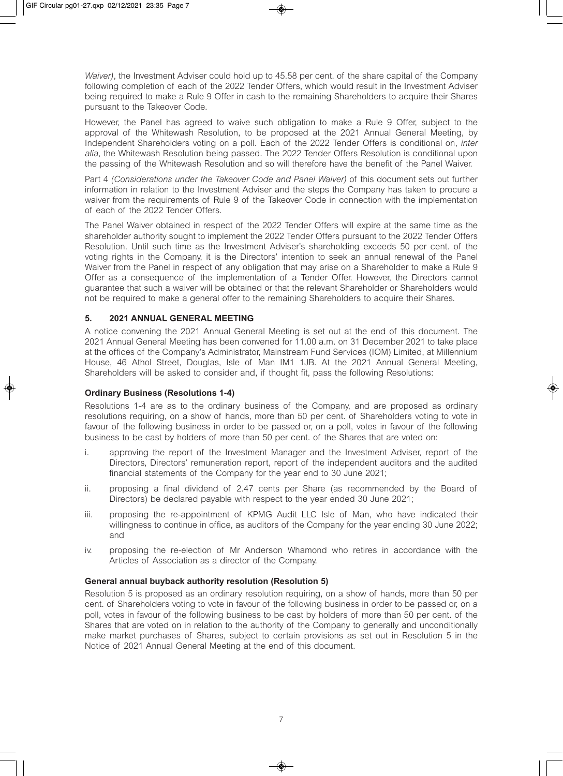*Waiver)*, the Investment Adviser could hold up to 45.58 per cent. of the share capital of the Company following completion of each of the 2022 Tender Offers, which would result in the Investment Adviser being required to make a Rule 9 Offer in cash to the remaining Shareholders to acquire their Shares pursuant to the Takeover Code.

However, the Panel has agreed to waive such obligation to make a Rule 9 Offer, subject to the approval of the Whitewash Resolution, to be proposed at the 2021 Annual General Meeting, by Independent Shareholders voting on a poll. Each of the 2022 Tender Offers is conditional on, *inter alia*, the Whitewash Resolution being passed. The 2022 Tender Offers Resolution is conditional upon the passing of the Whitewash Resolution and so will therefore have the benefit of the Panel Waiver.

Part 4 *(Considerations under the Takeover Code and Panel Waiver)* of this document sets out further information in relation to the Investment Adviser and the steps the Company has taken to procure a waiver from the requirements of Rule 9 of the Takeover Code in connection with the implementation of each of the 2022 Tender Offers.

The Panel Waiver obtained in respect of the 2022 Tender Offers will expire at the same time as the shareholder authority sought to implement the 2022 Tender Offers pursuant to the 2022 Tender Offers Resolution. Until such time as the Investment Adviser's shareholding exceeds 50 per cent. of the voting rights in the Company, it is the Directors' intention to seek an annual renewal of the Panel Waiver from the Panel in respect of any obligation that may arise on a Shareholder to make a Rule 9 Offer as a consequence of the implementation of a Tender Offer. However, the Directors cannot guarantee that such a waiver will be obtained or that the relevant Shareholder or Shareholders would not be required to make a general offer to the remaining Shareholders to acquire their Shares.

## **5. 2021 ANNUAL GENERAL MEETING**

A notice convening the 2021 Annual General Meeting is set out at the end of this document. The 2021 Annual General Meeting has been convened for 11.00 a.m. on 31 December 2021 to take place at the offices of the Company's Administrator, Mainstream Fund Services (IOM) Limited, at Millennium House, 46 Athol Street, Douglas, Isle of Man IM1 1JB. At the 2021 Annual General Meeting, Shareholders will be asked to consider and, if thought fit, pass the following Resolutions:

#### **Ordinary Business (Resolutions 1-4)**

Resolutions 1-4 are as to the ordinary business of the Company, and are proposed as ordinary resolutions requiring, on a show of hands, more than 50 per cent. of Shareholders voting to vote in favour of the following business in order to be passed or, on a poll, votes in favour of the following business to be cast by holders of more than 50 per cent. of the Shares that are voted on:

- i. approving the report of the Investment Manager and the Investment Adviser, report of the Directors, Directors' remuneration report, report of the independent auditors and the audited financial statements of the Company for the year end to 30 June 2021;
- ii. proposing a final dividend of 2.47 cents per Share (as recommended by the Board of Directors) be declared payable with respect to the year ended 30 June 2021;
- iii. proposing the re-appointment of KPMG Audit LLC Isle of Man, who have indicated their willingness to continue in office, as auditors of the Company for the year ending 30 June 2022; and
- iv. proposing the re-election of Mr Anderson Whamond who retires in accordance with the Articles of Association as a director of the Company.

#### **General annual buyback authority resolution (Resolution 5)**

Resolution 5 is proposed as an ordinary resolution requiring, on a show of hands, more than 50 per cent. of Shareholders voting to vote in favour of the following business in order to be passed or, on a poll, votes in favour of the following business to be cast by holders of more than 50 per cent. of the Shares that are voted on in relation to the authority of the Company to generally and unconditionally make market purchases of Shares, subject to certain provisions as set out in Resolution 5 in the Notice of 2021 Annual General Meeting at the end of this document.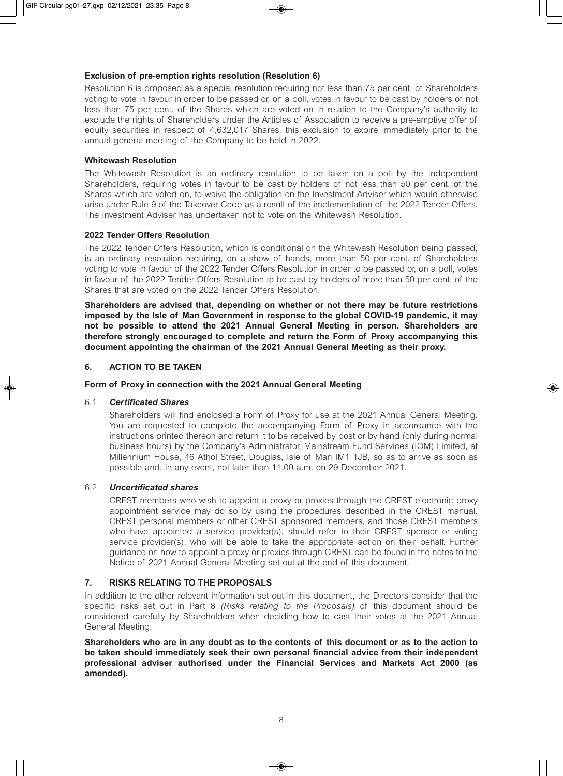## **Exclusion of pre-emption rights resolution (Resolution 6)**

Resolution 6 is proposed as a special resolution requiring not less than 75 per cent. of Shareholders voting to vote in favour in order to be passed or, on a poll, votes in favour to be cast by holders of not less than 75 per cent. of the Shares which are voted on in relation to the Company's authority to exclude the rights of Shareholders under the Articles of Association to receive a pre-emptive offer of equity securities in respect of 4,632,017 Shares, this exclusion to expire immediately prior to the annual general meeting of the Company to be held in 2022.

#### **Whitewash Resolution**

The Whitewash Resolution is an ordinary resolution to be taken on a poll by the Independent Shareholders, requiring votes in favour to be cast by holders of not less than 50 per cent. of the Shares which are voted on, to waive the obligation on the Investment Adviser which would otherwise arise under Rule 9 of the Takeover Code as a result of the implementation of the 2022 Tender Offers. The Investment Adviser has undertaken not to vote on the Whitewash Resolution.

## **2022 Tender Offers Resolution**

The 2022 Tender Offers Resolution, which is conditional on the Whitewash Resolution being passed, is an ordinary resolution requiring, on a show of hands, more than 50 per cent. of Shareholders voting to vote in favour of the 2022 Tender Offers Resolution in order to be passed or, on a poll, votes in favour of the 2022 Tender Offers Resolution to be cast by holders of more than 50 per cent. of the Shares that are voted on the 2022 Tender Offers Resolution.

**Shareholders are advised that, depending on whether or not there may be future restrictions imposed by the Isle of Man Government in response to the global COVID-19 pandemic, it may not be possible to attend the 2021 Annual General Meeting in person. Shareholders are therefore strongly encouraged to complete and return the Form of Proxy accompanying this document appointing the chairman of the 2021 Annual General Meeting as their proxy.** 

## **6. ACTION TO BE TAKEN**

#### **Form of Proxy in connection with the 2021 Annual General Meeting**

#### 6.1 *Certificated Shares*

Shareholders will find enclosed a Form of Proxy for use at the 2021 Annual General Meeting. You are requested to complete the accompanying Form of Proxy in accordance with the instructions printed thereon and return it to be received by post or by hand (only during normal business hours) by the Company's Administrator, Mainstream Fund Services (IOM) Limited, at Millennium House, 46 Athol Street, Douglas, Isle of Man IM1 1JB, so as to arrive as soon as possible and, in any event, not later than 11.00 a.m. on 29 December 2021.

#### 6.2 *Uncertificated shares*

CREST members who wish to appoint a proxy or proxies through the CREST electronic proxy appointment service may do so by using the procedures described in the CREST manual. CREST personal members or other CREST sponsored members, and those CREST members who have appointed a service provider(s), should refer to their CREST sponsor or voting service provider(s), who will be able to take the appropriate action on their behalf. Further guidance on how to appoint a proxy or proxies through CREST can be found in the notes to the Notice of 2021 Annual General Meeting set out at the end of this document.

#### **7. RISKS RELATING TO THE PROPOSALS**

In addition to the other relevant information set out in this document, the Directors consider that the specific risks set out in Part 8 *(Risks relating to the Proposals)* of this document should be considered carefully by Shareholders when deciding how to cast their votes at the 2021 Annual General Meeting.

**Shareholders who are in any doubt as to the contents of this document or as to the action to be taken should immediately seek their own personal financial advice from their independent professional adviser authorised under the Financial Services and Markets Act 2000 (as amended).**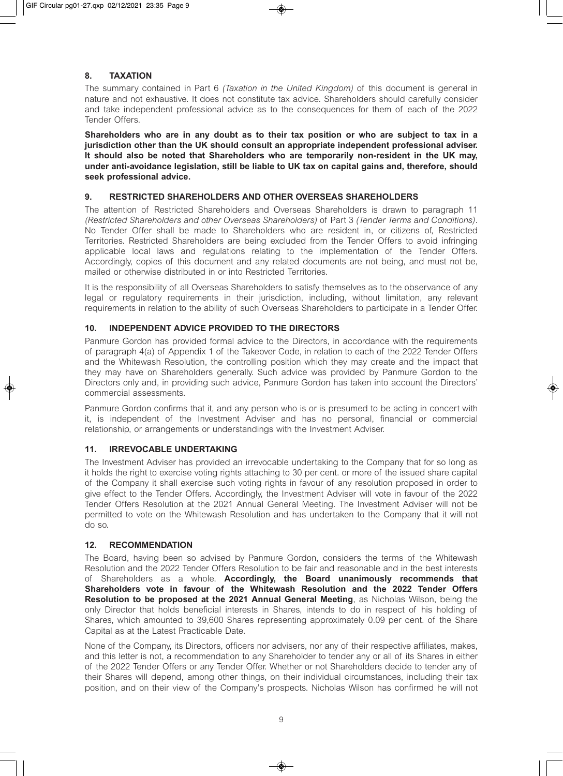# **8. TAXATION**

The summary contained in Part 6 *(Taxation in the United Kingdom)* of this document is general in nature and not exhaustive. It does not constitute tax advice. Shareholders should carefully consider and take independent professional advice as to the consequences for them of each of the 2022 Tender Offers.

**Shareholders who are in any doubt as to their tax position or who are subject to tax in a jurisdiction other than the UK should consult an appropriate independent professional adviser. It should also be noted that Shareholders who are temporarily non-resident in the UK may, under anti-avoidance legislation, still be liable to UK tax on capital gains and, therefore, should seek professional advice.** 

## **9. RESTRICTED SHAREHOLDERS AND OTHER OVERSEAS SHAREHOLDERS**

The attention of Restricted Shareholders and Overseas Shareholders is drawn to paragraph 11 *(Restricted Shareholders and other Overseas Shareholders)* of Part 3 *(Tender Terms and Conditions)*. No Tender Offer shall be made to Shareholders who are resident in, or citizens of, Restricted Territories. Restricted Shareholders are being excluded from the Tender Offers to avoid infringing applicable local laws and regulations relating to the implementation of the Tender Offers. Accordingly, copies of this document and any related documents are not being, and must not be, mailed or otherwise distributed in or into Restricted Territories.

It is the responsibility of all Overseas Shareholders to satisfy themselves as to the observance of any legal or regulatory requirements in their jurisdiction, including, without limitation, any relevant requirements in relation to the ability of such Overseas Shareholders to participate in a Tender Offer.

# **10. INDEPENDENT ADVICE PROVIDED TO THE DIRECTORS**

Panmure Gordon has provided formal advice to the Directors, in accordance with the requirements of paragraph 4(a) of Appendix 1 of the Takeover Code, in relation to each of the 2022 Tender Offers and the Whitewash Resolution, the controlling position which they may create and the impact that they may have on Shareholders generally. Such advice was provided by Panmure Gordon to the Directors only and, in providing such advice, Panmure Gordon has taken into account the Directors' commercial assessments.

Panmure Gordon confirms that it, and any person who is or is presumed to be acting in concert with it, is independent of the Investment Adviser and has no personal, financial or commercial relationship, or arrangements or understandings with the Investment Adviser.

# **11. IRREVOCABLE UNDERTAKING**

The Investment Adviser has provided an irrevocable undertaking to the Company that for so long as it holds the right to exercise voting rights attaching to 30 per cent. or more of the issued share capital of the Company it shall exercise such voting rights in favour of any resolution proposed in order to give effect to the Tender Offers. Accordingly, the Investment Adviser will vote in favour of the 2022 Tender Offers Resolution at the 2021 Annual General Meeting. The Investment Adviser will not be permitted to vote on the Whitewash Resolution and has undertaken to the Company that it will not do so.

#### **12. RECOMMENDATION**

The Board, having been so advised by Panmure Gordon, considers the terms of the Whitewash Resolution and the 2022 Tender Offers Resolution to be fair and reasonable and in the best interests of Shareholders as a whole. **Accordingly, the Board unanimously recommends that Shareholders vote in favour of the Whitewash Resolution and the 2022 Tender Offers Resolution to be proposed at the 2021 Annual General Meeting**, as Nicholas Wilson, being the only Director that holds beneficial interests in Shares, intends to do in respect of his holding of Shares, which amounted to 39,600 Shares representing approximately 0.09 per cent. of the Share Capital as at the Latest Practicable Date.

None of the Company, its Directors, officers nor advisers, nor any of their respective affiliates, makes, and this letter is not, a recommendation to any Shareholder to tender any or all of its Shares in either of the 2022 Tender Offers or any Tender Offer. Whether or not Shareholders decide to tender any of their Shares will depend, among other things, on their individual circumstances, including their tax position, and on their view of the Company's prospects. Nicholas Wilson has confirmed he will not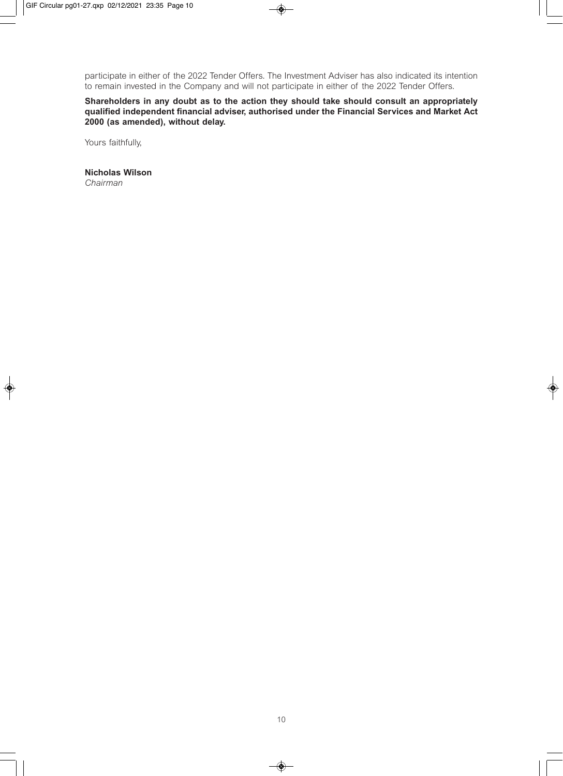participate in either of the 2022 Tender Offers. The Investment Adviser has also indicated its intention to remain invested in the Company and will not participate in either of the 2022 Tender Offers.

**Shareholders in any doubt as to the action they should take should consult an appropriately qualified independent financial adviser, authorised under the Financial Services and Market Act 2000 (as amended), without delay.** 

Yours faithfully,

**Nicholas Wilson**  *Chairman*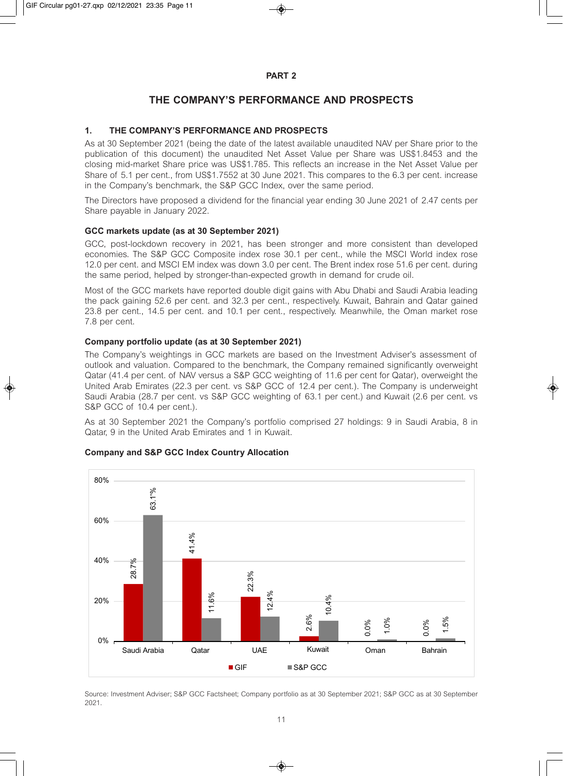#### **PART 2**

# **THE COMPANY'S PERFORMANCE AND PROSPECTS**

#### **1. THE COMPANY'S PERFORMANCE AND PROSPECTS**

As at 30 September 2021 (being the date of the latest available unaudited NAV per Share prior to the publication of this document) the unaudited Net Asset Value per Share was US\$1.8453 and the closing mid-market Share price was US\$1.785. This reflects an increase in the Net Asset Value per Share of 5.1 per cent., from US\$1.7552 at 30 June 2021. This compares to the 6.3 per cent. increase in the Company's benchmark, the S&P GCC Index, over the same period.

The Directors have proposed a dividend for the financial year ending 30 June 2021 of 2.47 cents per Share payable in January 2022.

#### **GCC markets update (as at 30 September 2021)**

GCC, post-lockdown recovery in 2021, has been stronger and more consistent than developed economies. The S&P GCC Composite index rose 30.1 per cent., while the MSCI World index rose 12.0 per cent. and MSCI EM index was down 3.0 per cent. The Brent index rose 51.6 per cent. during the same period, helped by stronger-than-expected growth in demand for crude oil.

Most of the GCC markets have reported double digit gains with Abu Dhabi and Saudi Arabia leading the pack gaining 52.6 per cent. and 32.3 per cent., respectively. Kuwait, Bahrain and Qatar gained 23.8 per cent., 14.5 per cent. and 10.1 per cent., respectively. Meanwhile, the Oman market rose 7.8 per cent.

#### **Company portfolio update (as at 30 September 2021)**

The Company's weightings in GCC markets are based on the Investment Adviser's assessment of outlook and valuation. Compared to the benchmark, the Company remained significantly overweight Qatar (41.4 per cent. of NAV versus a S&P GCC weighting of 11.6 per cent for Qatar), overweight the United Arab Emirates (22.3 per cent. vs S&P GCC of 12.4 per cent.). The Company is underweight Saudi Arabia (28.7 per cent. vs S&P GCC weighting of 63.1 per cent.) and Kuwait (2.6 per cent. vs S&P GCC of 10.4 per cent.).

As at 30 September 2021 the Company's portfolio comprised 27 holdings: 9 in Saudi Arabia, 8 in Qatar, 9 in the United Arab Emirates and 1 in Kuwait.

#### 28.7% 41.4% 22.3% 2.6% 0.0% 0.0% 63.1'% 11.6% 12.4% 10.4% 1.0% 1.5% 0% 20% 40% 60% 80% Saudi Arabia Qatar UAE Kuwait Oman Bahrain ■ GIF ■ S&P GCC

#### **Company and S&P GCC Index Country Allocation**

Source: Investment Adviser; S&P GCC Factsheet; Company portfolio as at 30 September 2021; S&P GCC as at 30 September 2021.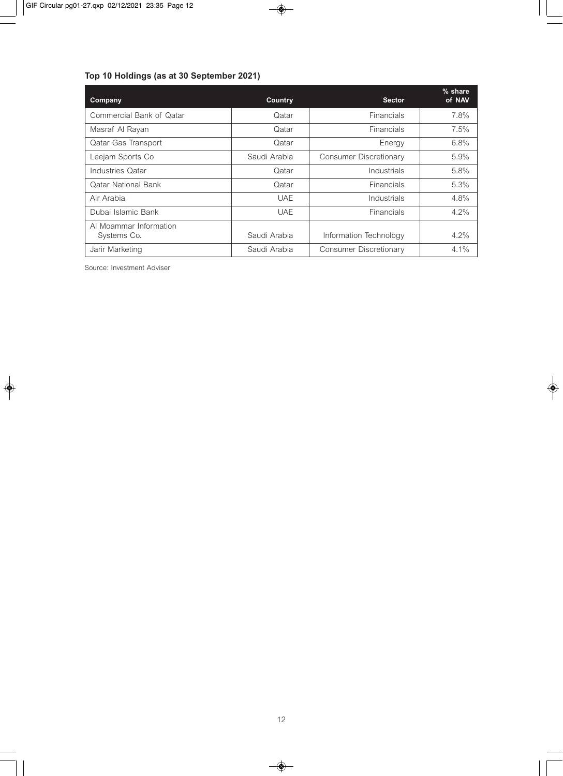# **Top 10 Holdings (as at 30 September 2021)**

| Company                               | <b>Country</b> | <b>Sector</b>          | % share<br>of NAV |
|---------------------------------------|----------------|------------------------|-------------------|
| Commercial Bank of Qatar              | Qatar          | Financials             | 7.8%              |
| Masraf Al Rayan                       | Qatar          | Financials             | 7.5%              |
| Qatar Gas Transport                   | Qatar          | Energy                 | 6.8%              |
| Leejam Sports Co                      | Saudi Arabia   | Consumer Discretionary | 5.9%              |
| Industries Qatar                      | Qatar          | Industrials            | 5.8%              |
| <b>Qatar National Bank</b>            | Qatar          | Financials             | 5.3%              |
| Air Arabia                            | <b>UAE</b>     | Industrials            | 4.8%              |
| Dubai Islamic Bank                    | <b>UAE</b>     | Financials             | 4.2%              |
| Al Moammar Information<br>Systems Co. | Saudi Arabia   | Information Technology | 4.2%              |
| Jarir Marketing                       | Saudi Arabia   | Consumer Discretionary | 4.1%              |

Source: Investment Adviser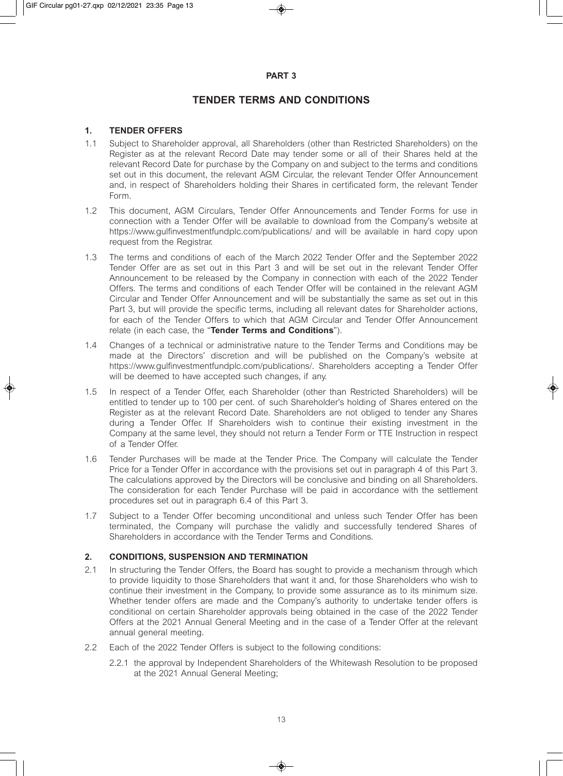#### **PART 3**

# **TENDER TERMS AND CONDITIONS**

## **1. TENDER OFFERS**

- 1.1 Subject to Shareholder approval, all Shareholders (other than Restricted Shareholders) on the Register as at the relevant Record Date may tender some or all of their Shares held at the relevant Record Date for purchase by the Company on and subject to the terms and conditions set out in this document, the relevant AGM Circular, the relevant Tender Offer Announcement and, in respect of Shareholders holding their Shares in certificated form, the relevant Tender Form.
- 1.2 This document, AGM Circulars, Tender Offer Announcements and Tender Forms for use in connection with a Tender Offer will be available to download from the Company's website at https://www.gulfinvestmentfundplc.com/publications/ and will be available in hard copy upon request from the Registrar.
- 1.3 The terms and conditions of each of the March 2022 Tender Offer and the September 2022 Tender Offer are as set out in this Part 3 and will be set out in the relevant Tender Offer Announcement to be released by the Company in connection with each of the 2022 Tender Offers. The terms and conditions of each Tender Offer will be contained in the relevant AGM Circular and Tender Offer Announcement and will be substantially the same as set out in this Part 3, but will provide the specific terms, including all relevant dates for Shareholder actions, for each of the Tender Offers to which that AGM Circular and Tender Offer Announcement relate (in each case, the "**Tender Terms and Conditions**").
- 1.4 Changes of a technical or administrative nature to the Tender Terms and Conditions may be made at the Directors' discretion and will be published on the Company's website at https://www.gulfinvestmentfundplc.com/publications/. Shareholders accepting a Tender Offer will be deemed to have accepted such changes, if any.
- 1.5 In respect of a Tender Offer, each Shareholder (other than Restricted Shareholders) will be entitled to tender up to 100 per cent. of such Shareholder's holding of Shares entered on the Register as at the relevant Record Date. Shareholders are not obliged to tender any Shares during a Tender Offer. If Shareholders wish to continue their existing investment in the Company at the same level, they should not return a Tender Form or TTE Instruction in respect of a Tender Offer.
- 1.6 Tender Purchases will be made at the Tender Price. The Company will calculate the Tender Price for a Tender Offer in accordance with the provisions set out in paragraph 4 of this Part 3. The calculations approved by the Directors will be conclusive and binding on all Shareholders. The consideration for each Tender Purchase will be paid in accordance with the settlement procedures set out in paragraph 6.4 of this Part 3.
- 1.7 Subject to a Tender Offer becoming unconditional and unless such Tender Offer has been terminated, the Company will purchase the validly and successfully tendered Shares of Shareholders in accordance with the Tender Terms and Conditions.

#### **2. CONDITIONS, SUSPENSION AND TERMINATION**

- 2.1 In structuring the Tender Offers, the Board has sought to provide a mechanism through which to provide liquidity to those Shareholders that want it and, for those Shareholders who wish to continue their investment in the Company, to provide some assurance as to its minimum size. Whether tender offers are made and the Company's authority to undertake tender offers is conditional on certain Shareholder approvals being obtained in the case of the 2022 Tender Offers at the 2021 Annual General Meeting and in the case of a Tender Offer at the relevant annual general meeting.
- 2.2 Each of the 2022 Tender Offers is subject to the following conditions:
	- 2.2.1 the approval by Independent Shareholders of the Whitewash Resolution to be proposed at the 2021 Annual General Meeting;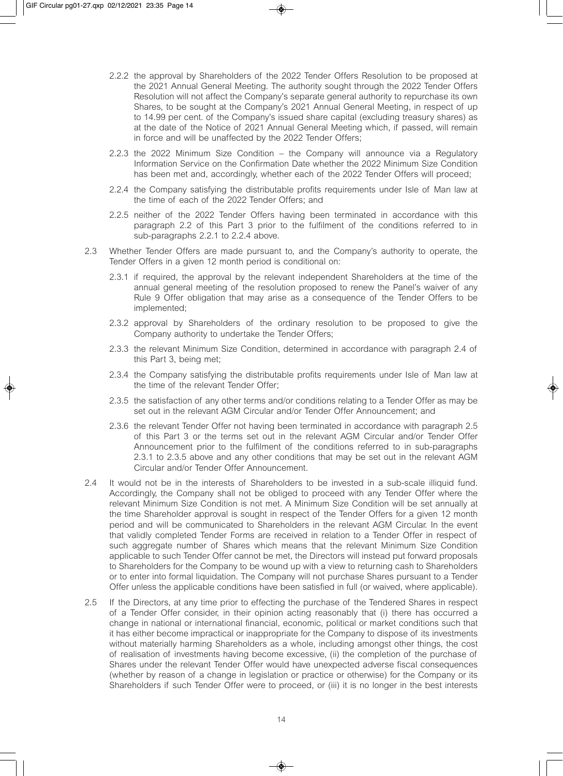- 2.2.2 the approval by Shareholders of the 2022 Tender Offers Resolution to be proposed at the 2021 Annual General Meeting. The authority sought through the 2022 Tender Offers Resolution will not affect the Company's separate general authority to repurchase its own Shares, to be sought at the Company's 2021 Annual General Meeting, in respect of up to 14.99 per cent. of the Company's issued share capital (excluding treasury shares) as at the date of the Notice of 2021 Annual General Meeting which, if passed, will remain in force and will be unaffected by the 2022 Tender Offers;
- 2.2.3 the 2022 Minimum Size Condition the Company will announce via a Regulatory Information Service on the Confirmation Date whether the 2022 Minimum Size Condition has been met and, accordingly, whether each of the 2022 Tender Offers will proceed;
- 2.2.4 the Company satisfying the distributable profits requirements under Isle of Man law at the time of each of the 2022 Tender Offers; and
- 2.2.5 neither of the 2022 Tender Offers having been terminated in accordance with this paragraph 2.2 of this Part 3 prior to the fulfilment of the conditions referred to in sub-paragraphs 2.2.1 to 2.2.4 above.
- 2.3 Whether Tender Offers are made pursuant to, and the Company's authority to operate, the Tender Offers in a given 12 month period is conditional on:
	- 2.3.1 if required, the approval by the relevant independent Shareholders at the time of the annual general meeting of the resolution proposed to renew the Panel's waiver of any Rule 9 Offer obligation that may arise as a consequence of the Tender Offers to be implemented;
	- 2.3.2 approval by Shareholders of the ordinary resolution to be proposed to give the Company authority to undertake the Tender Offers;
	- 2.3.3 the relevant Minimum Size Condition, determined in accordance with paragraph 2.4 of this Part 3, being met;
	- 2.3.4 the Company satisfying the distributable profits requirements under Isle of Man law at the time of the relevant Tender Offer;
	- 2.3.5 the satisfaction of any other terms and/or conditions relating to a Tender Offer as may be set out in the relevant AGM Circular and/or Tender Offer Announcement; and
	- 2.3.6 the relevant Tender Offer not having been terminated in accordance with paragraph 2.5 of this Part 3 or the terms set out in the relevant AGM Circular and/or Tender Offer Announcement prior to the fulfilment of the conditions referred to in sub-paragraphs 2.3.1 to 2.3.5 above and any other conditions that may be set out in the relevant AGM Circular and/or Tender Offer Announcement.
- 2.4 It would not be in the interests of Shareholders to be invested in a sub-scale illiquid fund. Accordingly, the Company shall not be obliged to proceed with any Tender Offer where the relevant Minimum Size Condition is not met. A Minimum Size Condition will be set annually at the time Shareholder approval is sought in respect of the Tender Offers for a given 12 month period and will be communicated to Shareholders in the relevant AGM Circular. In the event that validly completed Tender Forms are received in relation to a Tender Offer in respect of such aggregate number of Shares which means that the relevant Minimum Size Condition applicable to such Tender Offer cannot be met, the Directors will instead put forward proposals to Shareholders for the Company to be wound up with a view to returning cash to Shareholders or to enter into formal liquidation. The Company will not purchase Shares pursuant to a Tender Offer unless the applicable conditions have been satisfied in full (or waived, where applicable).
- 2.5 If the Directors, at any time prior to effecting the purchase of the Tendered Shares in respect of a Tender Offer consider, in their opinion acting reasonably that (i) there has occurred a change in national or international financial, economic, political or market conditions such that it has either become impractical or inappropriate for the Company to dispose of its investments without materially harming Shareholders as a whole, including amongst other things, the cost of realisation of investments having become excessive, (ii) the completion of the purchase of Shares under the relevant Tender Offer would have unexpected adverse fiscal consequences (whether by reason of a change in legislation or practice or otherwise) for the Company or its Shareholders if such Tender Offer were to proceed, or (iii) it is no longer in the best interests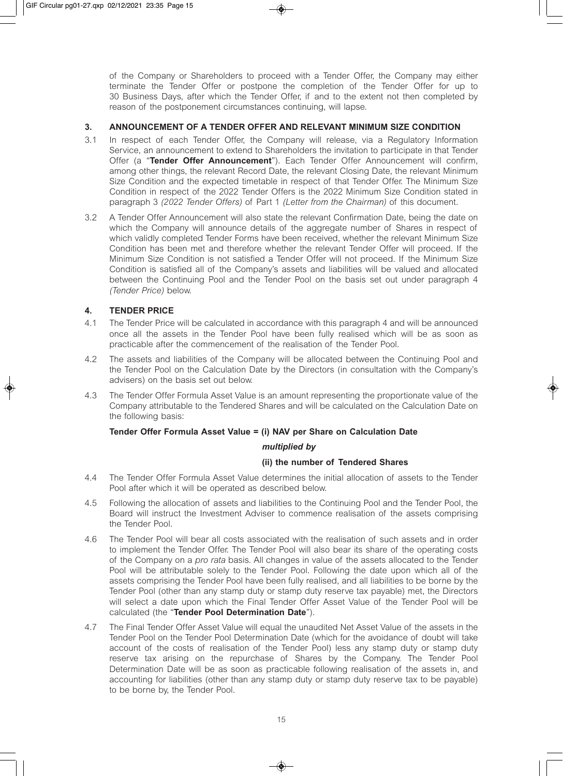of the Company or Shareholders to proceed with a Tender Offer, the Company may either terminate the Tender Offer or postpone the completion of the Tender Offer for up to 30 Business Days, after which the Tender Offer, if and to the extent not then completed by reason of the postponement circumstances continuing, will lapse.

# **3. ANNOUNCEMENT OF A TENDER OFFER AND RELEVANT MINIMUM SIZE CONDITION**

- 3.1 In respect of each Tender Offer, the Company will release, via a Regulatory Information Service, an announcement to extend to Shareholders the invitation to participate in that Tender Offer (a "**Tender Offer Announcement**"). Each Tender Offer Announcement will confirm, among other things, the relevant Record Date, the relevant Closing Date, the relevant Minimum Size Condition and the expected timetable in respect of that Tender Offer. The Minimum Size Condition in respect of the 2022 Tender Offers is the 2022 Minimum Size Condition stated in paragraph 3 *(2022 Tender Offers)* of Part 1 *(Letter from the Chairman)* of this document.
- 3.2 A Tender Offer Announcement will also state the relevant Confirmation Date, being the date on which the Company will announce details of the aggregate number of Shares in respect of which validly completed Tender Forms have been received, whether the relevant Minimum Size Condition has been met and therefore whether the relevant Tender Offer will proceed. If the Minimum Size Condition is not satisfied a Tender Offer will not proceed. If the Minimum Size Condition is satisfied all of the Company's assets and liabilities will be valued and allocated between the Continuing Pool and the Tender Pool on the basis set out under paragraph 4 *(Tender Price)* below.

# **4. TENDER PRICE**

- 4.1 The Tender Price will be calculated in accordance with this paragraph 4 and will be announced once all the assets in the Tender Pool have been fully realised which will be as soon as practicable after the commencement of the realisation of the Tender Pool.
- 4.2 The assets and liabilities of the Company will be allocated between the Continuing Pool and the Tender Pool on the Calculation Date by the Directors (in consultation with the Company's advisers) on the basis set out below.
- 4.3 The Tender Offer Formula Asset Value is an amount representing the proportionate value of the Company attributable to the Tendered Shares and will be calculated on the Calculation Date on the following basis:

## **Tender Offer Formula Asset Value = (i) NAV per Share on Calculation Date**

#### *multiplied by*

#### **(ii) the number of Tendered Shares**

- 4.4 The Tender Offer Formula Asset Value determines the initial allocation of assets to the Tender Pool after which it will be operated as described below.
- 4.5 Following the allocation of assets and liabilities to the Continuing Pool and the Tender Pool, the Board will instruct the Investment Adviser to commence realisation of the assets comprising the Tender Pool.
- 4.6 The Tender Pool will bear all costs associated with the realisation of such assets and in order to implement the Tender Offer. The Tender Pool will also bear its share of the operating costs of the Company on a *pro rata* basis. All changes in value of the assets allocated to the Tender Pool will be attributable solely to the Tender Pool. Following the date upon which all of the assets comprising the Tender Pool have been fully realised, and all liabilities to be borne by the Tender Pool (other than any stamp duty or stamp duty reserve tax payable) met, the Directors will select a date upon which the Final Tender Offer Asset Value of the Tender Pool will be calculated (the "**Tender Pool Determination Date**").
- 4.7 The Final Tender Offer Asset Value will equal the unaudited Net Asset Value of the assets in the Tender Pool on the Tender Pool Determination Date (which for the avoidance of doubt will take account of the costs of realisation of the Tender Pool) less any stamp duty or stamp duty reserve tax arising on the repurchase of Shares by the Company. The Tender Pool Determination Date will be as soon as practicable following realisation of the assets in, and accounting for liabilities (other than any stamp duty or stamp duty reserve tax to be payable) to be borne by, the Tender Pool.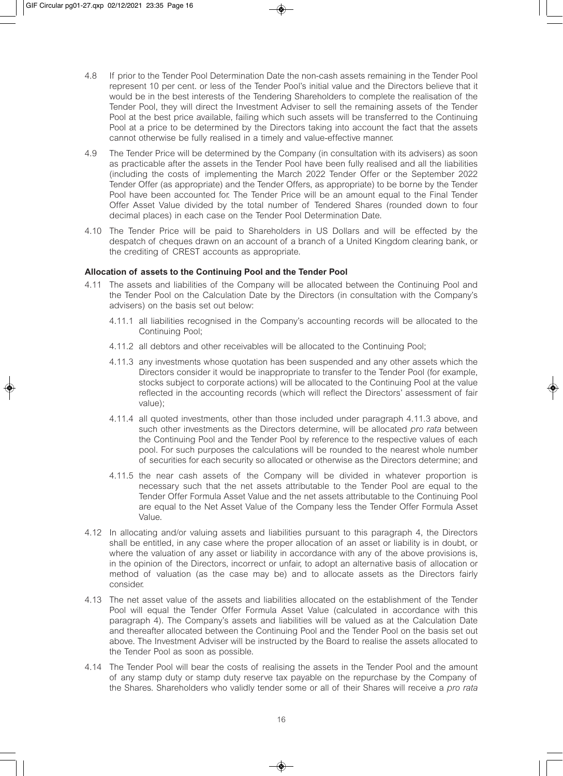- 4.8 If prior to the Tender Pool Determination Date the non-cash assets remaining in the Tender Pool represent 10 per cent. or less of the Tender Pool's initial value and the Directors believe that it would be in the best interests of the Tendering Shareholders to complete the realisation of the Tender Pool, they will direct the Investment Adviser to sell the remaining assets of the Tender Pool at the best price available, failing which such assets will be transferred to the Continuing Pool at a price to be determined by the Directors taking into account the fact that the assets cannot otherwise be fully realised in a timely and value-effective manner.
- 4.9 The Tender Price will be determined by the Company (in consultation with its advisers) as soon as practicable after the assets in the Tender Pool have been fully realised and all the liabilities (including the costs of implementing the March 2022 Tender Offer or the September 2022 Tender Offer (as appropriate) and the Tender Offers, as appropriate) to be borne by the Tender Pool have been accounted for. The Tender Price will be an amount equal to the Final Tender Offer Asset Value divided by the total number of Tendered Shares (rounded down to four decimal places) in each case on the Tender Pool Determination Date.
- 4.10 The Tender Price will be paid to Shareholders in US Dollars and will be effected by the despatch of cheques drawn on an account of a branch of a United Kingdom clearing bank, or the crediting of CREST accounts as appropriate.

#### **Allocation of assets to the Continuing Pool and the Tender Pool**

- 4.11 The assets and liabilities of the Company will be allocated between the Continuing Pool and the Tender Pool on the Calculation Date by the Directors (in consultation with the Company's advisers) on the basis set out below:
	- 4.11.1 all liabilities recognised in the Company's accounting records will be allocated to the Continuing Pool;
	- 4.11.2 all debtors and other receivables will be allocated to the Continuing Pool;
	- 4.11.3 any investments whose quotation has been suspended and any other assets which the Directors consider it would be inappropriate to transfer to the Tender Pool (for example, stocks subject to corporate actions) will be allocated to the Continuing Pool at the value reflected in the accounting records (which will reflect the Directors' assessment of fair value);
	- 4.11.4 all quoted investments, other than those included under paragraph 4.11.3 above, and such other investments as the Directors determine, will be allocated *pro rata* between the Continuing Pool and the Tender Pool by reference to the respective values of each pool. For such purposes the calculations will be rounded to the nearest whole number of securities for each security so allocated or otherwise as the Directors determine; and
	- 4.11.5 the near cash assets of the Company will be divided in whatever proportion is necessary such that the net assets attributable to the Tender Pool are equal to the Tender Offer Formula Asset Value and the net assets attributable to the Continuing Pool are equal to the Net Asset Value of the Company less the Tender Offer Formula Asset Value.
- 4.12 In allocating and/or valuing assets and liabilities pursuant to this paragraph 4, the Directors shall be entitled, in any case where the proper allocation of an asset or liability is in doubt, or where the valuation of any asset or liability in accordance with any of the above provisions is, in the opinion of the Directors, incorrect or unfair, to adopt an alternative basis of allocation or method of valuation (as the case may be) and to allocate assets as the Directors fairly consider.
- 4.13 The net asset value of the assets and liabilities allocated on the establishment of the Tender Pool will equal the Tender Offer Formula Asset Value (calculated in accordance with this paragraph 4). The Company's assets and liabilities will be valued as at the Calculation Date and thereafter allocated between the Continuing Pool and the Tender Pool on the basis set out above. The Investment Adviser will be instructed by the Board to realise the assets allocated to the Tender Pool as soon as possible.
- 4.14 The Tender Pool will bear the costs of realising the assets in the Tender Pool and the amount of any stamp duty or stamp duty reserve tax payable on the repurchase by the Company of the Shares. Shareholders who validly tender some or all of their Shares will receive a *pro rata*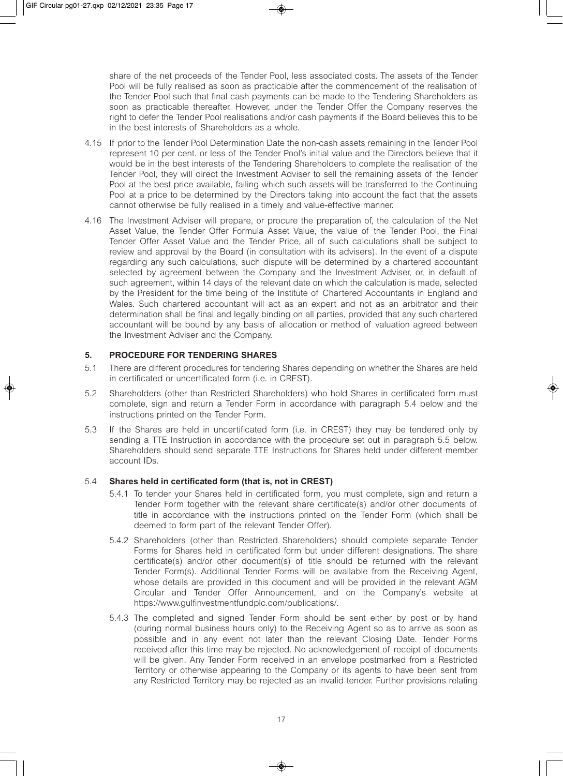share of the net proceeds of the Tender Pool, less associated costs. The assets of the Tender Pool will be fully realised as soon as practicable after the commencement of the realisation of the Tender Pool such that final cash payments can be made to the Tendering Shareholders as soon as practicable thereafter. However, under the Tender Offer the Company reserves the right to defer the Tender Pool realisations and/or cash payments if the Board believes this to be in the best interests of Shareholders as a whole.

- 4.15 If prior to the Tender Pool Determination Date the non-cash assets remaining in the Tender Pool represent 10 per cent. or less of the Tender Pool's initial value and the Directors believe that it would be in the best interests of the Tendering Shareholders to complete the realisation of the Tender Pool, they will direct the Investment Adviser to sell the remaining assets of the Tender Pool at the best price available, failing which such assets will be transferred to the Continuing Pool at a price to be determined by the Directors taking into account the fact that the assets cannot otherwise be fully realised in a timely and value-effective manner.
- 4.16 The Investment Adviser will prepare, or procure the preparation of, the calculation of the Net Asset Value, the Tender Offer Formula Asset Value, the value of the Tender Pool, the Final Tender Offer Asset Value and the Tender Price, all of such calculations shall be subject to review and approval by the Board (in consultation with its advisers). In the event of a dispute regarding any such calculations, such dispute will be determined by a chartered accountant selected by agreement between the Company and the Investment Adviser, or, in default of such agreement, within 14 days of the relevant date on which the calculation is made, selected by the President for the time being of the Institute of Chartered Accountants in England and Wales. Such chartered accountant will act as an expert and not as an arbitrator and their determination shall be final and legally binding on all parties, provided that any such chartered accountant will be bound by any basis of allocation or method of valuation agreed between the Investment Adviser and the Company.

## **5. PROCEDURE FOR TENDERING SHARES**

- 5.1 There are different procedures for tendering Shares depending on whether the Shares are held in certificated or uncertificated form (i.e. in CREST).
- 5.2 Shareholders (other than Restricted Shareholders) who hold Shares in certificated form must complete, sign and return a Tender Form in accordance with paragraph 5.4 below and the instructions printed on the Tender Form.
- 5.3 If the Shares are held in uncertificated form (i.e. in CREST) they may be tendered only by sending a TTE Instruction in accordance with the procedure set out in paragraph 5.5 below. Shareholders should send separate TTE Instructions for Shares held under different member account IDs.

#### 5.4 **Shares held in certificated form (that is, not in CREST)**

- 5.4.1 To tender your Shares held in certificated form, you must complete, sign and return a Tender Form together with the relevant share certificate(s) and/or other documents of title in accordance with the instructions printed on the Tender Form (which shall be deemed to form part of the relevant Tender Offer).
- 5.4.2 Shareholders (other than Restricted Shareholders) should complete separate Tender Forms for Shares held in certificated form but under different designations. The share certificate(s) and/or other document(s) of title should be returned with the relevant Tender Form(s). Additional Tender Forms will be available from the Receiving Agent, whose details are provided in this document and will be provided in the relevant AGM Circular and Tender Offer Announcement, and on the Company's website at https://www.gulfinvestmentfundplc.com/publications/.
- 5.4.3 The completed and signed Tender Form should be sent either by post or by hand (during normal business hours only) to the Receiving Agent so as to arrive as soon as possible and in any event not later than the relevant Closing Date. Tender Forms received after this time may be rejected. No acknowledgement of receipt of documents will be given. Any Tender Form received in an envelope postmarked from a Restricted Territory or otherwise appearing to the Company or its agents to have been sent from any Restricted Territory may be rejected as an invalid tender. Further provisions relating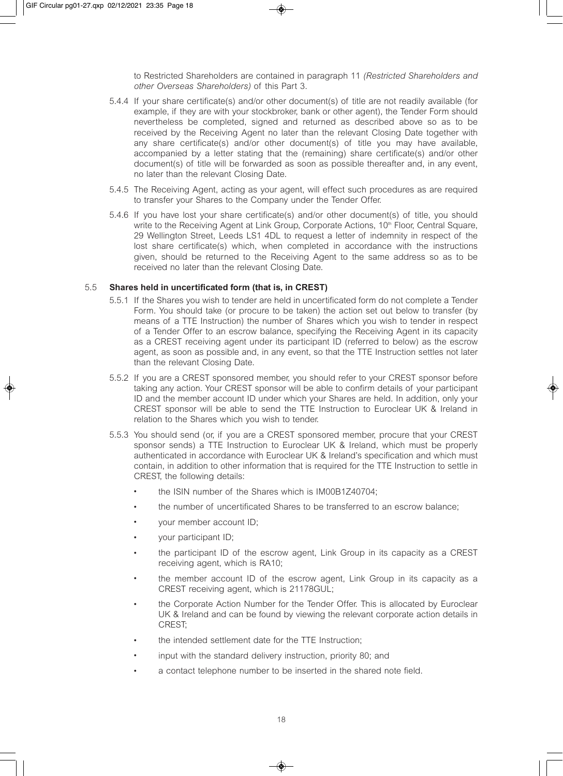to Restricted Shareholders are contained in paragraph 11 *(Restricted Shareholders and other Overseas Shareholders)* of this Part 3.

- 5.4.4 If your share certificate(s) and/or other document(s) of title are not readily available (for example, if they are with your stockbroker, bank or other agent), the Tender Form should nevertheless be completed, signed and returned as described above so as to be received by the Receiving Agent no later than the relevant Closing Date together with any share certificate(s) and/or other document(s) of title you may have available, accompanied by a letter stating that the (remaining) share certificate(s) and/or other document(s) of title will be forwarded as soon as possible thereafter and, in any event, no later than the relevant Closing Date.
- 5.4.5 The Receiving Agent, acting as your agent, will effect such procedures as are required to transfer your Shares to the Company under the Tender Offer.
- 5.4.6 If you have lost your share certificate(s) and/or other document(s) of title, you should write to the Receiving Agent at Link Group, Corporate Actions,  $10<sup>th</sup>$  Floor, Central Square, 29 Wellington Street, Leeds LS1 4DL to request a letter of indemnity in respect of the lost share certificate(s) which, when completed in accordance with the instructions given, should be returned to the Receiving Agent to the same address so as to be received no later than the relevant Closing Date.

#### 5.5 **Shares held in uncertificated form (that is, in CREST)**

- 5.5.1 If the Shares you wish to tender are held in uncertificated form do not complete a Tender Form. You should take (or procure to be taken) the action set out below to transfer (by means of a TTE Instruction) the number of Shares which you wish to tender in respect of a Tender Offer to an escrow balance, specifying the Receiving Agent in its capacity as a CREST receiving agent under its participant ID (referred to below) as the escrow agent, as soon as possible and, in any event, so that the TTE Instruction settles not later than the relevant Closing Date.
- 5.5.2 If you are a CREST sponsored member, you should refer to your CREST sponsor before taking any action. Your CREST sponsor will be able to confirm details of your participant ID and the member account ID under which your Shares are held. In addition, only your CREST sponsor will be able to send the TTE Instruction to Euroclear UK & Ireland in relation to the Shares which you wish to tender.
- 5.5.3 You should send (or, if you are a CREST sponsored member, procure that your CREST sponsor sends) a TTE Instruction to Euroclear UK & Ireland, which must be properly authenticated in accordance with Euroclear UK & Ireland's specification and which must contain, in addition to other information that is required for the TTE Instruction to settle in CREST, the following details:
	- the ISIN number of the Shares which is IM00B1Z40704;
	- the number of uncertificated Shares to be transferred to an escrow balance;
	- your member account ID;
	- your participant ID;
	- <sup>l</sup> the participant ID of the escrow agent, Link Group in its capacity as a CREST receiving agent, which is RA10;
	- the member account ID of the escrow agent, Link Group in its capacity as a CREST receiving agent, which is 21178GUL;
	- the Corporate Action Number for the Tender Offer. This is allocated by Euroclear UK & Ireland and can be found by viewing the relevant corporate action details in CREST;
	- the intended settlement date for the TTE Instruction;
	- input with the standard delivery instruction, priority 80; and
	- a contact telephone number to be inserted in the shared note field.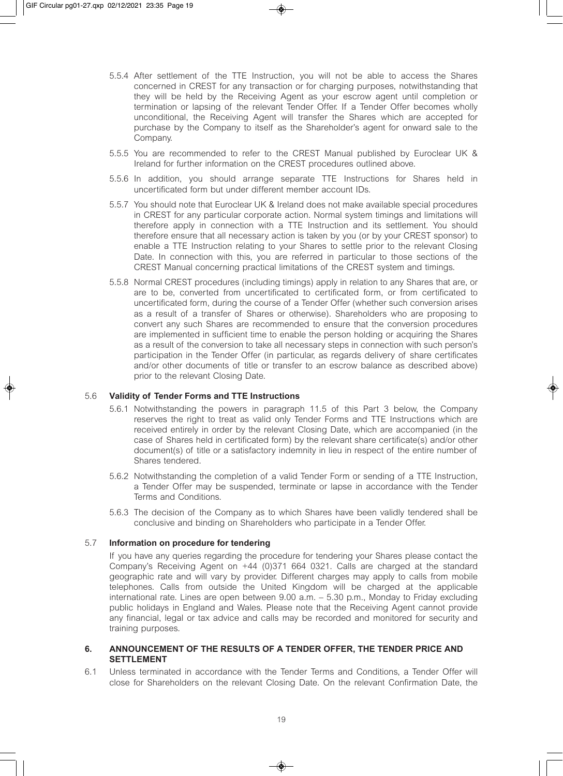- 5.5.4 After settlement of the TTE Instruction, you will not be able to access the Shares concerned in CREST for any transaction or for charging purposes, notwithstanding that they will be held by the Receiving Agent as your escrow agent until completion or termination or lapsing of the relevant Tender Offer. If a Tender Offer becomes wholly unconditional, the Receiving Agent will transfer the Shares which are accepted for purchase by the Company to itself as the Shareholder's agent for onward sale to the Company.
- 5.5.5 You are recommended to refer to the CREST Manual published by Euroclear UK & Ireland for further information on the CREST procedures outlined above.
- 5.5.6 In addition, you should arrange separate TTE Instructions for Shares held in uncertificated form but under different member account IDs.
- 5.5.7 You should note that Euroclear UK & Ireland does not make available special procedures in CREST for any particular corporate action. Normal system timings and limitations will therefore apply in connection with a TTE Instruction and its settlement. You should therefore ensure that all necessary action is taken by you (or by your CREST sponsor) to enable a TTE Instruction relating to your Shares to settle prior to the relevant Closing Date. In connection with this, you are referred in particular to those sections of the CREST Manual concerning practical limitations of the CREST system and timings.
- 5.5.8 Normal CREST procedures (including timings) apply in relation to any Shares that are, or are to be, converted from uncertificated to certificated form, or from certificated to uncertificated form, during the course of a Tender Offer (whether such conversion arises as a result of a transfer of Shares or otherwise). Shareholders who are proposing to convert any such Shares are recommended to ensure that the conversion procedures are implemented in sufficient time to enable the person holding or acquiring the Shares as a result of the conversion to take all necessary steps in connection with such person's participation in the Tender Offer (in particular, as regards delivery of share certificates and/or other documents of title or transfer to an escrow balance as described above) prior to the relevant Closing Date.

#### 5.6 **Validity of Tender Forms and TTE Instructions**

- 5.6.1 Notwithstanding the powers in paragraph 11.5 of this Part 3 below, the Company reserves the right to treat as valid only Tender Forms and TTE Instructions which are received entirely in order by the relevant Closing Date, which are accompanied (in the case of Shares held in certificated form) by the relevant share certificate(s) and/or other document(s) of title or a satisfactory indemnity in lieu in respect of the entire number of Shares tendered.
- 5.6.2 Notwithstanding the completion of a valid Tender Form or sending of a TTE Instruction, a Tender Offer may be suspended, terminate or lapse in accordance with the Tender Terms and Conditions.
- 5.6.3 The decision of the Company as to which Shares have been validly tendered shall be conclusive and binding on Shareholders who participate in a Tender Offer.

#### 5.7 **Information on procedure for tendering**

If you have any queries regarding the procedure for tendering your Shares please contact the Company's Receiving Agent on +44 (0)371 664 0321. Calls are charged at the standard geographic rate and will vary by provider. Different charges may apply to calls from mobile telephones. Calls from outside the United Kingdom will be charged at the applicable international rate. Lines are open between 9.00 a.m. – 5.30 p.m., Monday to Friday excluding public holidays in England and Wales. Please note that the Receiving Agent cannot provide any financial, legal or tax advice and calls may be recorded and monitored for security and training purposes.

#### **6. ANNOUNCEMENT OF THE RESULTS OF A TENDER OFFER, THE TENDER PRICE AND SETTLEMENT**

6.1 Unless terminated in accordance with the Tender Terms and Conditions, a Tender Offer will close for Shareholders on the relevant Closing Date. On the relevant Confirmation Date, the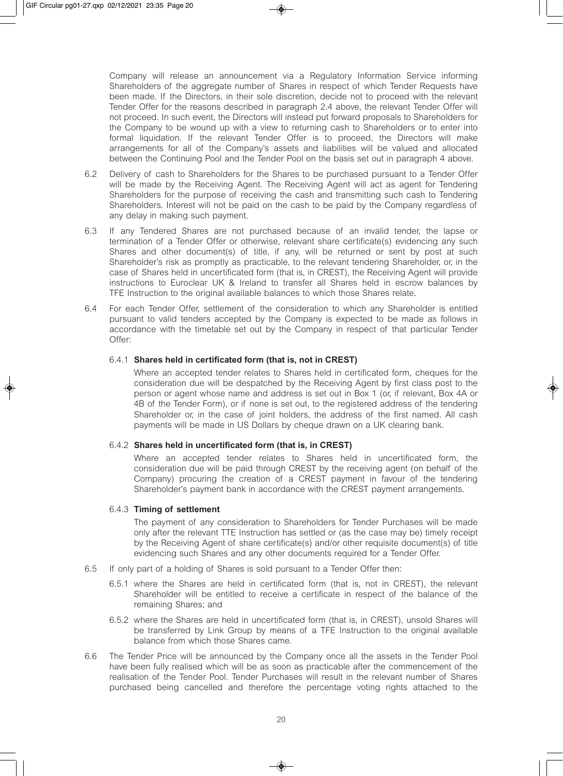Company will release an announcement via a Regulatory Information Service informing Shareholders of the aggregate number of Shares in respect of which Tender Requests have been made. If the Directors, in their sole discretion, decide not to proceed with the relevant Tender Offer for the reasons described in paragraph 2.4 above, the relevant Tender Offer will not proceed. In such event, the Directors will instead put forward proposals to Shareholders for the Company to be wound up with a view to returning cash to Shareholders or to enter into formal liquidation. If the relevant Tender Offer is to proceed, the Directors will make arrangements for all of the Company's assets and liabilities will be valued and allocated between the Continuing Pool and the Tender Pool on the basis set out in paragraph 4 above.

- 6.2 Delivery of cash to Shareholders for the Shares to be purchased pursuant to a Tender Offer will be made by the Receiving Agent. The Receiving Agent will act as agent for Tendering Shareholders for the purpose of receiving the cash and transmitting such cash to Tendering Shareholders. Interest will not be paid on the cash to be paid by the Company regardless of any delay in making such payment.
- 6.3 If any Tendered Shares are not purchased because of an invalid tender, the lapse or termination of a Tender Offer or otherwise, relevant share certificate(s) evidencing any such Shares and other document(s) of title, if any, will be returned or sent by post at such Shareholder's risk as promptly as practicable, to the relevant tendering Shareholder, or, in the case of Shares held in uncertificated form (that is, in CREST), the Receiving Agent will provide instructions to Euroclear UK & Ireland to transfer all Shares held in escrow balances by TFE Instruction to the original available balances to which those Shares relate.
- 6.4 For each Tender Offer, settlement of the consideration to which any Shareholder is entitled pursuant to valid tenders accepted by the Company is expected to be made as follows in accordance with the timetable set out by the Company in respect of that particular Tender Offer:

#### 6.4.1 **Shares held in certificated form (that is, not in CREST)**

Where an accepted tender relates to Shares held in certificated form, cheques for the consideration due will be despatched by the Receiving Agent by first class post to the person or agent whose name and address is set out in Box 1 (or, if relevant, Box 4A or 4B of the Tender Form), or if none is set out, to the registered address of the tendering Shareholder or, in the case of joint holders, the address of the first named. All cash payments will be made in US Dollars by cheque drawn on a UK clearing bank.

#### 6.4.2 **Shares held in uncertificated form (that is, in CREST)**

Where an accepted tender relates to Shares held in uncertificated form, the consideration due will be paid through CREST by the receiving agent (on behalf of the Company) procuring the creation of a CREST payment in favour of the tendering Shareholder's payment bank in accordance with the CREST payment arrangements.

#### 6.4.3 **Timing of settlement**

The payment of any consideration to Shareholders for Tender Purchases will be made only after the relevant TTE Instruction has settled or (as the case may be) timely receipt by the Receiving Agent of share certificate(s) and/or other requisite document(s) of title evidencing such Shares and any other documents required for a Tender Offer.

- 6.5 If only part of a holding of Shares is sold pursuant to a Tender Offer then:
	- 6.5.1 where the Shares are held in certificated form (that is, not in CREST), the relevant Shareholder will be entitled to receive a certificate in respect of the balance of the remaining Shares; and
	- 6.5.2 where the Shares are held in uncertificated form (that is, in CREST), unsold Shares will be transferred by Link Group by means of a TFE Instruction to the original available balance from which those Shares came.
- 6.6 The Tender Price will be announced by the Company once all the assets in the Tender Pool have been fully realised which will be as soon as practicable after the commencement of the realisation of the Tender Pool. Tender Purchases will result in the relevant number of Shares purchased being cancelled and therefore the percentage voting rights attached to the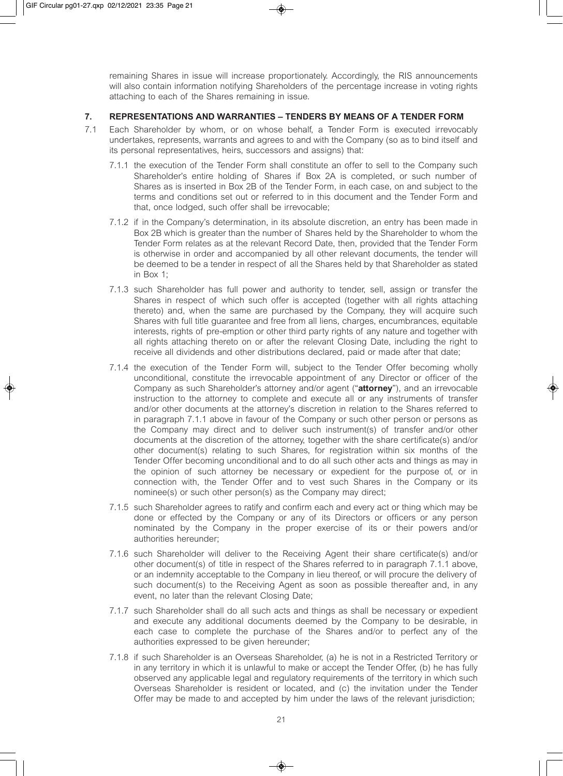remaining Shares in issue will increase proportionately. Accordingly, the RIS announcements will also contain information notifying Shareholders of the percentage increase in voting rights attaching to each of the Shares remaining in issue.

## **7. REPRESENTATIONS AND WARRANTIES – TENDERS BY MEANS OF A TENDER FORM**

- 7.1 Each Shareholder by whom, or on whose behalf, a Tender Form is executed irrevocably undertakes, represents, warrants and agrees to and with the Company (so as to bind itself and its personal representatives, heirs, successors and assigns) that:
	- 7.1.1 the execution of the Tender Form shall constitute an offer to sell to the Company such Shareholder's entire holding of Shares if Box 2A is completed, or such number of Shares as is inserted in Box 2B of the Tender Form, in each case, on and subject to the terms and conditions set out or referred to in this document and the Tender Form and that, once lodged, such offer shall be irrevocable;
	- 7.1.2 if in the Company's determination, in its absolute discretion, an entry has been made in Box 2B which is greater than the number of Shares held by the Shareholder to whom the Tender Form relates as at the relevant Record Date, then, provided that the Tender Form is otherwise in order and accompanied by all other relevant documents, the tender will be deemed to be a tender in respect of all the Shares held by that Shareholder as stated in Box 1;
	- 7.1.3 such Shareholder has full power and authority to tender, sell, assign or transfer the Shares in respect of which such offer is accepted (together with all rights attaching thereto) and, when the same are purchased by the Company, they will acquire such Shares with full title guarantee and free from all liens, charges, encumbrances, equitable interests, rights of pre-emption or other third party rights of any nature and together with all rights attaching thereto on or after the relevant Closing Date, including the right to receive all dividends and other distributions declared, paid or made after that date;
	- 7.1.4 the execution of the Tender Form will, subject to the Tender Offer becoming wholly unconditional, constitute the irrevocable appointment of any Director or officer of the Company as such Shareholder's attorney and/or agent ("**attorney**"), and an irrevocable instruction to the attorney to complete and execute all or any instruments of transfer and/or other documents at the attorney's discretion in relation to the Shares referred to in paragraph 7.1.1 above in favour of the Company or such other person or persons as the Company may direct and to deliver such instrument(s) of transfer and/or other documents at the discretion of the attorney, together with the share certificate(s) and/or other document(s) relating to such Shares, for registration within six months of the Tender Offer becoming unconditional and to do all such other acts and things as may in the opinion of such attorney be necessary or expedient for the purpose of, or in connection with, the Tender Offer and to vest such Shares in the Company or its nominee(s) or such other person(s) as the Company may direct;
	- 7.1.5 such Shareholder agrees to ratify and confirm each and every act or thing which may be done or effected by the Company or any of its Directors or officers or any person nominated by the Company in the proper exercise of its or their powers and/or authorities hereunder;
	- 7.1.6 such Shareholder will deliver to the Receiving Agent their share certificate(s) and/or other document(s) of title in respect of the Shares referred to in paragraph 7.1.1 above, or an indemnity acceptable to the Company in lieu thereof, or will procure the delivery of such document(s) to the Receiving Agent as soon as possible thereafter and, in any event, no later than the relevant Closing Date;
	- 7.1.7 such Shareholder shall do all such acts and things as shall be necessary or expedient and execute any additional documents deemed by the Company to be desirable, in each case to complete the purchase of the Shares and/or to perfect any of the authorities expressed to be given hereunder;
	- 7.1.8 if such Shareholder is an Overseas Shareholder, (a) he is not in a Restricted Territory or in any territory in which it is unlawful to make or accept the Tender Offer, (b) he has fully observed any applicable legal and regulatory requirements of the territory in which such Overseas Shareholder is resident or located, and (c) the invitation under the Tender Offer may be made to and accepted by him under the laws of the relevant jurisdiction;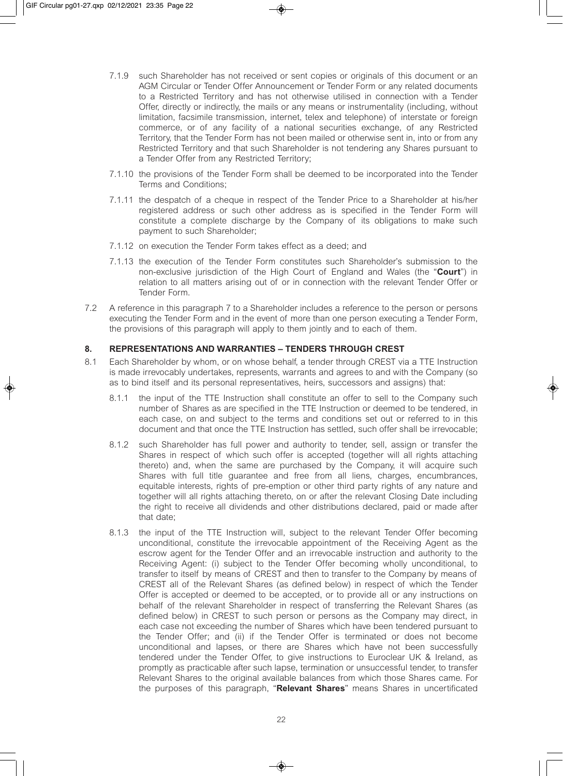- 7.1.9 such Shareholder has not received or sent copies or originals of this document or an AGM Circular or Tender Offer Announcement or Tender Form or any related documents to a Restricted Territory and has not otherwise utilised in connection with a Tender Offer, directly or indirectly, the mails or any means or instrumentality (including, without limitation, facsimile transmission, internet, telex and telephone) of interstate or foreign commerce, or of any facility of a national securities exchange, of any Restricted Territory, that the Tender Form has not been mailed or otherwise sent in, into or from any Restricted Territory and that such Shareholder is not tendering any Shares pursuant to a Tender Offer from any Restricted Territory;
- 7.1.10 the provisions of the Tender Form shall be deemed to be incorporated into the Tender Terms and Conditions;
- 7.1.11 the despatch of a cheque in respect of the Tender Price to a Shareholder at his/her registered address or such other address as is specified in the Tender Form will constitute a complete discharge by the Company of its obligations to make such payment to such Shareholder;
- 7.1.12 on execution the Tender Form takes effect as a deed; and
- 7.1.13 the execution of the Tender Form constitutes such Shareholder's submission to the non-exclusive jurisdiction of the High Court of England and Wales (the "**Court**") in relation to all matters arising out of or in connection with the relevant Tender Offer or Tender Form.
- 7.2 A reference in this paragraph 7 to a Shareholder includes a reference to the person or persons executing the Tender Form and in the event of more than one person executing a Tender Form, the provisions of this paragraph will apply to them jointly and to each of them.

#### **8. REPRESENTATIONS AND WARRANTIES – TENDERS THROUGH CREST**

- 8.1 Each Shareholder by whom, or on whose behalf, a tender through CREST via a TTE Instruction is made irrevocably undertakes, represents, warrants and agrees to and with the Company (so as to bind itself and its personal representatives, heirs, successors and assigns) that:
	- 8.1.1 the input of the TTE Instruction shall constitute an offer to sell to the Company such number of Shares as are specified in the TTE Instruction or deemed to be tendered, in each case, on and subject to the terms and conditions set out or referred to in this document and that once the TTE Instruction has settled, such offer shall be irrevocable;
	- 8.1.2 such Shareholder has full power and authority to tender, sell, assign or transfer the Shares in respect of which such offer is accepted (together will all rights attaching thereto) and, when the same are purchased by the Company, it will acquire such Shares with full title guarantee and free from all liens, charges, encumbrances, equitable interests, rights of pre-emption or other third party rights of any nature and together will all rights attaching thereto, on or after the relevant Closing Date including the right to receive all dividends and other distributions declared, paid or made after that date;
	- 8.1.3 the input of the TTE Instruction will, subject to the relevant Tender Offer becoming unconditional, constitute the irrevocable appointment of the Receiving Agent as the escrow agent for the Tender Offer and an irrevocable instruction and authority to the Receiving Agent: (i) subject to the Tender Offer becoming wholly unconditional, to transfer to itself by means of CREST and then to transfer to the Company by means of CREST all of the Relevant Shares (as defined below) in respect of which the Tender Offer is accepted or deemed to be accepted, or to provide all or any instructions on behalf of the relevant Shareholder in respect of transferring the Relevant Shares (as defined below) in CREST to such person or persons as the Company may direct, in each case not exceeding the number of Shares which have been tendered pursuant to the Tender Offer; and (ii) if the Tender Offer is terminated or does not become unconditional and lapses, or there are Shares which have not been successfully tendered under the Tender Offer, to give instructions to Euroclear UK & Ireland, as promptly as practicable after such lapse, termination or unsuccessful tender, to transfer Relevant Shares to the original available balances from which those Shares came. For the purposes of this paragraph, "**Relevant Shares**" means Shares in uncertificated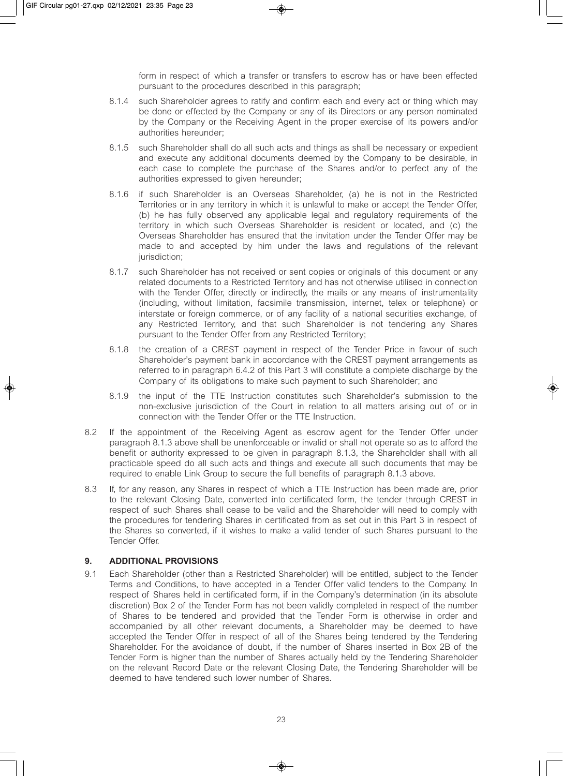form in respect of which a transfer or transfers to escrow has or have been effected pursuant to the procedures described in this paragraph;

- 8.1.4 such Shareholder agrees to ratify and confirm each and every act or thing which may be done or effected by the Company or any of its Directors or any person nominated by the Company or the Receiving Agent in the proper exercise of its powers and/or authorities hereunder;
- 8.1.5 such Shareholder shall do all such acts and things as shall be necessary or expedient and execute any additional documents deemed by the Company to be desirable, in each case to complete the purchase of the Shares and/or to perfect any of the authorities expressed to given hereunder;
- 8.1.6 if such Shareholder is an Overseas Shareholder, (a) he is not in the Restricted Territories or in any territory in which it is unlawful to make or accept the Tender Offer, (b) he has fully observed any applicable legal and regulatory requirements of the territory in which such Overseas Shareholder is resident or located, and (c) the Overseas Shareholder has ensured that the invitation under the Tender Offer may be made to and accepted by him under the laws and regulations of the relevant jurisdiction;
- 8.1.7 such Shareholder has not received or sent copies or originals of this document or any related documents to a Restricted Territory and has not otherwise utilised in connection with the Tender Offer, directly or indirectly, the mails or any means of instrumentality (including, without limitation, facsimile transmission, internet, telex or telephone) or interstate or foreign commerce, or of any facility of a national securities exchange, of any Restricted Territory, and that such Shareholder is not tendering any Shares pursuant to the Tender Offer from any Restricted Territory;
- 8.1.8 the creation of a CREST payment in respect of the Tender Price in favour of such Shareholder's payment bank in accordance with the CREST payment arrangements as referred to in paragraph 6.4.2 of this Part 3 will constitute a complete discharge by the Company of its obligations to make such payment to such Shareholder; and
- 8.1.9 the input of the TTE Instruction constitutes such Shareholder's submission to the non-exclusive jurisdiction of the Court in relation to all matters arising out of or in connection with the Tender Offer or the TTE Instruction.
- 8.2 If the appointment of the Receiving Agent as escrow agent for the Tender Offer under paragraph 8.1.3 above shall be unenforceable or invalid or shall not operate so as to afford the benefit or authority expressed to be given in paragraph 8.1.3, the Shareholder shall with all practicable speed do all such acts and things and execute all such documents that may be required to enable Link Group to secure the full benefits of paragraph 8.1.3 above.
- 8.3 If, for any reason, any Shares in respect of which a TTE Instruction has been made are, prior to the relevant Closing Date, converted into certificated form, the tender through CREST in respect of such Shares shall cease to be valid and the Shareholder will need to comply with the procedures for tendering Shares in certificated from as set out in this Part 3 in respect of the Shares so converted, if it wishes to make a valid tender of such Shares pursuant to the Tender Offer.

#### **9. ADDITIONAL PROVISIONS**

9.1 Each Shareholder (other than a Restricted Shareholder) will be entitled, subject to the Tender Terms and Conditions, to have accepted in a Tender Offer valid tenders to the Company. In respect of Shares held in certificated form, if in the Company's determination (in its absolute discretion) Box 2 of the Tender Form has not been validly completed in respect of the number of Shares to be tendered and provided that the Tender Form is otherwise in order and accompanied by all other relevant documents, a Shareholder may be deemed to have accepted the Tender Offer in respect of all of the Shares being tendered by the Tendering Shareholder. For the avoidance of doubt, if the number of Shares inserted in Box 2B of the Tender Form is higher than the number of Shares actually held by the Tendering Shareholder on the relevant Record Date or the relevant Closing Date, the Tendering Shareholder will be deemed to have tendered such lower number of Shares.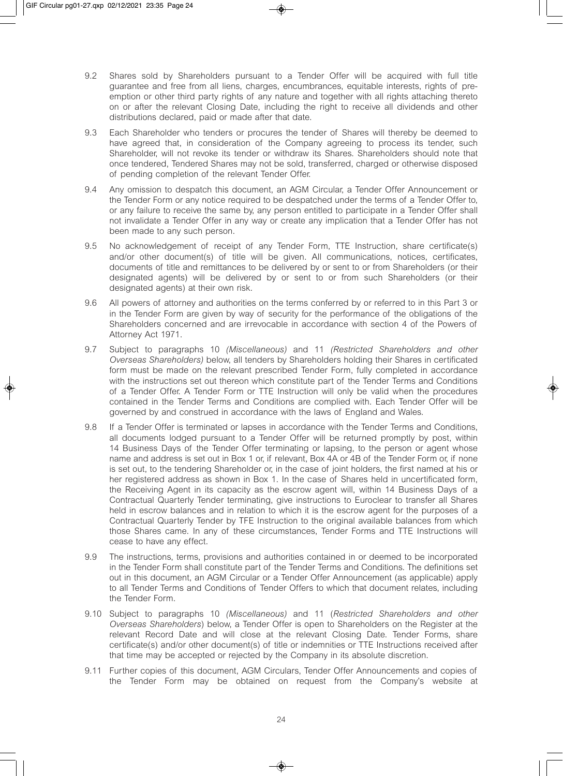- 9.2 Shares sold by Shareholders pursuant to a Tender Offer will be acquired with full title guarantee and free from all liens, charges, encumbrances, equitable interests, rights of preemption or other third party rights of any nature and together with all rights attaching thereto on or after the relevant Closing Date, including the right to receive all dividends and other distributions declared, paid or made after that date.
- 9.3 Each Shareholder who tenders or procures the tender of Shares will thereby be deemed to have agreed that, in consideration of the Company agreeing to process its tender, such Shareholder, will not revoke its tender or withdraw its Shares. Shareholders should note that once tendered, Tendered Shares may not be sold, transferred, charged or otherwise disposed of pending completion of the relevant Tender Offer.
- 9.4 Any omission to despatch this document, an AGM Circular, a Tender Offer Announcement or the Tender Form or any notice required to be despatched under the terms of a Tender Offer to, or any failure to receive the same by, any person entitled to participate in a Tender Offer shall not invalidate a Tender Offer in any way or create any implication that a Tender Offer has not been made to any such person.
- 9.5 No acknowledgement of receipt of any Tender Form, TTE Instruction, share certificate(s) and/or other document(s) of title will be given. All communications, notices, certificates, documents of title and remittances to be delivered by or sent to or from Shareholders (or their designated agents) will be delivered by or sent to or from such Shareholders (or their designated agents) at their own risk.
- 9.6 All powers of attorney and authorities on the terms conferred by or referred to in this Part 3 or in the Tender Form are given by way of security for the performance of the obligations of the Shareholders concerned and are irrevocable in accordance with section 4 of the Powers of Attorney Act 1971.
- 9.7 Subject to paragraphs 10 *(Miscellaneous)* and 11 *(Restricted Shareholders and other Overseas Shareholders)* below, all tenders by Shareholders holding their Shares in certificated form must be made on the relevant prescribed Tender Form, fully completed in accordance with the instructions set out thereon which constitute part of the Tender Terms and Conditions of a Tender Offer. A Tender Form or TTE Instruction will only be valid when the procedures contained in the Tender Terms and Conditions are complied with. Each Tender Offer will be governed by and construed in accordance with the laws of England and Wales.
- 9.8 If a Tender Offer is terminated or lapses in accordance with the Tender Terms and Conditions, all documents lodged pursuant to a Tender Offer will be returned promptly by post, within 14 Business Days of the Tender Offer terminating or lapsing, to the person or agent whose name and address is set out in Box 1 or, if relevant, Box 4A or 4B of the Tender Form or, if none is set out, to the tendering Shareholder or, in the case of joint holders, the first named at his or her registered address as shown in Box 1. In the case of Shares held in uncertificated form, the Receiving Agent in its capacity as the escrow agent will, within 14 Business Days of a Contractual Quarterly Tender terminating, give instructions to Euroclear to transfer all Shares held in escrow balances and in relation to which it is the escrow agent for the purposes of a Contractual Quarterly Tender by TFE Instruction to the original available balances from which those Shares came. In any of these circumstances, Tender Forms and TTE Instructions will cease to have any effect.
- 9.9 The instructions, terms, provisions and authorities contained in or deemed to be incorporated in the Tender Form shall constitute part of the Tender Terms and Conditions. The definitions set out in this document, an AGM Circular or a Tender Offer Announcement (as applicable) apply to all Tender Terms and Conditions of Tender Offers to which that document relates, including the Tender Form.
- 9.10 Subject to paragraphs 10 *(Miscellaneous)* and 11 (*Restricted Shareholders and other Overseas Shareholders*) below, a Tender Offer is open to Shareholders on the Register at the relevant Record Date and will close at the relevant Closing Date. Tender Forms, share certificate(s) and/or other document(s) of title or indemnities or TTE Instructions received after that time may be accepted or rejected by the Company in its absolute discretion.
- 9.11 Further copies of this document, AGM Circulars, Tender Offer Announcements and copies of the Tender Form may be obtained on request from the Company's website at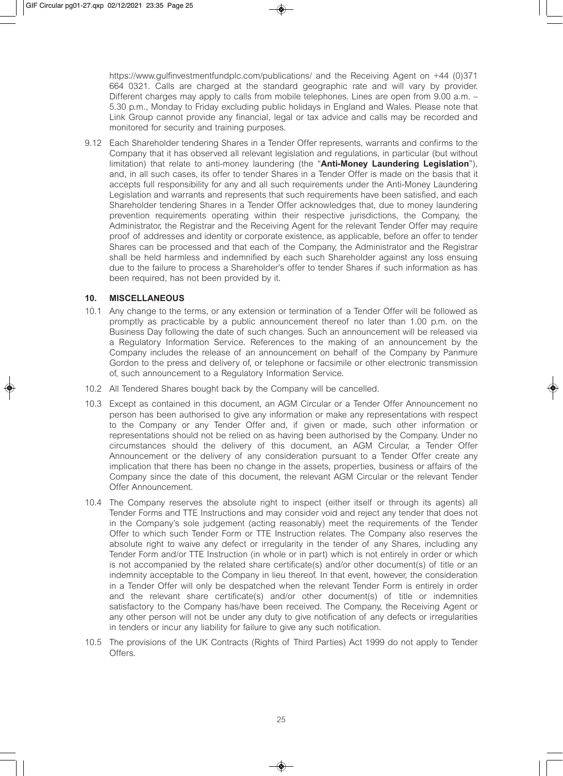https://www.gulfinvestmentfundplc.com/publications/ and the Receiving Agent on +44 (0)371 664 0321. Calls are charged at the standard geographic rate and will vary by provider. Different charges may apply to calls from mobile telephones. Lines are open from 9.00 a.m. -5.30 p.m., Monday to Friday excluding public holidays in England and Wales. Please note that Link Group cannot provide any financial, legal or tax advice and calls may be recorded and monitored for security and training purposes.

9.12 Each Shareholder tendering Shares in a Tender Offer represents, warrants and confirms to the Company that it has observed all relevant legislation and regulations, in particular (but without limitation) that relate to anti-money laundering (the "**Anti-Money Laundering Legislation**"), and, in all such cases, its offer to tender Shares in a Tender Offer is made on the basis that it accepts full responsibility for any and all such requirements under the Anti-Money Laundering Legislation and warrants and represents that such requirements have been satisfied, and each Shareholder tendering Shares in a Tender Offer acknowledges that, due to money laundering prevention requirements operating within their respective jurisdictions, the Company, the Administrator, the Registrar and the Receiving Agent for the relevant Tender Offer may require proof of addresses and identity or corporate existence, as applicable, before an offer to tender Shares can be processed and that each of the Company, the Administrator and the Registrar shall be held harmless and indemnified by each such Shareholder against any loss ensuing due to the failure to process a Shareholder's offer to tender Shares if such information as has been required, has not been provided by it.

#### **10. MISCELLANEOUS**

- 10.1 Any change to the terms, or any extension or termination of a Tender Offer will be followed as promptly as practicable by a public announcement thereof no later than 1.00 p.m. on the Business Day following the date of such changes. Such an announcement will be released via a Regulatory Information Service. References to the making of an announcement by the Company includes the release of an announcement on behalf of the Company by Panmure Gordon to the press and delivery of, or telephone or facsimile or other electronic transmission of, such announcement to a Regulatory Information Service.
- 10.2 All Tendered Shares bought back by the Company will be cancelled.
- 10.3 Except as contained in this document, an AGM Circular or a Tender Offer Announcement no person has been authorised to give any information or make any representations with respect to the Company or any Tender Offer and, if given or made, such other information or representations should not be relied on as having been authorised by the Company. Under no circumstances should the delivery of this document, an AGM Circular, a Tender Offer Announcement or the delivery of any consideration pursuant to a Tender Offer create any implication that there has been no change in the assets, properties, business or affairs of the Company since the date of this document, the relevant AGM Circular or the relevant Tender Offer Announcement.
- 10.4 The Company reserves the absolute right to inspect (either itself or through its agents) all Tender Forms and TTE Instructions and may consider void and reject any tender that does not in the Company's sole judgement (acting reasonably) meet the requirements of the Tender Offer to which such Tender Form or TTE Instruction relates. The Company also reserves the absolute right to waive any defect or irregularity in the tender of any Shares, including any Tender Form and/or TTE Instruction (in whole or in part) which is not entirely in order or which is not accompanied by the related share certificate(s) and/or other document(s) of title or an indemnity acceptable to the Company in lieu thereof. In that event, however, the consideration in a Tender Offer will only be despatched when the relevant Tender Form is entirely in order and the relevant share certificate(s) and/or other document(s) of title or indemnities satisfactory to the Company has/have been received. The Company, the Receiving Agent or any other person will not be under any duty to give notification of any defects or irregularities in tenders or incur any liability for failure to give any such notification.
- 10.5 The provisions of the UK Contracts (Rights of Third Parties) Act 1999 do not apply to Tender Offers.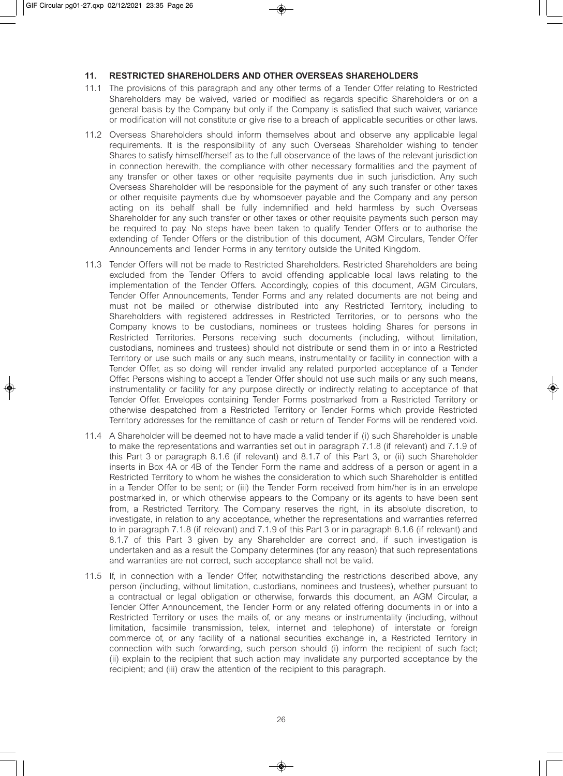#### **11. RESTRICTED SHAREHOLDERS AND OTHER OVERSEAS SHAREHOLDERS**

- 11.1 The provisions of this paragraph and any other terms of a Tender Offer relating to Restricted Shareholders may be waived, varied or modified as regards specific Shareholders or on a general basis by the Company but only if the Company is satisfied that such waiver, variance or modification will not constitute or give rise to a breach of applicable securities or other laws.
- 11.2 Overseas Shareholders should inform themselves about and observe any applicable legal requirements. It is the responsibility of any such Overseas Shareholder wishing to tender Shares to satisfy himself/herself as to the full observance of the laws of the relevant jurisdiction in connection herewith, the compliance with other necessary formalities and the payment of any transfer or other taxes or other requisite payments due in such jurisdiction. Any such Overseas Shareholder will be responsible for the payment of any such transfer or other taxes or other requisite payments due by whomsoever payable and the Company and any person acting on its behalf shall be fully indemnified and held harmless by such Overseas Shareholder for any such transfer or other taxes or other requisite payments such person may be required to pay. No steps have been taken to qualify Tender Offers or to authorise the extending of Tender Offers or the distribution of this document, AGM Circulars, Tender Offer Announcements and Tender Forms in any territory outside the United Kingdom.
- 11.3 Tender Offers will not be made to Restricted Shareholders. Restricted Shareholders are being excluded from the Tender Offers to avoid offending applicable local laws relating to the implementation of the Tender Offers. Accordingly, copies of this document, AGM Circulars, Tender Offer Announcements, Tender Forms and any related documents are not being and must not be mailed or otherwise distributed into any Restricted Territory, including to Shareholders with registered addresses in Restricted Territories, or to persons who the Company knows to be custodians, nominees or trustees holding Shares for persons in Restricted Territories. Persons receiving such documents (including, without limitation, custodians, nominees and trustees) should not distribute or send them in or into a Restricted Territory or use such mails or any such means, instrumentality or facility in connection with a Tender Offer, as so doing will render invalid any related purported acceptance of a Tender Offer. Persons wishing to accept a Tender Offer should not use such mails or any such means, instrumentality or facility for any purpose directly or indirectly relating to acceptance of that Tender Offer. Envelopes containing Tender Forms postmarked from a Restricted Territory or otherwise despatched from a Restricted Territory or Tender Forms which provide Restricted Territory addresses for the remittance of cash or return of Tender Forms will be rendered void.
- 11.4 A Shareholder will be deemed not to have made a valid tender if (i) such Shareholder is unable to make the representations and warranties set out in paragraph 7.1.8 (if relevant) and 7.1.9 of this Part 3 or paragraph 8.1.6 (if relevant) and 8.1.7 of this Part 3, or (ii) such Shareholder inserts in Box 4A or 4B of the Tender Form the name and address of a person or agent in a Restricted Territory to whom he wishes the consideration to which such Shareholder is entitled in a Tender Offer to be sent; or (iii) the Tender Form received from him/her is in an envelope postmarked in, or which otherwise appears to the Company or its agents to have been sent from, a Restricted Territory. The Company reserves the right, in its absolute discretion, to investigate, in relation to any acceptance, whether the representations and warranties referred to in paragraph 7.1.8 (if relevant) and 7.1.9 of this Part 3 or in paragraph 8.1.6 (if relevant) and 8.1.7 of this Part 3 given by any Shareholder are correct and, if such investigation is undertaken and as a result the Company determines (for any reason) that such representations and warranties are not correct, such acceptance shall not be valid.
- 11.5 If, in connection with a Tender Offer, notwithstanding the restrictions described above, any person (including, without limitation, custodians, nominees and trustees), whether pursuant to a contractual or legal obligation or otherwise, forwards this document, an AGM Circular, a Tender Offer Announcement, the Tender Form or any related offering documents in or into a Restricted Territory or uses the mails of, or any means or instrumentality (including, without limitation, facsimile transmission, telex, internet and telephone) of interstate or foreign commerce of, or any facility of a national securities exchange in, a Restricted Territory in connection with such forwarding, such person should (i) inform the recipient of such fact; (ii) explain to the recipient that such action may invalidate any purported acceptance by the recipient; and (iii) draw the attention of the recipient to this paragraph.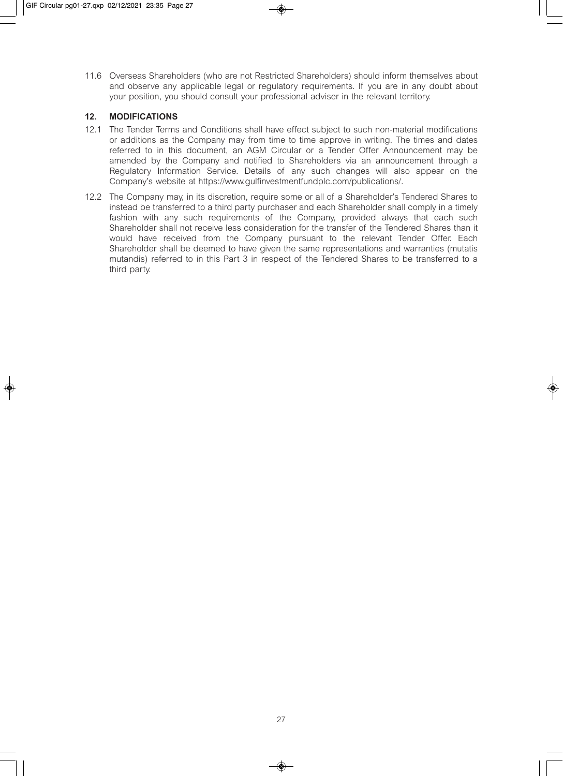11.6 Overseas Shareholders (who are not Restricted Shareholders) should inform themselves about and observe any applicable legal or regulatory requirements. If you are in any doubt about your position, you should consult your professional adviser in the relevant territory.

## **12. MODIFICATIONS**

- 12.1 The Tender Terms and Conditions shall have effect subject to such non-material modifications or additions as the Company may from time to time approve in writing. The times and dates referred to in this document, an AGM Circular or a Tender Offer Announcement may be amended by the Company and notified to Shareholders via an announcement through a Regulatory Information Service. Details of any such changes will also appear on the Company's website at https://www.gulfinvestmentfundplc.com/publications/.
- 12.2 The Company may, in its discretion, require some or all of a Shareholder's Tendered Shares to instead be transferred to a third party purchaser and each Shareholder shall comply in a timely fashion with any such requirements of the Company, provided always that each such Shareholder shall not receive less consideration for the transfer of the Tendered Shares than it would have received from the Company pursuant to the relevant Tender Offer. Each Shareholder shall be deemed to have given the same representations and warranties (mutatis mutandis) referred to in this Part 3 in respect of the Tendered Shares to be transferred to a third party.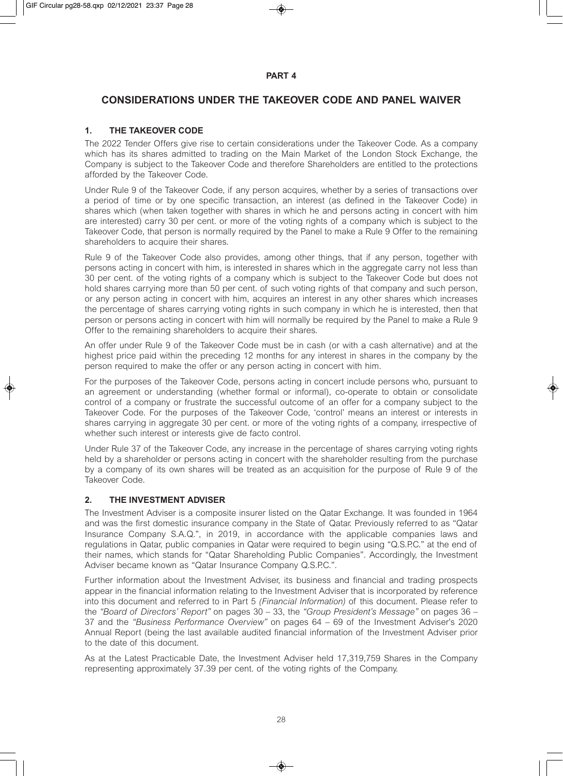#### **PART 4**

# **CONSIDERATIONS UNDER THE TAKEOVER CODE AND PANEL WAIVER**

## **1. THE TAKEOVER CODE**

The 2022 Tender Offers give rise to certain considerations under the Takeover Code. As a company which has its shares admitted to trading on the Main Market of the London Stock Exchange, the Company is subject to the Takeover Code and therefore Shareholders are entitled to the protections afforded by the Takeover Code.

Under Rule 9 of the Takeover Code, if any person acquires, whether by a series of transactions over a period of time or by one specific transaction, an interest (as defined in the Takeover Code) in shares which (when taken together with shares in which he and persons acting in concert with him are interested) carry 30 per cent. or more of the voting rights of a company which is subject to the Takeover Code, that person is normally required by the Panel to make a Rule 9 Offer to the remaining shareholders to acquire their shares.

Rule 9 of the Takeover Code also provides, among other things, that if any person, together with persons acting in concert with him, is interested in shares which in the aggregate carry not less than 30 per cent. of the voting rights of a company which is subject to the Takeover Code but does not hold shares carrying more than 50 per cent. of such voting rights of that company and such person, or any person acting in concert with him, acquires an interest in any other shares which increases the percentage of shares carrying voting rights in such company in which he is interested, then that person or persons acting in concert with him will normally be required by the Panel to make a Rule 9 Offer to the remaining shareholders to acquire their shares.

An offer under Rule 9 of the Takeover Code must be in cash (or with a cash alternative) and at the highest price paid within the preceding 12 months for any interest in shares in the company by the person required to make the offer or any person acting in concert with him.

For the purposes of the Takeover Code, persons acting in concert include persons who, pursuant to an agreement or understanding (whether formal or informal), co-operate to obtain or consolidate control of a company or frustrate the successful outcome of an offer for a company subject to the Takeover Code. For the purposes of the Takeover Code, 'control' means an interest or interests in shares carrying in aggregate 30 per cent. or more of the voting rights of a company, irrespective of whether such interest or interests give de facto control.

Under Rule 37 of the Takeover Code, any increase in the percentage of shares carrying voting rights held by a shareholder or persons acting in concert with the shareholder resulting from the purchase by a company of its own shares will be treated as an acquisition for the purpose of Rule 9 of the Takeover Code.

## **2. THE INVESTMENT ADVISER**

The Investment Adviser is a composite insurer listed on the Qatar Exchange. It was founded in 1964 and was the first domestic insurance company in the State of Qatar. Previously referred to as "Qatar Insurance Company S.A.Q.", in 2019, in accordance with the applicable companies laws and regulations in Qatar, public companies in Qatar were required to begin using "Q.S.P.C." at the end of their names, which stands for "Qatar Shareholding Public Companies". Accordingly, the Investment Adviser became known as "Qatar Insurance Company Q.S.P.C.".

Further information about the Investment Adviser, its business and financial and trading prospects appear in the financial information relating to the Investment Adviser that is incorporated by reference into this document and referred to in Part 5 *(Financial Information)* of this document. Please refer to the *"Board of Directors' Report"* on pages 30 – 33, the *"Group President's Message"* on pages 36 – 37 and the *"Business Performance Overview"* on pages 64 – 69 of the Investment Adviser's 2020 Annual Report (being the last available audited financial information of the Investment Adviser prior to the date of this document.

As at the Latest Practicable Date, the Investment Adviser held 17,319,759 Shares in the Company representing approximately 37.39 per cent. of the voting rights of the Company.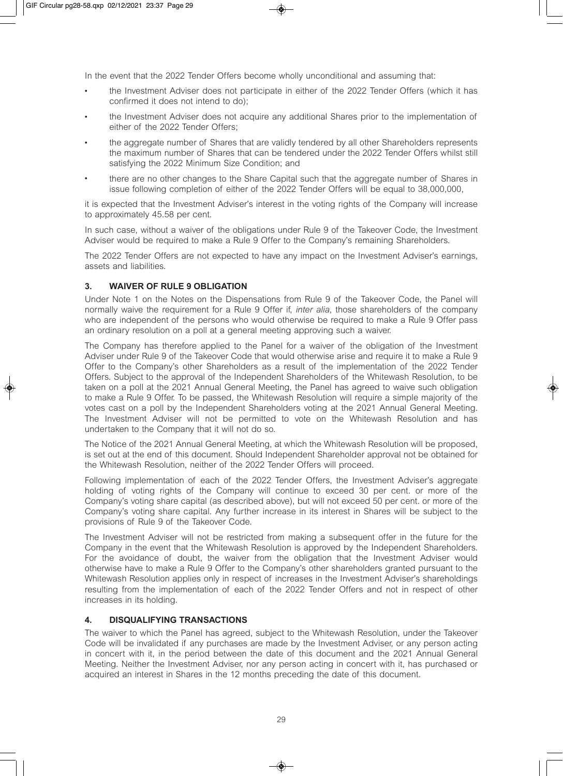In the event that the 2022 Tender Offers become wholly unconditional and assuming that:

- the Investment Adviser does not participate in either of the 2022 Tender Offers (which it has confirmed it does not intend to do);
- the Investment Adviser does not acquire any additional Shares prior to the implementation of either of the 2022 Tender Offers;
- <sup>l</sup> the aggregate number of Shares that are validly tendered by all other Shareholders represents the maximum number of Shares that can be tendered under the 2022 Tender Offers whilst still satisfying the 2022 Minimum Size Condition; and
- <sup>l</sup> there are no other changes to the Share Capital such that the aggregate number of Shares in issue following completion of either of the 2022 Tender Offers will be equal to 38,000,000,

it is expected that the Investment Adviser's interest in the voting rights of the Company will increase to approximately 45.58 per cent.

In such case, without a waiver of the obligations under Rule 9 of the Takeover Code, the Investment Adviser would be required to make a Rule 9 Offer to the Company's remaining Shareholders.

The 2022 Tender Offers are not expected to have any impact on the Investment Adviser's earnings, assets and liabilities.

## **3. WAIVER OF RULE 9 OBLIGATION**

Under Note 1 on the Notes on the Dispensations from Rule 9 of the Takeover Code, the Panel will normally waive the requirement for a Rule 9 Offer if, *inter alia*, those shareholders of the company who are independent of the persons who would otherwise be required to make a Rule 9 Offer pass an ordinary resolution on a poll at a general meeting approving such a waiver.

The Company has therefore applied to the Panel for a waiver of the obligation of the Investment Adviser under Rule 9 of the Takeover Code that would otherwise arise and require it to make a Rule 9 Offer to the Company's other Shareholders as a result of the implementation of the 2022 Tender Offers. Subject to the approval of the Independent Shareholders of the Whitewash Resolution, to be taken on a poll at the 2021 Annual General Meeting, the Panel has agreed to waive such obligation to make a Rule 9 Offer. To be passed, the Whitewash Resolution will require a simple majority of the votes cast on a poll by the Independent Shareholders voting at the 2021 Annual General Meeting. The Investment Adviser will not be permitted to vote on the Whitewash Resolution and has undertaken to the Company that it will not do so.

The Notice of the 2021 Annual General Meeting, at which the Whitewash Resolution will be proposed, is set out at the end of this document. Should Independent Shareholder approval not be obtained for the Whitewash Resolution, neither of the 2022 Tender Offers will proceed.

Following implementation of each of the 2022 Tender Offers, the Investment Adviser's aggregate holding of voting rights of the Company will continue to exceed 30 per cent. or more of the Company's voting share capital (as described above), but will not exceed 50 per cent. or more of the Company's voting share capital. Any further increase in its interest in Shares will be subject to the provisions of Rule 9 of the Takeover Code.

The Investment Adviser will not be restricted from making a subsequent offer in the future for the Company in the event that the Whitewash Resolution is approved by the Independent Shareholders. For the avoidance of doubt, the waiver from the obligation that the Investment Adviser would otherwise have to make a Rule 9 Offer to the Company's other shareholders granted pursuant to the Whitewash Resolution applies only in respect of increases in the Investment Adviser's shareholdings resulting from the implementation of each of the 2022 Tender Offers and not in respect of other increases in its holding.

### **4. DISQUALIFYING TRANSACTIONS**

The waiver to which the Panel has agreed, subject to the Whitewash Resolution, under the Takeover Code will be invalidated if any purchases are made by the Investment Adviser, or any person acting in concert with it, in the period between the date of this document and the 2021 Annual General Meeting. Neither the Investment Adviser, nor any person acting in concert with it, has purchased or acquired an interest in Shares in the 12 months preceding the date of this document.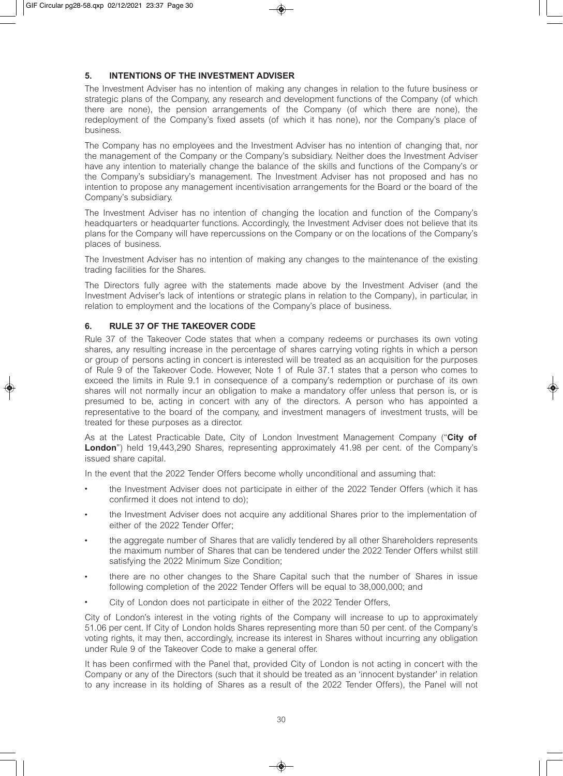# **5. INTENTIONS OF THE INVESTMENT ADVISER**

The Investment Adviser has no intention of making any changes in relation to the future business or strategic plans of the Company, any research and development functions of the Company (of which there are none), the pension arrangements of the Company (of which there are none), the redeployment of the Company's fixed assets (of which it has none), nor the Company's place of business.

The Company has no employees and the Investment Adviser has no intention of changing that, nor the management of the Company or the Company's subsidiary. Neither does the Investment Adviser have any intention to materially change the balance of the skills and functions of the Company's or the Company's subsidiary's management. The Investment Adviser has not proposed and has no intention to propose any management incentivisation arrangements for the Board or the board of the Company's subsidiary.

The Investment Adviser has no intention of changing the location and function of the Company's headquarters or headquarter functions. Accordingly, the Investment Adviser does not believe that its plans for the Company will have repercussions on the Company or on the locations of the Company's places of business.

The Investment Adviser has no intention of making any changes to the maintenance of the existing trading facilities for the Shares.

The Directors fully agree with the statements made above by the Investment Adviser (and the Investment Adviser's lack of intentions or strategic plans in relation to the Company), in particular, in relation to employment and the locations of the Company's place of business.

## **6. RULE 37 OF THE TAKEOVER CODE**

Rule 37 of the Takeover Code states that when a company redeems or purchases its own voting shares, any resulting increase in the percentage of shares carrying voting rights in which a person or group of persons acting in concert is interested will be treated as an acquisition for the purposes of Rule 9 of the Takeover Code. However, Note 1 of Rule 37.1 states that a person who comes to exceed the limits in Rule 9.1 in consequence of a company's redemption or purchase of its own shares will not normally incur an obligation to make a mandatory offer unless that person is, or is presumed to be, acting in concert with any of the directors. A person who has appointed a representative to the board of the company, and investment managers of investment trusts, will be treated for these purposes as a director.

As at the Latest Practicable Date, City of London Investment Management Company ("**City of London**") held 19,443,290 Shares, representing approximately 41.98 per cent. of the Company's issued share capital.

In the event that the 2022 Tender Offers become wholly unconditional and assuming that:

- the Investment Adviser does not participate in either of the 2022 Tender Offers (which it has confirmed it does not intend to do);
- the Investment Adviser does not acquire any additional Shares prior to the implementation of either of the 2022 Tender Offer;
- <sup>l</sup> the aggregate number of Shares that are validly tendered by all other Shareholders represents the maximum number of Shares that can be tendered under the 2022 Tender Offers whilst still satisfying the 2022 Minimum Size Condition;
- <sup>l</sup> there are no other changes to the Share Capital such that the number of Shares in issue following completion of the 2022 Tender Offers will be equal to 38,000,000; and
- City of London does not participate in either of the 2022 Tender Offers,

City of London's interest in the voting rights of the Company will increase to up to approximately 51.06 per cent. If City of London holds Shares representing more than 50 per cent. of the Company's voting rights, it may then, accordingly, increase its interest in Shares without incurring any obligation under Rule 9 of the Takeover Code to make a general offer.

It has been confirmed with the Panel that, provided City of London is not acting in concert with the Company or any of the Directors (such that it should be treated as an 'innocent bystander' in relation to any increase in its holding of Shares as a result of the 2022 Tender Offers), the Panel will not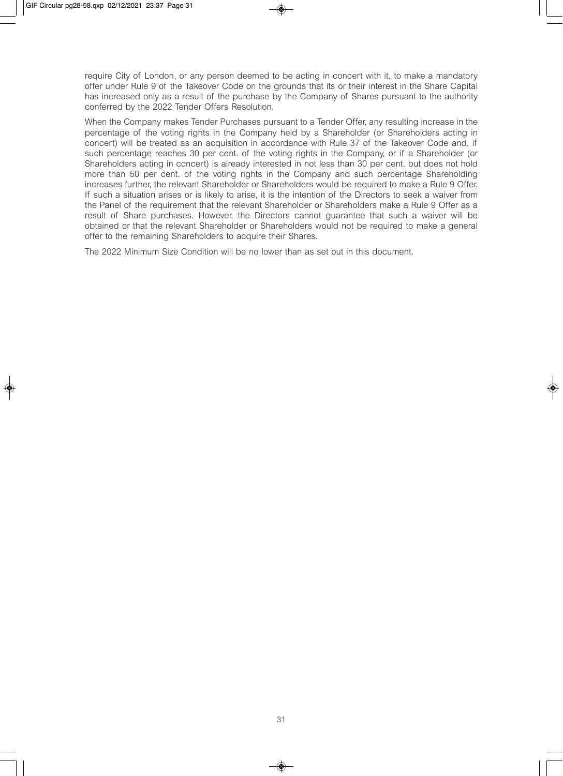require City of London, or any person deemed to be acting in concert with it, to make a mandatory offer under Rule 9 of the Takeover Code on the grounds that its or their interest in the Share Capital has increased only as a result of the purchase by the Company of Shares pursuant to the authority conferred by the 2022 Tender Offers Resolution.

When the Company makes Tender Purchases pursuant to a Tender Offer, any resulting increase in the percentage of the voting rights in the Company held by a Shareholder (or Shareholders acting in concert) will be treated as an acquisition in accordance with Rule 37 of the Takeover Code and, if such percentage reaches 30 per cent. of the voting rights in the Company, or if a Shareholder (or Shareholders acting in concert) is already interested in not less than 30 per cent. but does not hold more than 50 per cent. of the voting rights in the Company and such percentage Shareholding increases further, the relevant Shareholder or Shareholders would be required to make a Rule 9 Offer. If such a situation arises or is likely to arise, it is the intention of the Directors to seek a waiver from the Panel of the requirement that the relevant Shareholder or Shareholders make a Rule 9 Offer as a result of Share purchases. However, the Directors cannot guarantee that such a waiver will be obtained or that the relevant Shareholder or Shareholders would not be required to make a general offer to the remaining Shareholders to acquire their Shares.

The 2022 Minimum Size Condition will be no lower than as set out in this document.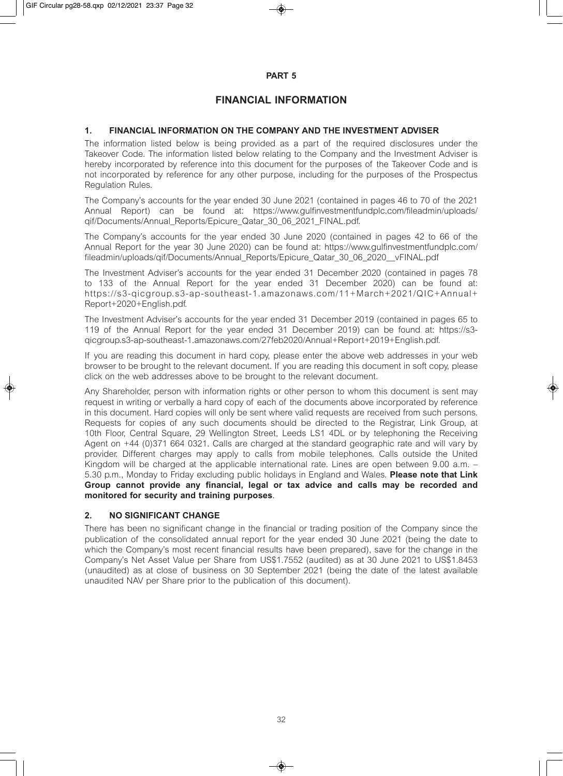#### **PART 5**

# **FINANCIAL INFORMATION**

## **1. FINANCIAL INFORMATION ON THE COMPANY AND THE INVESTMENT ADVISER**

The information listed below is being provided as a part of the required disclosures under the Takeover Code. The information listed below relating to the Company and the Investment Adviser is hereby incorporated by reference into this document for the purposes of the Takeover Code and is not incorporated by reference for any other purpose, including for the purposes of the Prospectus Regulation Rules.

The Company's accounts for the year ended 30 June 2021 (contained in pages 46 to 70 of the 2021 Annual Report) can be found at: https://www.gulfinvestmentfundplc.com/fileadmin/uploads/ qif/Documents/Annual\_Reports/Epicure\_Qatar\_30\_06\_2021\_FINAL.pdf.

The Company's accounts for the year ended 30 June 2020 (contained in pages 42 to 66 of the Annual Report for the year 30 June 2020) can be found at: https://www.gulfinvestmentfundplc.com/ fileadmin/uploads/qif/Documents/Annual\_Reports/Epicure\_Qatar\_30\_06\_2020\_\_vFINAL.pdf

The Investment Adviser's accounts for the year ended 31 December 2020 (contained in pages 78 to 133 of the Annual Report for the year ended 31 December 2020) can be found at: https://s3-qicgroup.s3-ap-southeast-1.amazonaws.com/11+March+2021/QIC+Annual+ Report+2020+English.pdf.

The Investment Adviser's accounts for the year ended 31 December 2019 (contained in pages 65 to 119 of the Annual Report for the year ended 31 December 2019) can be found at: https://s3 qicgroup.s3-ap-southeast-1.amazonaws.com/27feb2020/Annual+Report+2019+English.pdf.

If you are reading this document in hard copy, please enter the above web addresses in your web browser to be brought to the relevant document. If you are reading this document in soft copy, please click on the web addresses above to be brought to the relevant document.

Any Shareholder, person with information rights or other person to whom this document is sent may request in writing or verbally a hard copy of each of the documents above incorporated by reference in this document. Hard copies will only be sent where valid requests are received from such persons. Requests for copies of any such documents should be directed to the Registrar, Link Group, at 10th Floor, Central Square, 29 Wellington Street, Leeds LS1 4DL or by telephoning the Receiving Agent on +44 (0)371 664 0321. Calls are charged at the standard geographic rate and will vary by provider. Different charges may apply to calls from mobile telephones. Calls outside the United Kingdom will be charged at the applicable international rate. Lines are open between 9.00 a.m. -5.30 p.m., Monday to Friday excluding public holidays in England and Wales. **Please note that Link Group cannot provide any financial, legal or tax advice and calls may be recorded and monitored for security and training purposes**.

#### **2. NO SIGNIFICANT CHANGE**

There has been no significant change in the financial or trading position of the Company since the publication of the consolidated annual report for the year ended 30 June 2021 (being the date to which the Company's most recent financial results have been prepared), save for the change in the Company's Net Asset Value per Share from US\$1.7552 (audited) as at 30 June 2021 to US\$1.8453 (unaudited) as at close of business on 30 September 2021 (being the date of the latest available unaudited NAV per Share prior to the publication of this document).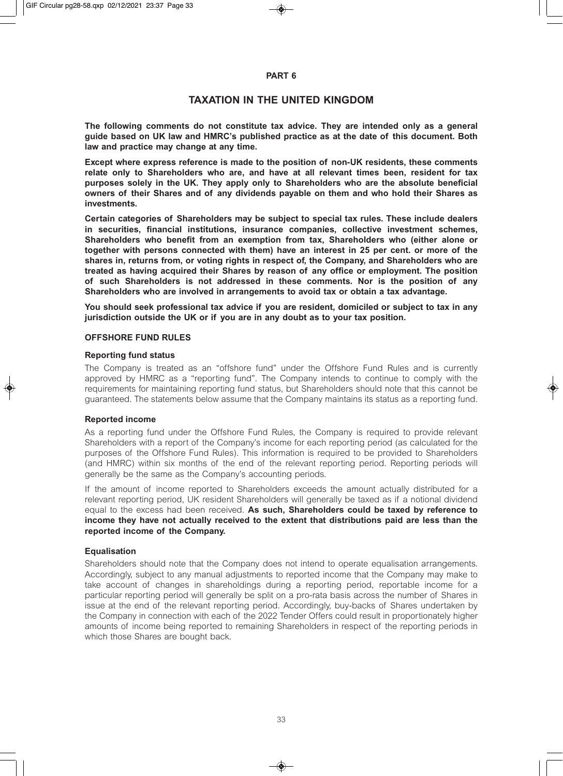#### **PART 6**

#### **TAXATION IN THE UNITED KINGDOM**

**The following comments do not constitute tax advice. They are intended only as a general guide based on UK law and HMRC's published practice as at the date of this document. Both law and practice may change at any time.** 

**Except where express reference is made to the position of non-UK residents, these comments relate only to Shareholders who are, and have at all relevant times been, resident for tax purposes solely in the UK. They apply only to Shareholders who are the absolute beneficial owners of their Shares and of any dividends payable on them and who hold their Shares as investments.** 

**Certain categories of Shareholders may be subject to special tax rules. These include dealers in securities, financial institutions, insurance companies, collective investment schemes, Shareholders who benefit from an exemption from tax, Shareholders who (either alone or together with persons connected with them) have an interest in 25 per cent. or more of the shares in, returns from, or voting rights in respect of, the Company, and Shareholders who are treated as having acquired their Shares by reason of any office or employment. The position of such Shareholders is not addressed in these comments. Nor is the position of any Shareholders who are involved in arrangements to avoid tax or obtain a tax advantage.** 

**You should seek professional tax advice if you are resident, domiciled or subject to tax in any jurisdiction outside the UK or if you are in any doubt as to your tax position.** 

#### **OFFSHORE FUND RULES**

#### **Reporting fund status**

The Company is treated as an "offshore fund" under the Offshore Fund Rules and is currently approved by HMRC as a "reporting fund". The Company intends to continue to comply with the requirements for maintaining reporting fund status, but Shareholders should note that this cannot be guaranteed. The statements below assume that the Company maintains its status as a reporting fund.

#### **Reported income**

As a reporting fund under the Offshore Fund Rules, the Company is required to provide relevant Shareholders with a report of the Company's income for each reporting period (as calculated for the purposes of the Offshore Fund Rules). This information is required to be provided to Shareholders (and HMRC) within six months of the end of the relevant reporting period. Reporting periods will generally be the same as the Company's accounting periods.

If the amount of income reported to Shareholders exceeds the amount actually distributed for a relevant reporting period, UK resident Shareholders will generally be taxed as if a notional dividend equal to the excess had been received. **As such, Shareholders could be taxed by reference to income they have not actually received to the extent that distributions paid are less than the reported income of the Company.** 

#### **Equalisation**

Shareholders should note that the Company does not intend to operate equalisation arrangements. Accordingly, subject to any manual adjustments to reported income that the Company may make to take account of changes in shareholdings during a reporting period, reportable income for a particular reporting period will generally be split on a pro-rata basis across the number of Shares in issue at the end of the relevant reporting period. Accordingly, buy-backs of Shares undertaken by the Company in connection with each of the 2022 Tender Offers could result in proportionately higher amounts of income being reported to remaining Shareholders in respect of the reporting periods in which those Shares are bought back.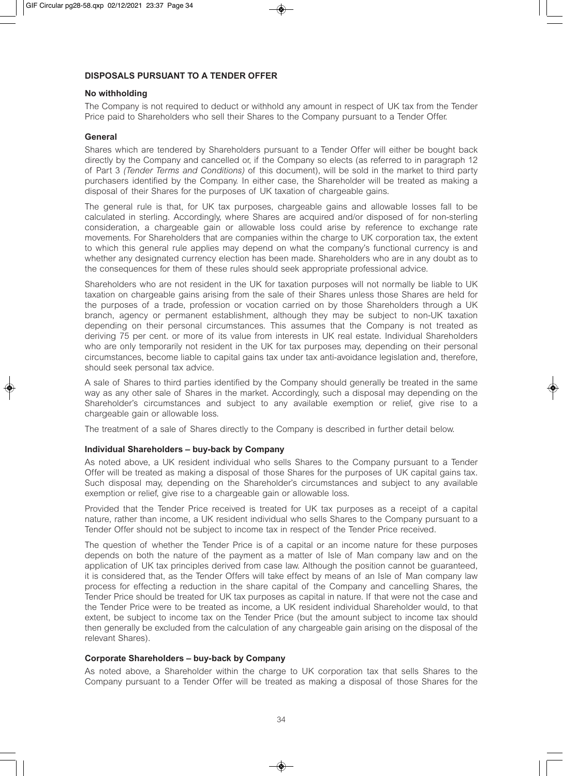#### **DISPOSALS PURSUANT TO A TENDER OFFER**

#### **No withholding**

The Company is not required to deduct or withhold any amount in respect of UK tax from the Tender Price paid to Shareholders who sell their Shares to the Company pursuant to a Tender Offer.

#### **General**

Shares which are tendered by Shareholders pursuant to a Tender Offer will either be bought back directly by the Company and cancelled or, if the Company so elects (as referred to in paragraph 12 of Part 3 *(Tender Terms and Conditions)* of this document), will be sold in the market to third party purchasers identified by the Company. In either case, the Shareholder will be treated as making a disposal of their Shares for the purposes of UK taxation of chargeable gains.

The general rule is that, for UK tax purposes, chargeable gains and allowable losses fall to be calculated in sterling. Accordingly, where Shares are acquired and/or disposed of for non-sterling consideration, a chargeable gain or allowable loss could arise by reference to exchange rate movements. For Shareholders that are companies within the charge to UK corporation tax, the extent to which this general rule applies may depend on what the company's functional currency is and whether any designated currency election has been made. Shareholders who are in any doubt as to the consequences for them of these rules should seek appropriate professional advice.

Shareholders who are not resident in the UK for taxation purposes will not normally be liable to UK taxation on chargeable gains arising from the sale of their Shares unless those Shares are held for the purposes of a trade, profession or vocation carried on by those Shareholders through a UK branch, agency or permanent establishment, although they may be subject to non-UK taxation depending on their personal circumstances. This assumes that the Company is not treated as deriving 75 per cent. or more of its value from interests in UK real estate. Individual Shareholders who are only temporarily not resident in the UK for tax purposes may, depending on their personal circumstances, become liable to capital gains tax under tax anti-avoidance legislation and, therefore, should seek personal tax advice.

A sale of Shares to third parties identified by the Company should generally be treated in the same way as any other sale of Shares in the market. Accordingly, such a disposal may depending on the Shareholder's circumstances and subject to any available exemption or relief, give rise to a chargeable gain or allowable loss.

The treatment of a sale of Shares directly to the Company is described in further detail below.

## **Individual Shareholders – buy-back by Company**

As noted above, a UK resident individual who sells Shares to the Company pursuant to a Tender Offer will be treated as making a disposal of those Shares for the purposes of UK capital gains tax. Such disposal may, depending on the Shareholder's circumstances and subject to any available exemption or relief, give rise to a chargeable gain or allowable loss.

Provided that the Tender Price received is treated for UK tax purposes as a receipt of a capital nature, rather than income, a UK resident individual who sells Shares to the Company pursuant to a Tender Offer should not be subject to income tax in respect of the Tender Price received.

The question of whether the Tender Price is of a capital or an income nature for these purposes depends on both the nature of the payment as a matter of Isle of Man company law and on the application of UK tax principles derived from case law. Although the position cannot be guaranteed, it is considered that, as the Tender Offers will take effect by means of an Isle of Man company law process for effecting a reduction in the share capital of the Company and cancelling Shares, the Tender Price should be treated for UK tax purposes as capital in nature. If that were not the case and the Tender Price were to be treated as income, a UK resident individual Shareholder would, to that extent, be subject to income tax on the Tender Price (but the amount subject to income tax should then generally be excluded from the calculation of any chargeable gain arising on the disposal of the relevant Shares).

#### **Corporate Shareholders – buy-back by Company**

As noted above, a Shareholder within the charge to UK corporation tax that sells Shares to the Company pursuant to a Tender Offer will be treated as making a disposal of those Shares for the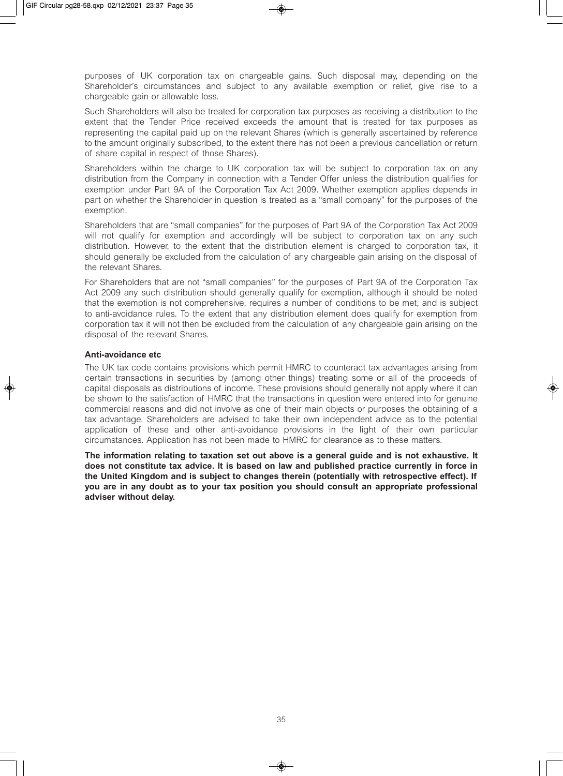purposes of UK corporation tax on chargeable gains. Such disposal may, depending on the Shareholder's circumstances and subject to any available exemption or relief, give rise to a chargeable gain or allowable loss.

Such Shareholders will also be treated for corporation tax purposes as receiving a distribution to the extent that the Tender Price received exceeds the amount that is treated for tax purposes as representing the capital paid up on the relevant Shares (which is generally ascertained by reference to the amount originally subscribed, to the extent there has not been a previous cancellation or return of share capital in respect of those Shares).

Shareholders within the charge to UK corporation tax will be subject to corporation tax on any distribution from the Company in connection with a Tender Offer unless the distribution qualifies for exemption under Part 9A of the Corporation Tax Act 2009. Whether exemption applies depends in part on whether the Shareholder in question is treated as a "small company" for the purposes of the exemption.

Shareholders that are "small companies" for the purposes of Part 9A of the Corporation Tax Act 2009 will not qualify for exemption and accordingly will be subject to corporation tax on any such distribution. However, to the extent that the distribution element is charged to corporation tax, it should generally be excluded from the calculation of any chargeable gain arising on the disposal of the relevant Shares.

For Shareholders that are not "small companies" for the purposes of Part 9A of the Corporation Tax Act 2009 any such distribution should generally qualify for exemption, although it should be noted that the exemption is not comprehensive, requires a number of conditions to be met, and is subject to anti-avoidance rules. To the extent that any distribution element does qualify for exemption from corporation tax it will not then be excluded from the calculation of any chargeable gain arising on the disposal of the relevant Shares.

#### **Anti-avoidance etc**

The UK tax code contains provisions which permit HMRC to counteract tax advantages arising from certain transactions in securities by (among other things) treating some or all of the proceeds of capital disposals as distributions of income. These provisions should generally not apply where it can be shown to the satisfaction of HMRC that the transactions in question were entered into for genuine commercial reasons and did not involve as one of their main objects or purposes the obtaining of a tax advantage. Shareholders are advised to take their own independent advice as to the potential application of these and other anti-avoidance provisions in the light of their own particular circumstances. Application has not been made to HMRC for clearance as to these matters.

**The information relating to taxation set out above is a general guide and is not exhaustive. It does not constitute tax advice. It is based on law and published practice currently in force in the United Kingdom and is subject to changes therein (potentially with retrospective effect). If you are in any doubt as to your tax position you should consult an appropriate professional adviser without delay.**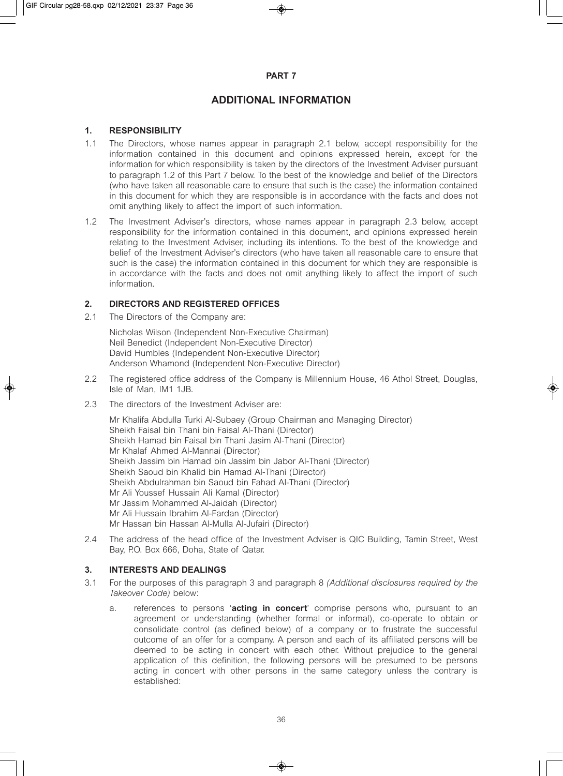#### **PART 7**

# **ADDITIONAL INFORMATION**

#### **1. RESPONSIBILITY**

- 1.1 The Directors, whose names appear in paragraph 2.1 below, accept responsibility for the information contained in this document and opinions expressed herein, except for the information for which responsibility is taken by the directors of the Investment Adviser pursuant to paragraph 1.2 of this Part 7 below. To the best of the knowledge and belief of the Directors (who have taken all reasonable care to ensure that such is the case) the information contained in this document for which they are responsible is in accordance with the facts and does not omit anything likely to affect the import of such information.
- 1.2 The Investment Adviser's directors, whose names appear in paragraph 2.3 below, accept responsibility for the information contained in this document, and opinions expressed herein relating to the Investment Adviser, including its intentions. To the best of the knowledge and belief of the Investment Adviser's directors (who have taken all reasonable care to ensure that such is the case) the information contained in this document for which they are responsible is in accordance with the facts and does not omit anything likely to affect the import of such information.

## **2. DIRECTORS AND REGISTERED OFFICES**

2.1 The Directors of the Company are:

Nicholas Wilson (Independent Non-Executive Chairman) Neil Benedict (Independent Non-Executive Director) David Humbles (Independent Non-Executive Director) Anderson Whamond (Independent Non-Executive Director)

- 2.2 The registered office address of the Company is Millennium House, 46 Athol Street, Douglas, Isle of Man, IM1 1JB.
- 2.3 The directors of the Investment Adviser are:

Mr Khalifa Abdulla Turki Al-Subaey (Group Chairman and Managing Director) Sheikh Faisal bin Thani bin Faisal Al-Thani (Director) Sheikh Hamad bin Faisal bin Thani Jasim Al-Thani (Director) Mr Khalaf Ahmed Al-Mannai (Director) Sheikh Jassim bin Hamad bin Jassim bin Jabor Al-Thani (Director) Sheikh Saoud bin Khalid bin Hamad Al-Thani (Director) Sheikh Abdulrahman bin Saoud bin Fahad Al-Thani (Director) Mr Ali Youssef Hussain Ali Kamal (Director) Mr Jassim Mohammed Al-Jaidah (Director) Mr Ali Hussain Ibrahim Al-Fardan (Director) Mr Hassan bin Hassan Al-Mulla Al-Jufairi (Director)

2.4 The address of the head office of the Investment Adviser is QIC Building, Tamin Street, West Bay, P.O. Box 666, Doha, State of Qatar.

#### **3. INTERESTS AND DEALINGS**

- 3.1 For the purposes of this paragraph 3 and paragraph 8 *(Additional disclosures required by the Takeover Code)* below:
	- a. references to persons '**acting in concert**' comprise persons who, pursuant to an agreement or understanding (whether formal or informal), co-operate to obtain or consolidate control (as defined below) of a company or to frustrate the successful outcome of an offer for a company. A person and each of its affiliated persons will be deemed to be acting in concert with each other. Without prejudice to the general application of this definition, the following persons will be presumed to be persons acting in concert with other persons in the same category unless the contrary is established: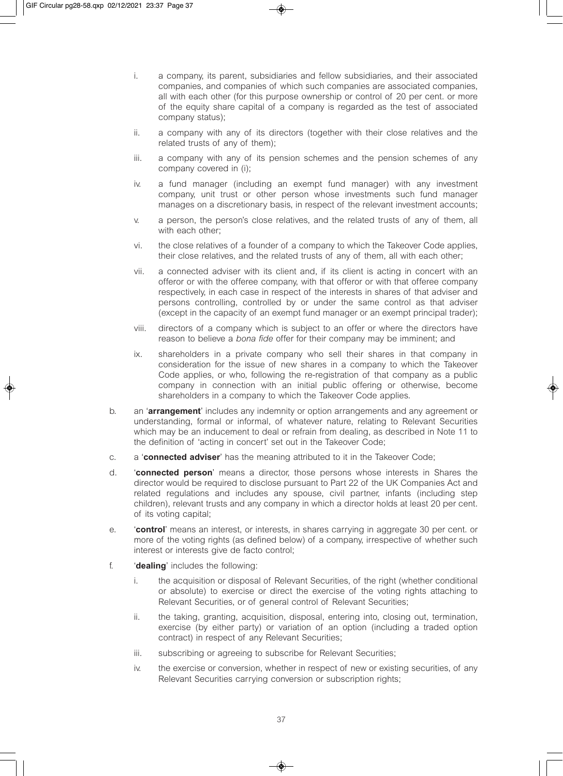- i. a company, its parent, subsidiaries and fellow subsidiaries, and their associated companies, and companies of which such companies are associated companies, all with each other (for this purpose ownership or control of 20 per cent. or more of the equity share capital of a company is regarded as the test of associated company status);
- ii. a company with any of its directors (together with their close relatives and the related trusts of any of them);
- iii. a company with any of its pension schemes and the pension schemes of any company covered in (i);
- iv. a fund manager (including an exempt fund manager) with any investment company, unit trust or other person whose investments such fund manager manages on a discretionary basis, in respect of the relevant investment accounts;
- v. a person, the person's close relatives, and the related trusts of any of them, all with each other;
- vi. the close relatives of a founder of a company to which the Takeover Code applies, their close relatives, and the related trusts of any of them, all with each other;
- vii. a connected adviser with its client and, if its client is acting in concert with an offeror or with the offeree company, with that offeror or with that offeree company respectively, in each case in respect of the interests in shares of that adviser and persons controlling, controlled by or under the same control as that adviser (except in the capacity of an exempt fund manager or an exempt principal trader);
- viii. directors of a company which is subject to an offer or where the directors have reason to believe a *bona fide* offer for their company may be imminent; and
- ix. shareholders in a private company who sell their shares in that company in consideration for the issue of new shares in a company to which the Takeover Code applies, or who, following the re-registration of that company as a public company in connection with an initial public offering or otherwise, become shareholders in a company to which the Takeover Code applies.
- b. an '**arrangement**' includes any indemnity or option arrangements and any agreement or understanding, formal or informal, of whatever nature, relating to Relevant Securities which may be an inducement to deal or refrain from dealing, as described in Note 11 to the definition of 'acting in concert' set out in the Takeover Code;
- c. a '**connected adviser**' has the meaning attributed to it in the Takeover Code;
- d. '**connected person**' means a director, those persons whose interests in Shares the director would be required to disclose pursuant to Part 22 of the UK Companies Act and related regulations and includes any spouse, civil partner, infants (including step children), relevant trusts and any company in which a director holds at least 20 per cent. of its voting capital;
- e. '**control**' means an interest, or interests, in shares carrying in aggregate 30 per cent. or more of the voting rights (as defined below) of a company, irrespective of whether such interest or interests give de facto control;
- f. '**dealing**' includes the following:
	- i. the acquisition or disposal of Relevant Securities, of the right (whether conditional or absolute) to exercise or direct the exercise of the voting rights attaching to Relevant Securities, or of general control of Relevant Securities;
	- ii. the taking, granting, acquisition, disposal, entering into, closing out, termination, exercise (by either party) or variation of an option (including a traded option contract) in respect of any Relevant Securities;
	- iii. subscribing or agreeing to subscribe for Relevant Securities;
	- iv. the exercise or conversion, whether in respect of new or existing securities, of any Relevant Securities carrying conversion or subscription rights;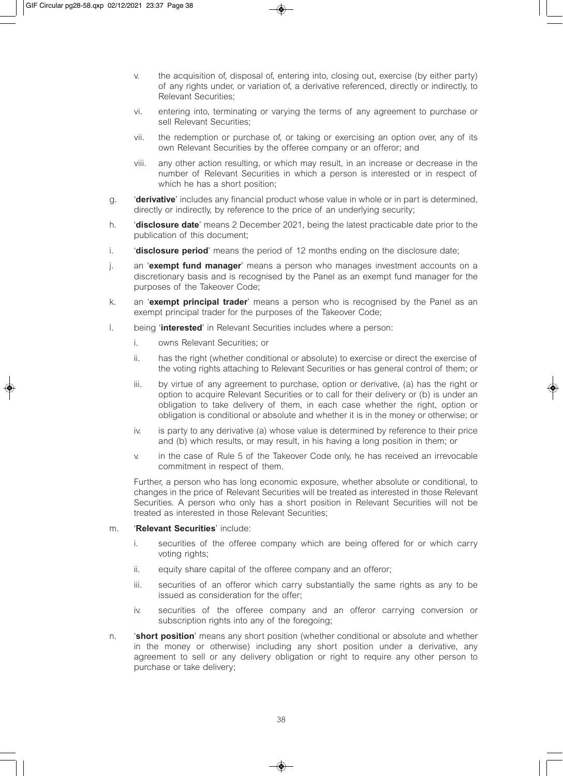- v. the acquisition of, disposal of, entering into, closing out, exercise (by either party) of any rights under, or variation of, a derivative referenced, directly or indirectly, to Relevant Securities;
- vi. entering into, terminating or varying the terms of any agreement to purchase or sell Relevant Securities;
- vii. the redemption or purchase of, or taking or exercising an option over, any of its own Relevant Securities by the offeree company or an offeror; and
- viii. any other action resulting, or which may result, in an increase or decrease in the number of Relevant Securities in which a person is interested or in respect of which he has a short position;
- g. '**derivative**' includes any financial product whose value in whole or in part is determined, directly or indirectly, by reference to the price of an underlying security;
- h. '**disclosure date**' means 2 December 2021, being the latest practicable date prior to the publication of this document;
- i. '**disclosure period**' means the period of 12 months ending on the disclosure date;
- j. an '**exempt fund manager**' means a person who manages investment accounts on a discretionary basis and is recognised by the Panel as an exempt fund manager for the purposes of the Takeover Code;
- k. an '**exempt principal trader**' means a person who is recognised by the Panel as an exempt principal trader for the purposes of the Takeover Code;
- l. being '**interested**' in Relevant Securities includes where a person:
	- i. owns Relevant Securities; or
	- ii. has the right (whether conditional or absolute) to exercise or direct the exercise of the voting rights attaching to Relevant Securities or has general control of them; or
	- iii. by virtue of any agreement to purchase, option or derivative, (a) has the right or option to acquire Relevant Securities or to call for their delivery or (b) is under an obligation to take delivery of them, in each case whether the right, option or obligation is conditional or absolute and whether it is in the money or otherwise; or
	- iv. is party to any derivative (a) whose value is determined by reference to their price and (b) which results, or may result, in his having a long position in them; or
	- v. in the case of Rule 5 of the Takeover Code only, he has received an irrevocable commitment in respect of them.

Further, a person who has long economic exposure, whether absolute or conditional, to changes in the price of Relevant Securities will be treated as interested in those Relevant Securities. A person who only has a short position in Relevant Securities will not be treated as interested in those Relevant Securities;

#### m. '**Relevant Securities**' include:

- i. securities of the offeree company which are being offered for or which carry voting rights;
- ii. equity share capital of the offeree company and an offeror;
- iii. securities of an offeror which carry substantially the same rights as any to be issued as consideration for the offer;
- iv. securities of the offeree company and an offeror carrying conversion or subscription rights into any of the foregoing;
- n. '**short position**' means any short position (whether conditional or absolute and whether in the money or otherwise) including any short position under a derivative, any agreement to sell or any delivery obligation or right to require any other person to purchase or take delivery;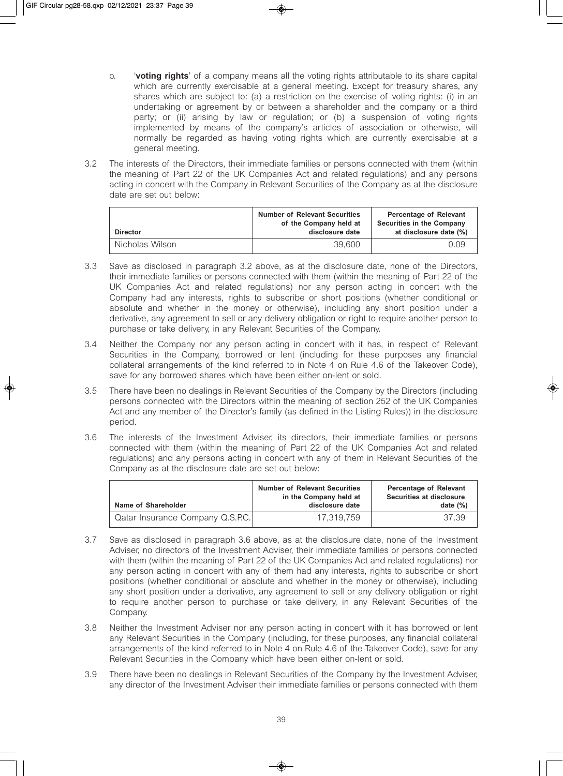- o. '**voting rights**' of a company means all the voting rights attributable to its share capital which are currently exercisable at a general meeting. Except for treasury shares, any shares which are subject to: (a) a restriction on the exercise of voting rights: (i) in an undertaking or agreement by or between a shareholder and the company or a third party; or (ii) arising by law or regulation; or (b) a suspension of voting rights implemented by means of the company's articles of association or otherwise, will normally be regarded as having voting rights which are currently exercisable at a general meeting.
- 3.2 The interests of the Directors, their immediate families or persons connected with them (within the meaning of Part 22 of the UK Companies Act and related regulations) and any persons acting in concert with the Company in Relevant Securities of the Company as at the disclosure date are set out below:

| <b>Director</b> | <b>Number of Relevant Securities</b><br>of the Company held at<br>disclosure date | <b>Percentage of Relevant</b><br>Securities in the Company<br>at disclosure date (%) |
|-----------------|-----------------------------------------------------------------------------------|--------------------------------------------------------------------------------------|
| Nicholas Wilson | 39,600                                                                            | N N9                                                                                 |

- 3.3 Save as disclosed in paragraph 3.2 above, as at the disclosure date, none of the Directors, their immediate families or persons connected with them (within the meaning of Part 22 of the UK Companies Act and related regulations) nor any person acting in concert with the Company had any interests, rights to subscribe or short positions (whether conditional or absolute and whether in the money or otherwise), including any short position under a derivative, any agreement to sell or any delivery obligation or right to require another person to purchase or take delivery, in any Relevant Securities of the Company.
- 3.4 Neither the Company nor any person acting in concert with it has, in respect of Relevant Securities in the Company, borrowed or lent (including for these purposes any financial collateral arrangements of the kind referred to in Note 4 on Rule 4.6 of the Takeover Code), save for any borrowed shares which have been either on-lent or sold.
- 3.5 There have been no dealings in Relevant Securities of the Company by the Directors (including persons connected with the Directors within the meaning of section 252 of the UK Companies Act and any member of the Director's family (as defined in the Listing Rules)) in the disclosure period.
- 3.6 The interests of the Investment Adviser, its directors, their immediate families or persons connected with them (within the meaning of Part 22 of the UK Companies Act and related regulations) and any persons acting in concert with any of them in Relevant Securities of the Company as at the disclosure date are set out below:

| Name of Shareholder              | <b>Number of Relevant Securities</b><br>in the Company held at<br>disclosure date | <b>Percentage of Relevant</b><br>Securities at disclosure<br>date $(\%)$ |
|----------------------------------|-----------------------------------------------------------------------------------|--------------------------------------------------------------------------|
| Qatar Insurance Company Q.S.P.C. | 17.319.759                                                                        | 37.39                                                                    |

- 3.7 Save as disclosed in paragraph 3.6 above, as at the disclosure date, none of the Investment Adviser, no directors of the Investment Adviser, their immediate families or persons connected with them (within the meaning of Part 22 of the UK Companies Act and related regulations) nor any person acting in concert with any of them had any interests, rights to subscribe or short positions (whether conditional or absolute and whether in the money or otherwise), including any short position under a derivative, any agreement to sell or any delivery obligation or right to require another person to purchase or take delivery, in any Relevant Securities of the Company.
- 3.8 Neither the Investment Adviser nor any person acting in concert with it has borrowed or lent any Relevant Securities in the Company (including, for these purposes, any financial collateral arrangements of the kind referred to in Note 4 on Rule 4.6 of the Takeover Code), save for any Relevant Securities in the Company which have been either on-lent or sold.
- 3.9 There have been no dealings in Relevant Securities of the Company by the Investment Adviser, any director of the Investment Adviser their immediate families or persons connected with them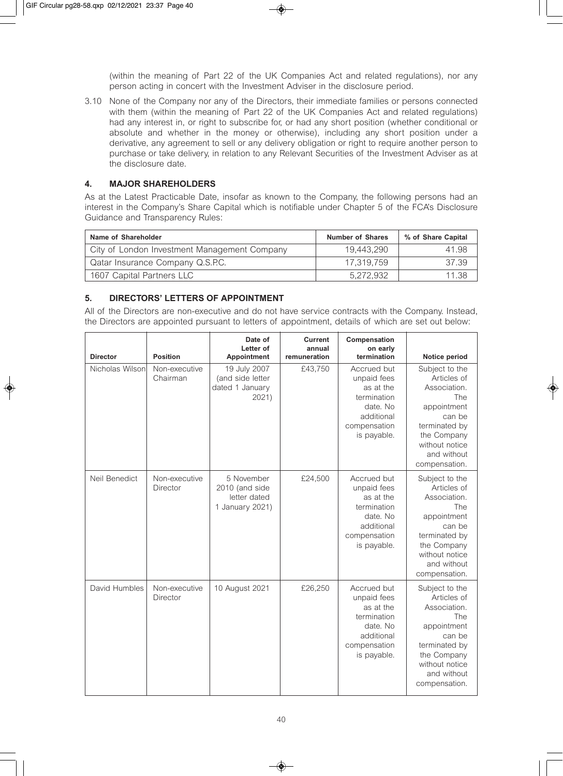(within the meaning of Part 22 of the UK Companies Act and related regulations), nor any person acting in concert with the Investment Adviser in the disclosure period.

3.10 None of the Company nor any of the Directors, their immediate families or persons connected with them (within the meaning of Part 22 of the UK Companies Act and related regulations) had any interest in, or right to subscribe for, or had any short position (whether conditional or absolute and whether in the money or otherwise), including any short position under a derivative, any agreement to sell or any delivery obligation or right to require another person to purchase or take delivery, in relation to any Relevant Securities of the Investment Adviser as at the disclosure date.

## **4. MAJOR SHAREHOLDERS**

As at the Latest Practicable Date, insofar as known to the Company, the following persons had an interest in the Company's Share Capital which is notifiable under Chapter 5 of the FCA's Disclosure Guidance and Transparency Rules:

| Name of Shareholder                          | <b>Number of Shares</b> | % of Share Capital |
|----------------------------------------------|-------------------------|--------------------|
| City of London Investment Management Company | 19.443.290              | 41.98              |
| Qatar Insurance Company Q.S.P.C.             | 17.319.759              | 37.39              |
| 1607 Capital Partners LLC                    | 5.272.932               | 11.38              |

## **5. DIRECTORS' LETTERS OF APPOINTMENT**

All of the Directors are non-executive and do not have service contracts with the Company. Instead, the Directors are appointed pursuant to letters of appointment, details of which are set out below:

| <b>Director</b> | <b>Position</b>           | Date of<br>Letter of<br>Appointment                             | <b>Current</b><br>annual<br>remuneration | Compensation<br>on early<br>termination                                                                         | Notice period                                                                                                                                                   |
|-----------------|---------------------------|-----------------------------------------------------------------|------------------------------------------|-----------------------------------------------------------------------------------------------------------------|-----------------------------------------------------------------------------------------------------------------------------------------------------------------|
| Nicholas Wilson | Non-executive<br>Chairman | 19 July 2007<br>(and side letter<br>dated 1 January<br>2021)    | £43,750                                  | Accrued but<br>unpaid fees<br>as at the<br>termination<br>date. No<br>additional<br>compensation<br>is payable. | Subject to the<br>Articles of<br>Association.<br>The<br>appointment<br>can be<br>terminated by<br>the Company<br>without notice<br>and without<br>compensation. |
| Neil Benedict   | Non-executive<br>Director | 5 November<br>2010 (and side<br>letter dated<br>1 January 2021) | £24,500                                  | Accrued but<br>unpaid fees<br>as at the<br>termination<br>date. No<br>additional<br>compensation<br>is payable. | Subject to the<br>Articles of<br>Association.<br>The<br>appointment<br>can be<br>terminated by<br>the Company<br>without notice<br>and without<br>compensation. |
| David Humbles   | Non-executive<br>Director | 10 August 2021                                                  | £26,250                                  | Accrued but<br>unpaid fees<br>as at the<br>termination<br>date. No<br>additional<br>compensation<br>is payable. | Subject to the<br>Articles of<br>Association.<br>The<br>appointment<br>can be<br>terminated by<br>the Company<br>without notice<br>and without<br>compensation. |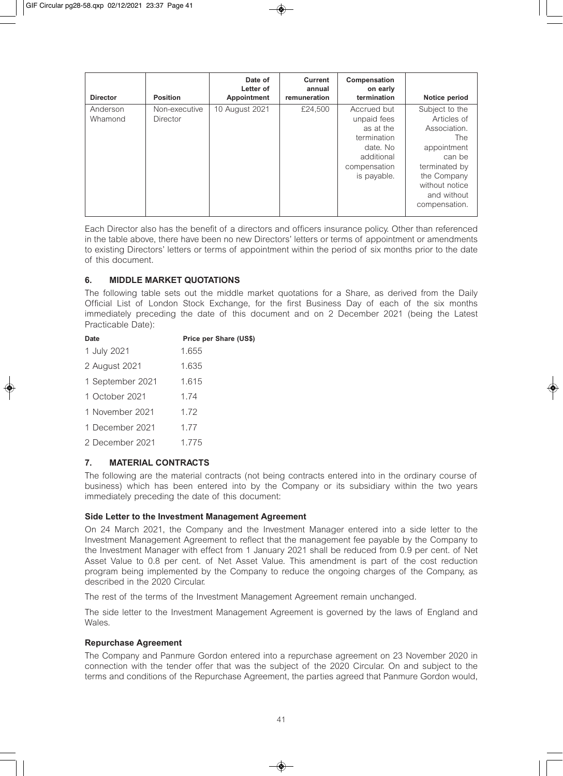| <b>Director</b>     | <b>Position</b>           | Date of<br>Letter of<br>Appointment | <b>Current</b><br>annual<br>remuneration | Compensation<br>on early<br>termination                                                                         | Notice period                                                                                                                                                          |
|---------------------|---------------------------|-------------------------------------|------------------------------------------|-----------------------------------------------------------------------------------------------------------------|------------------------------------------------------------------------------------------------------------------------------------------------------------------------|
| Anderson<br>Whamond | Non-executive<br>Director | 10 August 2021                      | £24.500                                  | Accrued but<br>unpaid fees<br>as at the<br>termination<br>date. No<br>additional<br>compensation<br>is payable. | Subject to the<br>Articles of<br>Association.<br><b>The</b><br>appointment<br>can be<br>terminated by<br>the Company<br>without notice<br>and without<br>compensation. |

Each Director also has the benefit of a directors and officers insurance policy. Other than referenced in the table above, there have been no new Directors' letters or terms of appointment or amendments to existing Directors' letters or terms of appointment within the period of six months prior to the date of this document.

# **6. MIDDLE MARKET QUOTATIONS**

The following table sets out the middle market quotations for a Share, as derived from the Daily Official List of London Stock Exchange, for the first Business Day of each of the six months immediately preceding the date of this document and on 2 December 2021 (being the Latest Practicable Date):

| Date                            | Price per Share (US\$) |
|---------------------------------|------------------------|
| 1 July 2021                     | 1.655                  |
| 2 August 2021                   | 1.635                  |
| 1 September 2021                | 1.615                  |
| 1 October 2021                  | 1.74                   |
| 1 November 2021                 | 1.72                   |
| 1 December 2021                 | 1.77                   |
| 2 December 2021                 | 1.775                  |
| <b>MATERIAL CONTRACTS</b><br>7. |                        |

#### The following are the material contracts (not being contracts entered into in the ordinary course of business) which has been entered into by the Company or its subsidiary within the two years immediately preceding the date of this document:

# **Side Letter to the Investment Management Agreement**

On 24 March 2021, the Company and the Investment Manager entered into a side letter to the Investment Management Agreement to reflect that the management fee payable by the Company to the Investment Manager with effect from 1 January 2021 shall be reduced from 0.9 per cent. of Net Asset Value to 0.8 per cent. of Net Asset Value. This amendment is part of the cost reduction program being implemented by the Company to reduce the ongoing charges of the Company, as described in the 2020 Circular.

The rest of the terms of the Investment Management Agreement remain unchanged.

The side letter to the Investment Management Agreement is governed by the laws of England and **Wales** 

#### **Repurchase Agreement**

The Company and Panmure Gordon entered into a repurchase agreement on 23 November 2020 in connection with the tender offer that was the subject of the 2020 Circular. On and subject to the terms and conditions of the Repurchase Agreement, the parties agreed that Panmure Gordon would,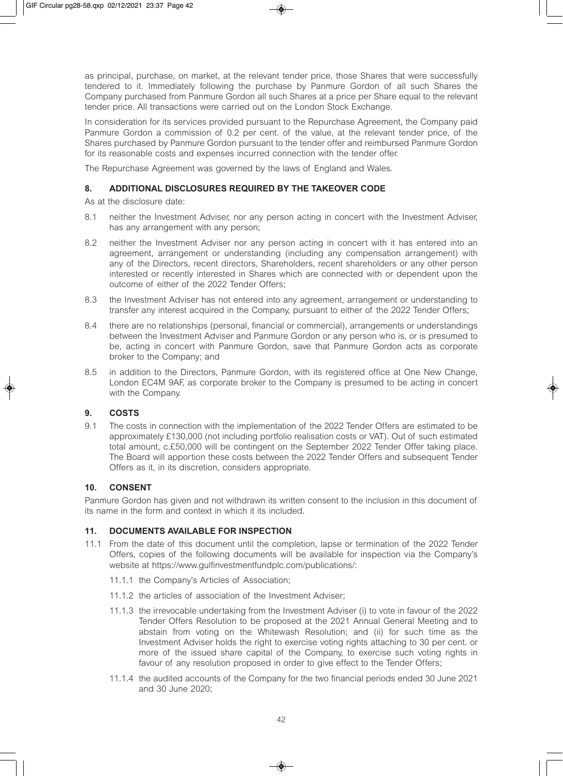as principal, purchase, on market, at the relevant tender price, those Shares that were successfully tendered to it. Immediately following the purchase by Panmure Gordon of all such Shares the Company purchased from Panmure Gordon all such Shares at a price per Share equal to the relevant tender price. All transactions were carried out on the London Stock Exchange.

In consideration for its services provided pursuant to the Repurchase Agreement, the Company paid Panmure Gordon a commission of 0.2 per cent. of the value, at the relevant tender price, of the Shares purchased by Panmure Gordon pursuant to the tender offer and reimbursed Panmure Gordon for its reasonable costs and expenses incurred connection with the tender offer.

The Repurchase Agreement was governed by the laws of England and Wales.

#### **8. ADDITIONAL DISCLOSURES REQUIRED BY THE TAKEOVER CODE**

As at the disclosure date:

- 8.1 neither the Investment Adviser, nor any person acting in concert with the Investment Adviser, has any arrangement with any person;
- 8.2 neither the Investment Adviser nor any person acting in concert with it has entered into an agreement, arrangement or understanding (including any compensation arrangement) with any of the Directors, recent directors, Shareholders, recent shareholders or any other person interested or recently interested in Shares which are connected with or dependent upon the outcome of either of the 2022 Tender Offers;
- 8.3 the Investment Adviser has not entered into any agreement, arrangement or understanding to transfer any interest acquired in the Company, pursuant to either of the 2022 Tender Offers;
- 8.4 there are no relationships (personal, financial or commercial), arrangements or understandings between the Investment Adviser and Panmure Gordon or any person who is, or is presumed to be, acting in concert with Panmure Gordon, save that Panmure Gordon acts as corporate broker to the Company; and
- 8.5 in addition to the Directors, Panmure Gordon, with its registered office at One New Change, London EC4M 9AF, as corporate broker to the Company is presumed to be acting in concert with the Company.

#### **9. COSTS**

9.1 The costs in connection with the implementation of the 2022 Tender Offers are estimated to be approximately £130,000 (not including portfolio realisation costs or VAT). Out of such estimated total amount, c.£50,000 will be contingent on the September 2022 Tender Offer taking place. The Board will apportion these costs between the 2022 Tender Offers and subsequent Tender Offers as it, in its discretion, considers appropriate.

#### **10. CONSENT**

Panmure Gordon has given and not withdrawn its written consent to the inclusion in this document of its name in the form and context in which it its included.

#### **11. DOCUMENTS AVAILABLE FOR INSPECTION**

- 11.1 From the date of this document until the completion, lapse or termination of the 2022 Tender Offers, copies of the following documents will be available for inspection via the Company's website at https://www.gulfinvestmentfundplc.com/publications/:
	- 11.1.1 the Company's Articles of Association;
	- 11.1.2 the articles of association of the Investment Adviser;
	- 11.1.3 the irrevocable undertaking from the Investment Adviser (i) to vote in favour of the 2022 Tender Offers Resolution to be proposed at the 2021 Annual General Meeting and to abstain from voting on the Whitewash Resolution; and (ii) for such time as the Investment Adviser holds the right to exercise voting rights attaching to 30 per cent. or more of the issued share capital of the Company, to exercise such voting rights in favour of any resolution proposed in order to give effect to the Tender Offers;
	- 11.1.4 the audited accounts of the Company for the two financial periods ended 30 June 2021 and 30 June 2020;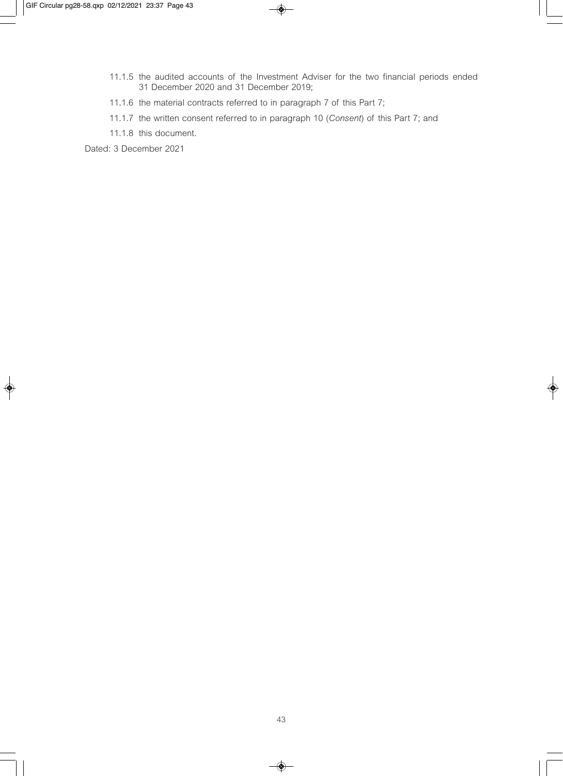- 11.1.5 the audited accounts of the Investment Adviser for the two financial periods ended 31 December 2020 and 31 December 2019;
- 11.1.6 the material contracts referred to in paragraph 7 of this Part 7;
- 11.1.7 the written consent referred to in paragraph 10 (*Consent*) of this Part 7; and
- 11.1.8 this document.

Dated: 3 December 2021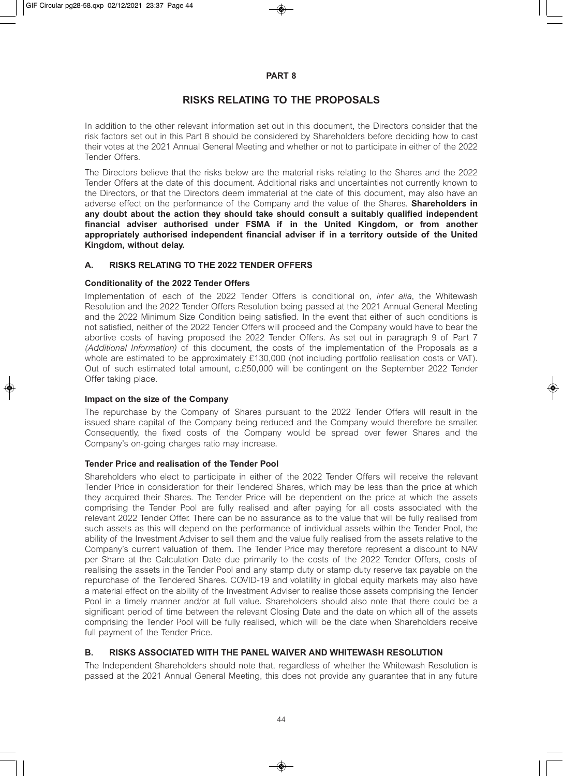#### **PART 8**

# **RISKS RELATING TO THE PROPOSALS**

In addition to the other relevant information set out in this document, the Directors consider that the risk factors set out in this Part 8 should be considered by Shareholders before deciding how to cast their votes at the 2021 Annual General Meeting and whether or not to participate in either of the 2022 Tender Offers.

The Directors believe that the risks below are the material risks relating to the Shares and the 2022 Tender Offers at the date of this document. Additional risks and uncertainties not currently known to the Directors, or that the Directors deem immaterial at the date of this document, may also have an adverse effect on the performance of the Company and the value of the Shares. **Shareholders in any doubt about the action they should take should consult a suitably qualified independent financial adviser authorised under FSMA if in the United Kingdom, or from another appropriately authorised independent financial adviser if in a territory outside of the United Kingdom, without delay.** 

#### **A. RISKS RELATING TO THE 2022 TENDER OFFERS**

#### **Conditionality of the 2022 Tender Offers**

Implementation of each of the 2022 Tender Offers is conditional on, *inter alia*, the Whitewash Resolution and the 2022 Tender Offers Resolution being passed at the 2021 Annual General Meeting and the 2022 Minimum Size Condition being satisfied. In the event that either of such conditions is not satisfied, neither of the 2022 Tender Offers will proceed and the Company would have to bear the abortive costs of having proposed the 2022 Tender Offers. As set out in paragraph 9 of Part 7 *(Additional Information)* of this document, the costs of the implementation of the Proposals as a whole are estimated to be approximately £130,000 (not including portfolio realisation costs or VAT). Out of such estimated total amount, c.£50,000 will be contingent on the September 2022 Tender Offer taking place.

#### **Impact on the size of the Company**

The repurchase by the Company of Shares pursuant to the 2022 Tender Offers will result in the issued share capital of the Company being reduced and the Company would therefore be smaller. Consequently, the fixed costs of the Company would be spread over fewer Shares and the Company's on-going charges ratio may increase.

#### **Tender Price and realisation of the Tender Pool**

Shareholders who elect to participate in either of the 2022 Tender Offers will receive the relevant Tender Price in consideration for their Tendered Shares, which may be less than the price at which they acquired their Shares. The Tender Price will be dependent on the price at which the assets comprising the Tender Pool are fully realised and after paying for all costs associated with the relevant 2022 Tender Offer. There can be no assurance as to the value that will be fully realised from such assets as this will depend on the performance of individual assets within the Tender Pool, the ability of the Investment Adviser to sell them and the value fully realised from the assets relative to the Company's current valuation of them. The Tender Price may therefore represent a discount to NAV per Share at the Calculation Date due primarily to the costs of the 2022 Tender Offers, costs of realising the assets in the Tender Pool and any stamp duty or stamp duty reserve tax payable on the repurchase of the Tendered Shares. COVID-19 and volatility in global equity markets may also have a material effect on the ability of the Investment Adviser to realise those assets comprising the Tender Pool in a timely manner and/or at full value. Shareholders should also note that there could be a significant period of time between the relevant Closing Date and the date on which all of the assets comprising the Tender Pool will be fully realised, which will be the date when Shareholders receive full payment of the Tender Price.

#### **B. RISKS ASSOCIATED WITH THE PANEL WAIVER AND WHITEWASH RESOLUTION**

The Independent Shareholders should note that, regardless of whether the Whitewash Resolution is passed at the 2021 Annual General Meeting, this does not provide any guarantee that in any future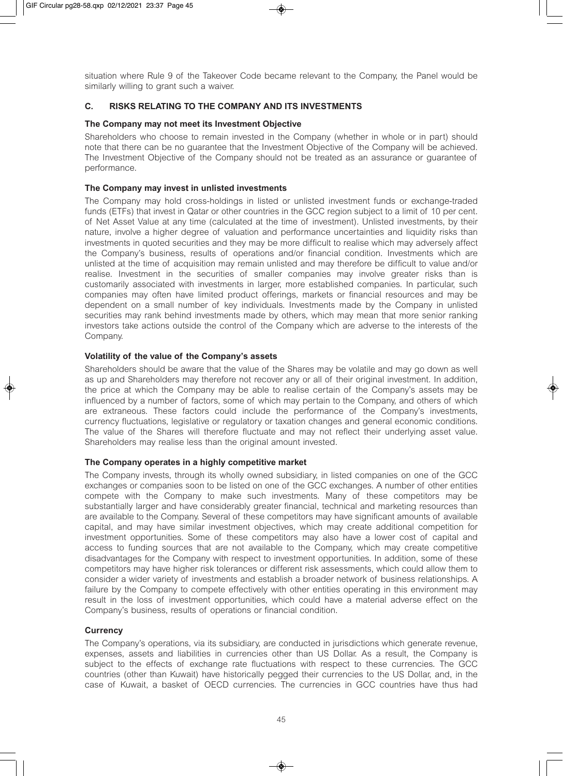situation where Rule 9 of the Takeover Code became relevant to the Company, the Panel would be similarly willing to grant such a waiver.

## **C. RISKS RELATING TO THE COMPANY AND ITS INVESTMENTS**

#### **The Company may not meet its Investment Objective**

Shareholders who choose to remain invested in the Company (whether in whole or in part) should note that there can be no guarantee that the Investment Objective of the Company will be achieved. The Investment Objective of the Company should not be treated as an assurance or guarantee of performance.

#### **The Company may invest in unlisted investments**

The Company may hold cross-holdings in listed or unlisted investment funds or exchange-traded funds (ETFs) that invest in Qatar or other countries in the GCC region subject to a limit of 10 per cent. of Net Asset Value at any time (calculated at the time of investment). Unlisted investments, by their nature, involve a higher degree of valuation and performance uncertainties and liquidity risks than investments in quoted securities and they may be more difficult to realise which may adversely affect the Company's business, results of operations and/or financial condition. Investments which are unlisted at the time of acquisition may remain unlisted and may therefore be difficult to value and/or realise. Investment in the securities of smaller companies may involve greater risks than is customarily associated with investments in larger, more established companies. In particular, such companies may often have limited product offerings, markets or financial resources and may be dependent on a small number of key individuals. Investments made by the Company in unlisted securities may rank behind investments made by others, which may mean that more senior ranking investors take actions outside the control of the Company which are adverse to the interests of the Company.

#### **Volatility of the value of the Company's assets**

Shareholders should be aware that the value of the Shares may be volatile and may go down as well as up and Shareholders may therefore not recover any or all of their original investment. In addition, the price at which the Company may be able to realise certain of the Company's assets may be influenced by a number of factors, some of which may pertain to the Company, and others of which are extraneous. These factors could include the performance of the Company's investments, currency fluctuations, legislative or regulatory or taxation changes and general economic conditions. The value of the Shares will therefore fluctuate and may not reflect their underlying asset value. Shareholders may realise less than the original amount invested.

#### **The Company operates in a highly competitive market**

The Company invests, through its wholly owned subsidiary, in listed companies on one of the GCC exchanges or companies soon to be listed on one of the GCC exchanges. A number of other entities compete with the Company to make such investments. Many of these competitors may be substantially larger and have considerably greater financial, technical and marketing resources than are available to the Company. Several of these competitors may have significant amounts of available capital, and may have similar investment objectives, which may create additional competition for investment opportunities. Some of these competitors may also have a lower cost of capital and access to funding sources that are not available to the Company, which may create competitive disadvantages for the Company with respect to investment opportunities. In addition, some of these competitors may have higher risk tolerances or different risk assessments, which could allow them to consider a wider variety of investments and establish a broader network of business relationships. A failure by the Company to compete effectively with other entities operating in this environment may result in the loss of investment opportunities, which could have a material adverse effect on the Company's business, results of operations or financial condition.

#### **Currency**

The Company's operations, via its subsidiary, are conducted in jurisdictions which generate revenue, expenses, assets and liabilities in currencies other than US Dollar. As a result, the Company is subject to the effects of exchange rate fluctuations with respect to these currencies. The GCC countries (other than Kuwait) have historically pegged their currencies to the US Dollar, and, in the case of Kuwait, a basket of OECD currencies. The currencies in GCC countries have thus had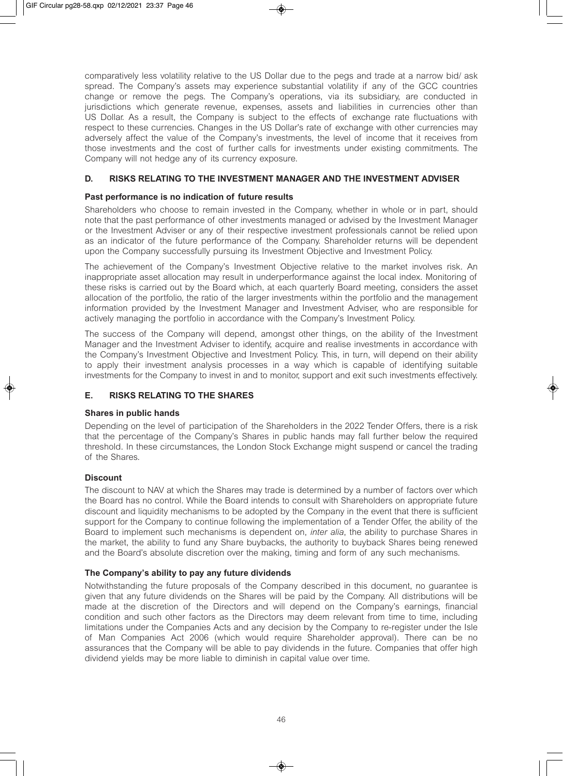comparatively less volatility relative to the US Dollar due to the pegs and trade at a narrow bid/ ask spread. The Company's assets may experience substantial volatility if any of the GCC countries change or remove the pegs. The Company's operations, via its subsidiary, are conducted in jurisdictions which generate revenue, expenses, assets and liabilities in currencies other than US Dollar. As a result, the Company is subject to the effects of exchange rate fluctuations with respect to these currencies. Changes in the US Dollar's rate of exchange with other currencies may adversely affect the value of the Company's investments, the level of income that it receives from those investments and the cost of further calls for investments under existing commitments. The Company will not hedge any of its currency exposure.

#### **D. RISKS RELATING TO THE INVESTMENT MANAGER AND THE INVESTMENT ADVISER**

#### **Past performance is no indication of future results**

Shareholders who choose to remain invested in the Company, whether in whole or in part, should note that the past performance of other investments managed or advised by the Investment Manager or the Investment Adviser or any of their respective investment professionals cannot be relied upon as an indicator of the future performance of the Company. Shareholder returns will be dependent upon the Company successfully pursuing its Investment Objective and Investment Policy.

The achievement of the Company's Investment Objective relative to the market involves risk. An inappropriate asset allocation may result in underperformance against the local index. Monitoring of these risks is carried out by the Board which, at each quarterly Board meeting, considers the asset allocation of the portfolio, the ratio of the larger investments within the portfolio and the management information provided by the Investment Manager and Investment Adviser, who are responsible for actively managing the portfolio in accordance with the Company's Investment Policy.

The success of the Company will depend, amongst other things, on the ability of the Investment Manager and the Investment Adviser to identify, acquire and realise investments in accordance with the Company's Investment Objective and Investment Policy. This, in turn, will depend on their ability to apply their investment analysis processes in a way which is capable of identifying suitable investments for the Company to invest in and to monitor, support and exit such investments effectively.

#### **E. RISKS RELATING TO THE SHARES**

#### **Shares in public hands**

Depending on the level of participation of the Shareholders in the 2022 Tender Offers, there is a risk that the percentage of the Company's Shares in public hands may fall further below the required threshold. In these circumstances, the London Stock Exchange might suspend or cancel the trading of the Shares.

#### **Discount**

The discount to NAV at which the Shares may trade is determined by a number of factors over which the Board has no control. While the Board intends to consult with Shareholders on appropriate future discount and liquidity mechanisms to be adopted by the Company in the event that there is sufficient support for the Company to continue following the implementation of a Tender Offer, the ability of the Board to implement such mechanisms is dependent on, *inter alia*, the ability to purchase Shares in the market, the ability to fund any Share buybacks, the authority to buyback Shares being renewed and the Board's absolute discretion over the making, timing and form of any such mechanisms.

#### **The Company's ability to pay any future dividends**

Notwithstanding the future proposals of the Company described in this document, no guarantee is given that any future dividends on the Shares will be paid by the Company. All distributions will be made at the discretion of the Directors and will depend on the Company's earnings, financial condition and such other factors as the Directors may deem relevant from time to time, including limitations under the Companies Acts and any decision by the Company to re-register under the Isle of Man Companies Act 2006 (which would require Shareholder approval). There can be no assurances that the Company will be able to pay dividends in the future. Companies that offer high dividend yields may be more liable to diminish in capital value over time.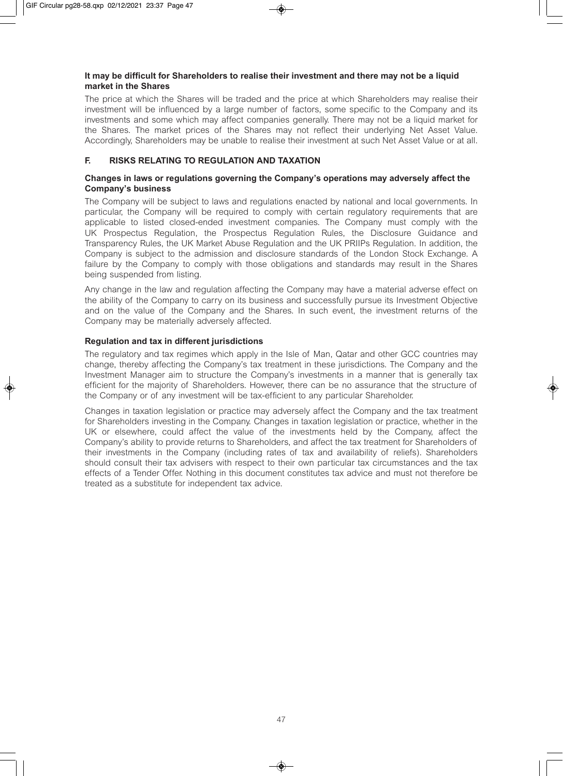#### **It may be difficult for Shareholders to realise their investment and there may not be a liquid market in the Shares**

The price at which the Shares will be traded and the price at which Shareholders may realise their investment will be influenced by a large number of factors, some specific to the Company and its investments and some which may affect companies generally. There may not be a liquid market for the Shares. The market prices of the Shares may not reflect their underlying Net Asset Value. Accordingly, Shareholders may be unable to realise their investment at such Net Asset Value or at all.

#### **F. RISKS RELATING TO REGULATION AND TAXATION**

#### **Changes in laws or regulations governing the Company's operations may adversely affect the Company's business**

The Company will be subject to laws and regulations enacted by national and local governments. In particular, the Company will be required to comply with certain regulatory requirements that are applicable to listed closed-ended investment companies. The Company must comply with the UK Prospectus Regulation, the Prospectus Regulation Rules, the Disclosure Guidance and Transparency Rules, the UK Market Abuse Regulation and the UK PRIIPs Regulation. In addition, the Company is subject to the admission and disclosure standards of the London Stock Exchange. A failure by the Company to comply with those obligations and standards may result in the Shares being suspended from listing.

Any change in the law and regulation affecting the Company may have a material adverse effect on the ability of the Company to carry on its business and successfully pursue its Investment Objective and on the value of the Company and the Shares. In such event, the investment returns of the Company may be materially adversely affected.

## **Regulation and tax in different jurisdictions**

The regulatory and tax regimes which apply in the Isle of Man, Qatar and other GCC countries may change, thereby affecting the Company's tax treatment in these jurisdictions. The Company and the Investment Manager aim to structure the Company's investments in a manner that is generally tax efficient for the majority of Shareholders. However, there can be no assurance that the structure of the Company or of any investment will be tax-efficient to any particular Shareholder.

Changes in taxation legislation or practice may adversely affect the Company and the tax treatment for Shareholders investing in the Company. Changes in taxation legislation or practice, whether in the UK or elsewhere, could affect the value of the investments held by the Company, affect the Company's ability to provide returns to Shareholders, and affect the tax treatment for Shareholders of their investments in the Company (including rates of tax and availability of reliefs). Shareholders should consult their tax advisers with respect to their own particular tax circumstances and the tax effects of a Tender Offer. Nothing in this document constitutes tax advice and must not therefore be treated as a substitute for independent tax advice.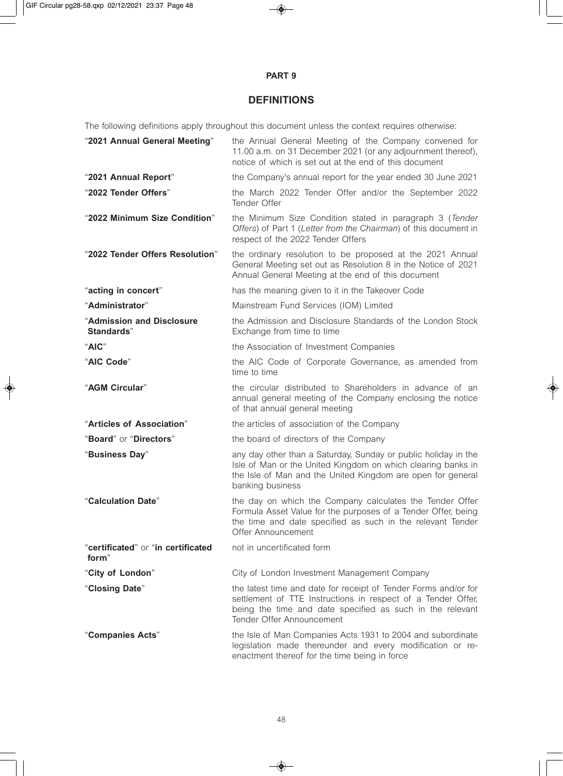## **PART 9**

# **DEFINITIONS**

The following definitions apply throughout this document unless the context requires otherwise:

| "2021 Annual General Meeting"               | the Annual General Meeting of the Company convened for<br>11.00 a.m. on 31 December 2021 (or any adjournment thereof),<br>notice of which is set out at the end of this document                                          |
|---------------------------------------------|---------------------------------------------------------------------------------------------------------------------------------------------------------------------------------------------------------------------------|
| "2021 Annual Report"                        | the Company's annual report for the year ended 30 June 2021                                                                                                                                                               |
| "2022 Tender Offers"                        | the March 2022 Tender Offer and/or the September 2022<br>Tender Offer                                                                                                                                                     |
| "2022 Minimum Size Condition"               | the Minimum Size Condition stated in paragraph 3 (Tender<br>Offers) of Part 1 (Letter from the Chairman) of this document in<br>respect of the 2022 Tender Offers                                                         |
| "2022 Tender Offers Resolution"             | the ordinary resolution to be proposed at the 2021 Annual<br>General Meeting set out as Resolution 8 in the Notice of 2021<br>Annual General Meeting at the end of this document                                          |
| "acting in concert"                         | has the meaning given to it in the Takeover Code                                                                                                                                                                          |
| "Administrator"                             | Mainstream Fund Services (IOM) Limited                                                                                                                                                                                    |
| "Admission and Disclosure<br>Standards"     | the Admission and Disclosure Standards of the London Stock<br>Exchange from time to time                                                                                                                                  |
| "AIC"                                       | the Association of Investment Companies                                                                                                                                                                                   |
| "AIC Code"                                  | the AIC Code of Corporate Governance, as amended from<br>time to time                                                                                                                                                     |
| "AGM Circular"                              | the circular distributed to Shareholders in advance of an<br>annual general meeting of the Company enclosing the notice<br>of that annual general meeting                                                                 |
| "Articles of Association"                   | the articles of association of the Company                                                                                                                                                                                |
| "Board" or "Directors"                      | the board of directors of the Company                                                                                                                                                                                     |
| "Business Day"                              | any day other than a Saturday, Sunday or public holiday in the<br>Isle of Man or the United Kingdom on which clearing banks in<br>the Isle of Man and the United Kingdom are open for general<br>banking business         |
| "Calculation Date"                          | the day on which the Company calculates the Tender Offer<br>Formula Asset Value for the purposes of a Tender Offer, being<br>the time and date specified as such in the relevant Tender<br>Offer Announcement             |
| "certificated" or "in certificated<br>form" | not in uncertificated form                                                                                                                                                                                                |
| "City of London"                            | City of London Investment Management Company                                                                                                                                                                              |
| "Closing Date"                              | the latest time and date for receipt of Tender Forms and/or for<br>settlement of TTE Instructions in respect of a Tender Offer,<br>being the time and date specified as such in the relevant<br>Tender Offer Announcement |
| "Companies Acts"                            | the Isle of Man Companies Acts 1931 to 2004 and subordinate<br>legislation made thereunder and every modification or re-<br>enactment thereof for the time being in force                                                 |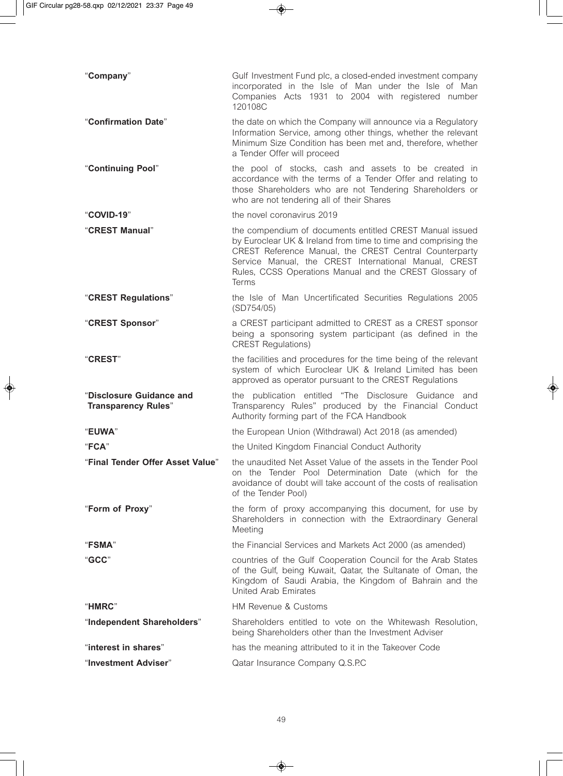| "Company"                                              | Gulf Investment Fund plc, a closed-ended investment company<br>incorporated in the Isle of Man under the Isle of Man<br>Companies Acts 1931 to 2004 with registered number<br>120108C                                                                                                                                    |
|--------------------------------------------------------|--------------------------------------------------------------------------------------------------------------------------------------------------------------------------------------------------------------------------------------------------------------------------------------------------------------------------|
| "Confirmation Date"                                    | the date on which the Company will announce via a Regulatory<br>Information Service, among other things, whether the relevant<br>Minimum Size Condition has been met and, therefore, whether<br>a Tender Offer will proceed                                                                                              |
| "Continuing Pool"                                      | the pool of stocks, cash and assets to be created in<br>accordance with the terms of a Tender Offer and relating to<br>those Shareholders who are not Tendering Shareholders or<br>who are not tendering all of their Shares                                                                                             |
| "COVID-19"                                             | the novel coronavirus 2019                                                                                                                                                                                                                                                                                               |
| "CREST Manual"                                         | the compendium of documents entitled CREST Manual issued<br>by Euroclear UK & Ireland from time to time and comprising the<br>CREST Reference Manual, the CREST Central Counterparty<br>Service Manual, the CREST International Manual, CREST<br>Rules, CCSS Operations Manual and the CREST Glossary of<br><b>Terms</b> |
| "CREST Regulations"                                    | the Isle of Man Uncertificated Securities Regulations 2005<br>(SD754/05)                                                                                                                                                                                                                                                 |
| "CREST Sponsor"                                        | a CREST participant admitted to CREST as a CREST sponsor<br>being a sponsoring system participant (as defined in the<br><b>CREST Regulations)</b>                                                                                                                                                                        |
| "CREST"                                                | the facilities and procedures for the time being of the relevant<br>system of which Euroclear UK & Ireland Limited has been<br>approved as operator pursuant to the CREST Regulations                                                                                                                                    |
| "Disclosure Guidance and<br><b>Transparency Rules"</b> | the publication entitled "The Disclosure Guidance and<br>Transparency Rules" produced by the Financial Conduct<br>Authority forming part of the FCA Handbook                                                                                                                                                             |
| "EUWA"                                                 | the European Union (Withdrawal) Act 2018 (as amended)                                                                                                                                                                                                                                                                    |
| "FCA"                                                  | the United Kingdom Financial Conduct Authority                                                                                                                                                                                                                                                                           |
| "Final Tender Offer Asset Value"                       | the unaudited Net Asset Value of the assets in the Tender Pool<br>on the Tender Pool Determination Date (which for the<br>avoidance of doubt will take account of the costs of realisation<br>of the Tender Pool)                                                                                                        |
| "Form of Proxy"                                        | the form of proxy accompanying this document, for use by<br>Shareholders in connection with the Extraordinary General<br>Meeting                                                                                                                                                                                         |
| <b>"FSMA"</b>                                          | the Financial Services and Markets Act 2000 (as amended)                                                                                                                                                                                                                                                                 |
| "GCC"                                                  | countries of the Gulf Cooperation Council for the Arab States<br>of the Gulf, being Kuwait, Qatar, the Sultanate of Oman, the<br>Kingdom of Saudi Arabia, the Kingdom of Bahrain and the<br><b>United Arab Emirates</b>                                                                                                  |
| "HMRC"                                                 | <b>HM Revenue &amp; Customs</b>                                                                                                                                                                                                                                                                                          |
| "Independent Shareholders"                             | Shareholders entitled to vote on the Whitewash Resolution,<br>being Shareholders other than the Investment Adviser                                                                                                                                                                                                       |
| "interest in shares"                                   | has the meaning attributed to it in the Takeover Code                                                                                                                                                                                                                                                                    |
| "Investment Adviser"                                   | Qatar Insurance Company Q.S.P.C                                                                                                                                                                                                                                                                                          |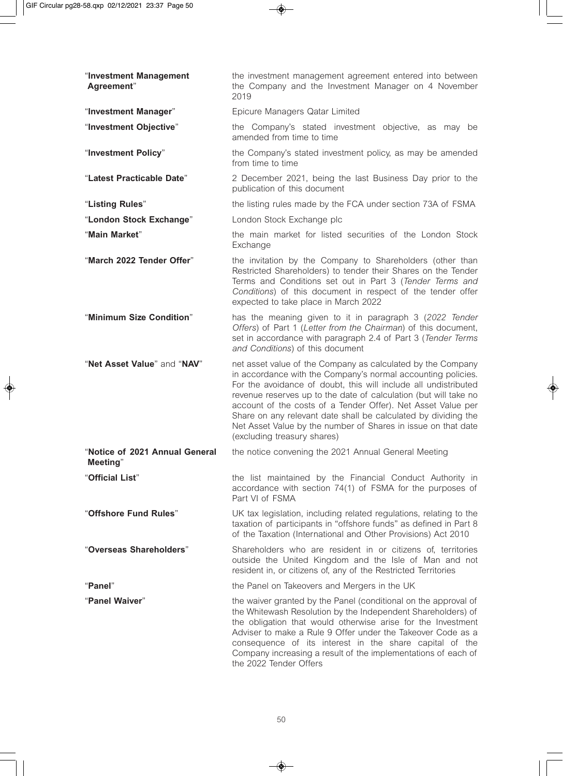| "Investment Management<br>Agreement"       | the investment management agreement entered into between<br>the Company and the Investment Manager on 4 November<br>2019                                                                                                                                                                                                                                                                                                                                                                             |
|--------------------------------------------|------------------------------------------------------------------------------------------------------------------------------------------------------------------------------------------------------------------------------------------------------------------------------------------------------------------------------------------------------------------------------------------------------------------------------------------------------------------------------------------------------|
| "Investment Manager"                       | Epicure Managers Qatar Limited                                                                                                                                                                                                                                                                                                                                                                                                                                                                       |
| "Investment Objective"                     | the Company's stated investment objective, as may be<br>amended from time to time                                                                                                                                                                                                                                                                                                                                                                                                                    |
| "Investment Policy"                        | the Company's stated investment policy, as may be amended<br>from time to time                                                                                                                                                                                                                                                                                                                                                                                                                       |
| "Latest Practicable Date"                  | 2 December 2021, being the last Business Day prior to the<br>publication of this document                                                                                                                                                                                                                                                                                                                                                                                                            |
| "Listing Rules"                            | the listing rules made by the FCA under section 73A of FSMA                                                                                                                                                                                                                                                                                                                                                                                                                                          |
| "London Stock Exchange"                    | London Stock Exchange plc                                                                                                                                                                                                                                                                                                                                                                                                                                                                            |
| "Main Market"                              | the main market for listed securities of the London Stock<br>Exchange                                                                                                                                                                                                                                                                                                                                                                                                                                |
| "March 2022 Tender Offer"                  | the invitation by the Company to Shareholders (other than<br>Restricted Shareholders) to tender their Shares on the Tender<br>Terms and Conditions set out in Part 3 (Tender Terms and<br>Conditions) of this document in respect of the tender offer<br>expected to take place in March 2022                                                                                                                                                                                                        |
| "Minimum Size Condition"                   | has the meaning given to it in paragraph 3 (2022 Tender<br>Offers) of Part 1 (Letter from the Chairman) of this document,<br>set in accordance with paragraph 2.4 of Part 3 (Tender Terms<br>and Conditions) of this document                                                                                                                                                                                                                                                                        |
| "Net Asset Value" and "NAV"                | net asset value of the Company as calculated by the Company<br>in accordance with the Company's normal accounting policies.<br>For the avoidance of doubt, this will include all undistributed<br>revenue reserves up to the date of calculation (but will take no<br>account of the costs of a Tender Offer). Net Asset Value per<br>Share on any relevant date shall be calculated by dividing the<br>Net Asset Value by the number of Shares in issue on that date<br>(excluding treasury shares) |
| "Notice of 2021 Annual General<br>Meeting" | the notice convening the 2021 Annual General Meeting                                                                                                                                                                                                                                                                                                                                                                                                                                                 |
| "Official List"                            | the list maintained by the Financial Conduct Authority in<br>accordance with section 74(1) of FSMA for the purposes of<br>Part VI of FSMA                                                                                                                                                                                                                                                                                                                                                            |
| "Offshore Fund Rules"                      | UK tax legislation, including related regulations, relating to the<br>taxation of participants in "offshore funds" as defined in Part 8<br>of the Taxation (International and Other Provisions) Act 2010                                                                                                                                                                                                                                                                                             |
| "Overseas Shareholders"                    | Shareholders who are resident in or citizens of, territories<br>outside the United Kingdom and the Isle of Man and not<br>resident in, or citizens of, any of the Restricted Territories                                                                                                                                                                                                                                                                                                             |
| "Panel"                                    | the Panel on Takeovers and Mergers in the UK                                                                                                                                                                                                                                                                                                                                                                                                                                                         |
| "Panel Waiver"                             | the waiver granted by the Panel (conditional on the approval of<br>the Whitewash Resolution by the Independent Shareholders) of<br>the obligation that would otherwise arise for the Investment<br>Adviser to make a Rule 9 Offer under the Takeover Code as a<br>consequence of its interest in the share capital of the<br>Company increasing a result of the implementations of each of<br>the 2022 Tender Offers                                                                                 |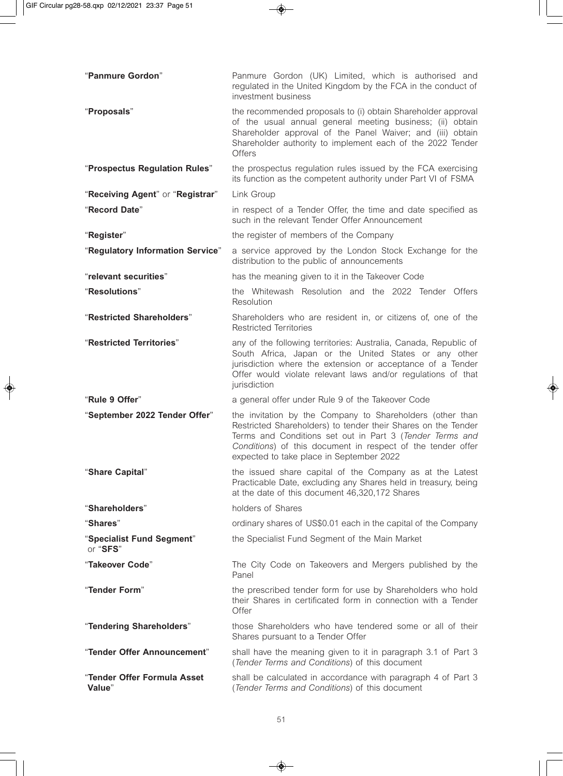| "Panmure Gordon"                      | Panmure Gordon (UK) Limited, which is authorised and<br>regulated in the United Kingdom by the FCA in the conduct of<br>investment business                                                                                                                                                       |
|---------------------------------------|---------------------------------------------------------------------------------------------------------------------------------------------------------------------------------------------------------------------------------------------------------------------------------------------------|
| "Proposals"                           | the recommended proposals to (i) obtain Shareholder approval<br>of the usual annual general meeting business; (ii) obtain<br>Shareholder approval of the Panel Waiver; and (iii) obtain<br>Shareholder authority to implement each of the 2022 Tender<br><b>Offers</b>                            |
| "Prospectus Regulation Rules"         | the prospectus regulation rules issued by the FCA exercising<br>its function as the competent authority under Part VI of FSMA                                                                                                                                                                     |
| "Receiving Agent" or "Registrar"      | Link Group                                                                                                                                                                                                                                                                                        |
| "Record Date"                         | in respect of a Tender Offer, the time and date specified as<br>such in the relevant Tender Offer Announcement                                                                                                                                                                                    |
| "Register"                            | the register of members of the Company                                                                                                                                                                                                                                                            |
| "Regulatory Information Service"      | a service approved by the London Stock Exchange for the<br>distribution to the public of announcements                                                                                                                                                                                            |
| "relevant securities"                 | has the meaning given to it in the Takeover Code                                                                                                                                                                                                                                                  |
| "Resolutions"                         | the Whitewash Resolution and the 2022 Tender Offers<br>Resolution                                                                                                                                                                                                                                 |
| "Restricted Shareholders"             | Shareholders who are resident in, or citizens of, one of the<br><b>Restricted Territories</b>                                                                                                                                                                                                     |
| "Restricted Territories"              | any of the following territories: Australia, Canada, Republic of<br>South Africa, Japan or the United States or any other<br>jurisdiction where the extension or acceptance of a Tender<br>Offer would violate relevant laws and/or regulations of that<br>jurisdiction                           |
| "Rule 9 Offer"                        | a general offer under Rule 9 of the Takeover Code                                                                                                                                                                                                                                                 |
| "September 2022 Tender Offer"         | the invitation by the Company to Shareholders (other than<br>Restricted Shareholders) to tender their Shares on the Tender<br>Terms and Conditions set out in Part 3 (Tender Terms and<br>Conditions) of this document in respect of the tender offer<br>expected to take place in September 2022 |
| "Share Capital"                       | the issued share capital of the Company as at the Latest<br>Practicable Date, excluding any Shares held in treasury, being<br>at the date of this document 46,320,172 Shares                                                                                                                      |
| "Shareholders"                        | holders of Shares                                                                                                                                                                                                                                                                                 |
| "Shares"                              | ordinary shares of US\$0.01 each in the capital of the Company                                                                                                                                                                                                                                    |
| "Specialist Fund Segment"<br>or "SFS" | the Specialist Fund Segment of the Main Market                                                                                                                                                                                                                                                    |
| "Takeover Code"                       | The City Code on Takeovers and Mergers published by the<br>Panel                                                                                                                                                                                                                                  |
| "Tender Form"                         | the prescribed tender form for use by Shareholders who hold<br>their Shares in certificated form in connection with a Tender<br>Offer                                                                                                                                                             |
| "Tendering Shareholders"              | those Shareholders who have tendered some or all of their<br>Shares pursuant to a Tender Offer                                                                                                                                                                                                    |
| "Tender Offer Announcement"           | shall have the meaning given to it in paragraph 3.1 of Part 3<br>(Tender Terms and Conditions) of this document                                                                                                                                                                                   |
| "Tender Offer Formula Asset<br>Value" | shall be calculated in accordance with paragraph 4 of Part 3<br>(Tender Terms and Conditions) of this document                                                                                                                                                                                    |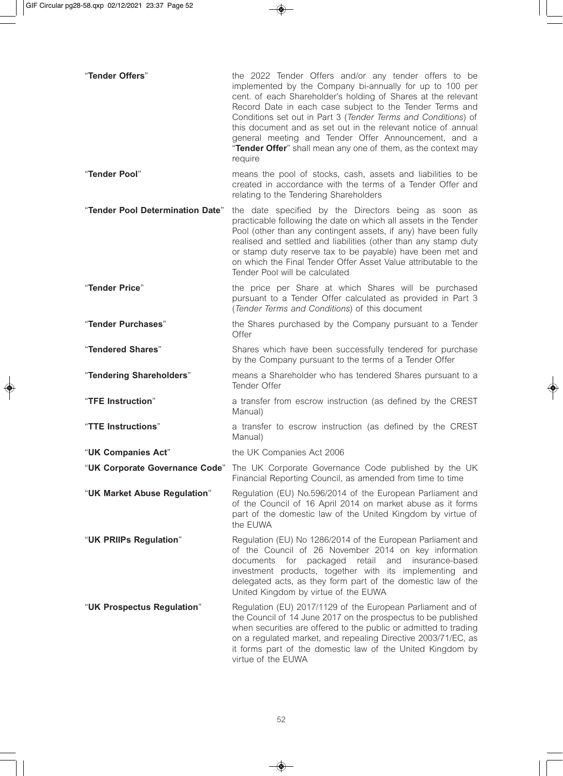| "Tender Offers"                  | the 2022 Tender Offers and/or any tender offers to be<br>implemented by the Company bi-annually for up to 100 per<br>cent. of each Shareholder's holding of Shares at the relevant<br>Record Date in each case subject to the Tender Terms and<br>Conditions set out in Part 3 (Tender Terms and Conditions) of<br>this document and as set out in the relevant notice of annual<br>general meeting and Tender Offer Announcement, and a<br>"Tender Offer" shall mean any one of them, as the context may<br>require |
|----------------------------------|----------------------------------------------------------------------------------------------------------------------------------------------------------------------------------------------------------------------------------------------------------------------------------------------------------------------------------------------------------------------------------------------------------------------------------------------------------------------------------------------------------------------|
| "Tender Pool"                    | means the pool of stocks, cash, assets and liabilities to be<br>created in accordance with the terms of a Tender Offer and<br>relating to the Tendering Shareholders                                                                                                                                                                                                                                                                                                                                                 |
| "Tender Pool Determination Date" | the date specified by the Directors being as soon as<br>practicable following the date on which all assets in the Tender<br>Pool (other than any contingent assets, if any) have been fully<br>realised and settled and liabilities (other than any stamp duty<br>or stamp duty reserve tax to be payable) have been met and<br>on which the Final Tender Offer Asset Value attributable to the<br>Tender Pool will be calculated                                                                                    |
| "Tender Price"                   | the price per Share at which Shares will be purchased<br>pursuant to a Tender Offer calculated as provided in Part 3<br>(Tender Terms and Conditions) of this document                                                                                                                                                                                                                                                                                                                                               |
| "Tender Purchases"               | the Shares purchased by the Company pursuant to a Tender<br>Offer                                                                                                                                                                                                                                                                                                                                                                                                                                                    |
| "Tendered Shares"                | Shares which have been successfully tendered for purchase<br>by the Company pursuant to the terms of a Tender Offer                                                                                                                                                                                                                                                                                                                                                                                                  |
| "Tendering Shareholders"         | means a Shareholder who has tendered Shares pursuant to a<br>Tender Offer                                                                                                                                                                                                                                                                                                                                                                                                                                            |
| "TFE Instruction"                | a transfer from escrow instruction (as defined by the CREST<br>Manual)                                                                                                                                                                                                                                                                                                                                                                                                                                               |
| "TTE Instructions"               | a transfer to escrow instruction (as defined by the CREST<br>Manual)                                                                                                                                                                                                                                                                                                                                                                                                                                                 |
| "UK Companies Act"               | the UK Companies Act 2006                                                                                                                                                                                                                                                                                                                                                                                                                                                                                            |
| "UK Corporate Governance Code"   | The UK Corporate Governance Code published by the UK<br>Financial Reporting Council, as amended from time to time                                                                                                                                                                                                                                                                                                                                                                                                    |
| "UK Market Abuse Regulation"     | Regulation (EU) No.596/2014 of the European Parliament and<br>of the Council of 16 April 2014 on market abuse as it forms<br>part of the domestic law of the United Kingdom by virtue of<br>the EUWA                                                                                                                                                                                                                                                                                                                 |
| "UK PRIIPs Regulation"           | Regulation (EU) No 1286/2014 of the European Parliament and<br>of the Council of 26 November 2014 on key information<br>for packaged retail<br>and<br>documents<br>insurance-based<br>investment products, together with its implementing and<br>delegated acts, as they form part of the domestic law of the<br>United Kingdom by virtue of the EUWA                                                                                                                                                                |
| "UK Prospectus Regulation"       | Regulation (EU) 2017/1129 of the European Parliament and of<br>the Council of 14 June 2017 on the prospectus to be published<br>when securities are offered to the public or admitted to trading<br>on a regulated market, and repealing Directive 2003/71/EC, as<br>it forms part of the domestic law of the United Kingdom by<br>virtue of the EUWA                                                                                                                                                                |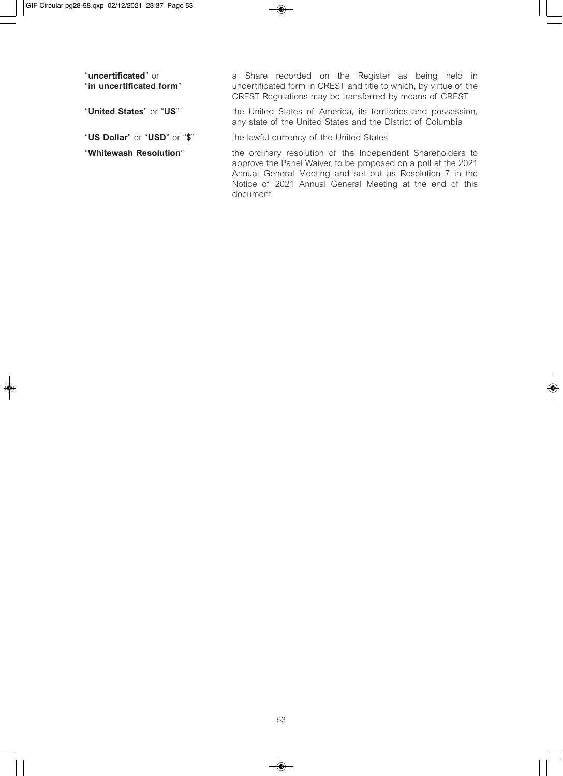| " <b>uncertificated</b> " or<br>"in uncertificated form" | a Share recorded on the Register as being held in<br>uncertificated form in CREST and title to which, by virtue of the<br>CREST Regulations may be transferred by means of CREST                                                                                  |
|----------------------------------------------------------|-------------------------------------------------------------------------------------------------------------------------------------------------------------------------------------------------------------------------------------------------------------------|
| " <b>United States</b> " or " <b>US</b> "                | the United States of America, its territories and possession,<br>any state of the United States and the District of Columbia                                                                                                                                      |
| "US Dollar" or "USD" or "\$"                             | the lawful currency of the United States                                                                                                                                                                                                                          |
| "Whitewash Resolution"                                   | the ordinary resolution of the Independent Shareholders to<br>approve the Panel Waiver, to be proposed on a poll at the 2021<br>Annual General Meeting and set out as Resolution 7 in the<br>Notice of 2021 Annual General Meeting at the end of this<br>document |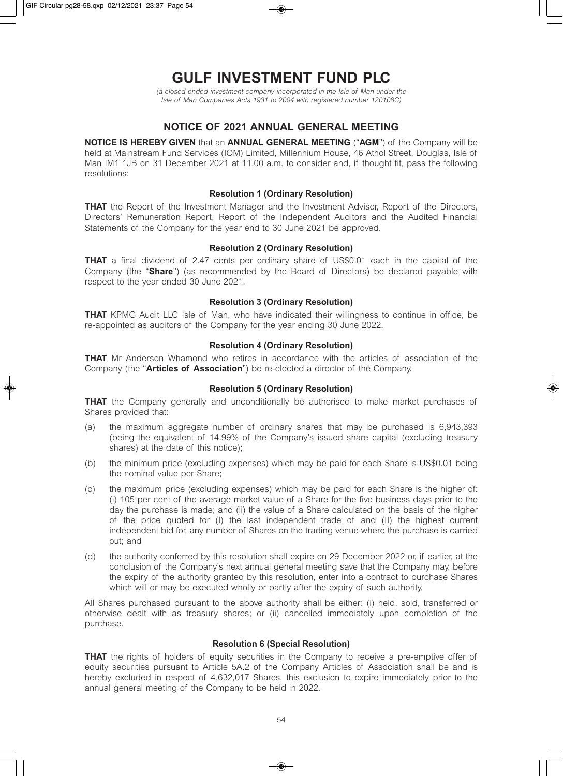# **GULF INVESTMENT FUND PLC**

*(a closed-ended investment company incorporated in the Isle of Man under the Isle of Man Companies Acts 1931 to 2004 with registered number 120108C)* 

# **NOTICE OF 2021 ANNUAL GENERAL MEETING**

**NOTICE IS HEREBY GIVEN** that an **ANNUAL GENERAL MEETING** ("**AGM**") of the Company will be held at Mainstream Fund Services (IOM) Limited, Millennium House, 46 Athol Street, Douglas, Isle of Man IM1 1JB on 31 December 2021 at 11.00 a.m. to consider and, if thought fit, pass the following resolutions:

## **Resolution 1 (Ordinary Resolution)**

**THAT** the Report of the Investment Manager and the Investment Adviser, Report of the Directors, Directors' Remuneration Report, Report of the Independent Auditors and the Audited Financial Statements of the Company for the year end to 30 June 2021 be approved.

# **Resolution 2 (Ordinary Resolution)**

**THAT** a final dividend of 2.47 cents per ordinary share of US\$0.01 each in the capital of the Company (the "**Share**") (as recommended by the Board of Directors) be declared payable with respect to the year ended 30 June 2021.

## **Resolution 3 (Ordinary Resolution)**

**THAT** KPMG Audit LLC Isle of Man, who have indicated their willingness to continue in office, be re-appointed as auditors of the Company for the year ending 30 June 2022.

## **Resolution 4 (Ordinary Resolution)**

**THAT** Mr Anderson Whamond who retires in accordance with the articles of association of the Company (the "**Articles of Association**") be re-elected a director of the Company.

#### **Resolution 5 (Ordinary Resolution)**

**THAT** the Company generally and unconditionally be authorised to make market purchases of Shares provided that:

- (a) the maximum aggregate number of ordinary shares that may be purchased is 6,943,393 (being the equivalent of 14.99% of the Company's issued share capital (excluding treasury shares) at the date of this notice);
- (b) the minimum price (excluding expenses) which may be paid for each Share is US\$0.01 being the nominal value per Share;
- (c) the maximum price (excluding expenses) which may be paid for each Share is the higher of: (i) 105 per cent of the average market value of a Share for the five business days prior to the day the purchase is made; and (ii) the value of a Share calculated on the basis of the higher of the price quoted for (I) the last independent trade of and (II) the highest current independent bid for, any number of Shares on the trading venue where the purchase is carried out; and
- (d) the authority conferred by this resolution shall expire on 29 December 2022 or, if earlier, at the conclusion of the Company's next annual general meeting save that the Company may, before the expiry of the authority granted by this resolution, enter into a contract to purchase Shares which will or may be executed wholly or partly after the expiry of such authority.

All Shares purchased pursuant to the above authority shall be either: (i) held, sold, transferred or otherwise dealt with as treasury shares; or (ii) cancelled immediately upon completion of the purchase.

#### **Resolution 6 (Special Resolution)**

**THAT** the rights of holders of equity securities in the Company to receive a pre-emptive offer of equity securities pursuant to Article 5A.2 of the Company Articles of Association shall be and is hereby excluded in respect of 4,632,017 Shares, this exclusion to expire immediately prior to the annual general meeting of the Company to be held in 2022.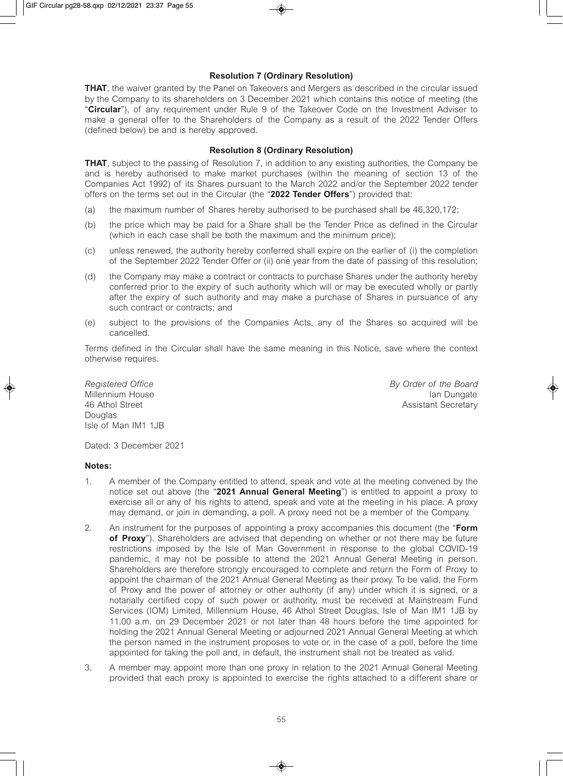#### **Resolution 7 (Ordinary Resolution)**

**THAT**, the waiver granted by the Panel on Takeovers and Mergers as described in the circular issued by the Company to its shareholders on 3 December 2021 which contains this notice of meeting (the "**Circular**"), of any requirement under Rule 9 of the Takeover Code on the Investment Adviser to make a general offer to the Shareholders of the Company as a result of the 2022 Tender Offers (defined below) be and is hereby approved.

#### **Resolution 8 (Ordinary Resolution)**

**THAT**, subject to the passing of Resolution 7, in addition to any existing authorities, the Company be and is hereby authorised to make market purchases (within the meaning of section 13 of the Companies Act 1992) of its Shares pursuant to the March 2022 and/or the September 2022 tender offers on the terms set out in the Circular (the "**2022 Tender Offers**") provided that:

- (a) the maximum number of Shares hereby authorised to be purchased shall be 46,320,172;
- (b) the price which may be paid for a Share shall be the Tender Price as defined in the Circular (which in each case shall be both the maximum and the minimum price);
- (c) unless renewed, the authority hereby conferred shall expire on the earlier of (i) the completion of the September 2022 Tender Offer or (ii) one year from the date of passing of this resolution;
- (d) the Company may make a contract or contracts to purchase Shares under the authority hereby conferred prior to the expiry of such authority which will or may be executed wholly or partly after the expiry of such authority and may make a purchase of Shares in pursuance of any such contract or contracts; and
- (e) subject to the provisions of the Companies Acts, any of the Shares so acquired will be cancelled.

Terms defined in the Circular shall have the same meaning in this Notice, save where the context otherwise requires.

Millennium House<br>46 Athol Street **Douglas** Isle of Man IM1 1JB

*Registered Office By Order of the Board*<br>Millennium House **By Order of the Board** *By Order of the Board Allennium House* Assistant Secretary

Dated: 3 December 2021

#### **Notes:**

- 1. A member of the Company entitled to attend, speak and vote at the meeting convened by the notice set out above (the "**2021 Annual General Meeting**") is entitled to appoint a proxy to exercise all or any of his rights to attend, speak and vote at the meeting in his place. A proxy may demand, or join in demanding, a poll. A proxy need not be a member of the Company.
- 2. An instrument for the purposes of appointing a proxy accompanies this document (the "**Form of Proxy**"). Shareholders are advised that depending on whether or not there may be future restrictions imposed by the Isle of Man Government in response to the global COVID-19 pandemic, it may not be possible to attend the 2021 Annual General Meeting in person. Shareholders are therefore strongly encouraged to complete and return the Form of Proxy to appoint the chairman of the 2021 Annual General Meeting as their proxy. To be valid, the Form of Proxy and the power of attorney or other authority (if any) under which it is signed, or a notarially certified copy of such power or authority, must be received at Mainstream Fund Services (IOM) Limited, Millennium House, 46 Athol Street Douglas, Isle of Man IM1 1JB by 11.00 a.m. on 29 December 2021 or not later than 48 hours before the time appointed for holding the 2021 Annual General Meeting or adjourned 2021 Annual General Meeting at which the person named in the instrument proposes to vote or, in the case of a poll, before the time appointed for taking the poll and, in default, the instrument shall not be treated as valid.
- 3. A member may appoint more than one proxy in relation to the 2021 Annual General Meeting provided that each proxy is appointed to exercise the rights attached to a different share or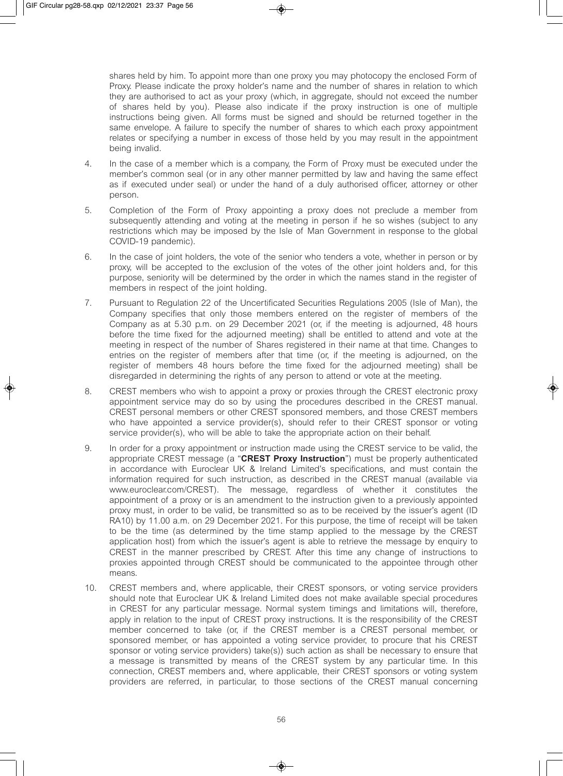shares held by him. To appoint more than one proxy you may photocopy the enclosed Form of Proxy. Please indicate the proxy holder's name and the number of shares in relation to which they are authorised to act as your proxy (which, in aggregate, should not exceed the number of shares held by you). Please also indicate if the proxy instruction is one of multiple instructions being given. All forms must be signed and should be returned together in the same envelope. A failure to specify the number of shares to which each proxy appointment relates or specifying a number in excess of those held by you may result in the appointment being invalid.

- 4. In the case of a member which is a company, the Form of Proxy must be executed under the member's common seal (or in any other manner permitted by law and having the same effect as if executed under seal) or under the hand of a duly authorised officer, attorney or other person.
- 5. Completion of the Form of Proxy appointing a proxy does not preclude a member from subsequently attending and voting at the meeting in person if he so wishes (subject to any restrictions which may be imposed by the Isle of Man Government in response to the global COVID-19 pandemic).
- 6. In the case of joint holders, the vote of the senior who tenders a vote, whether in person or by proxy, will be accepted to the exclusion of the votes of the other joint holders and, for this purpose, seniority will be determined by the order in which the names stand in the register of members in respect of the joint holding.
- 7. Pursuant to Regulation 22 of the Uncertificated Securities Regulations 2005 (Isle of Man), the Company specifies that only those members entered on the register of members of the Company as at 5.30 p.m. on 29 December 2021 (or, if the meeting is adjourned, 48 hours before the time fixed for the adjourned meeting) shall be entitled to attend and vote at the meeting in respect of the number of Shares registered in their name at that time. Changes to entries on the register of members after that time (or, if the meeting is adjourned, on the register of members 48 hours before the time fixed for the adjourned meeting) shall be disregarded in determining the rights of any person to attend or vote at the meeting.
- 8. CREST members who wish to appoint a proxy or proxies through the CREST electronic proxy appointment service may do so by using the procedures described in the CREST manual. CREST personal members or other CREST sponsored members, and those CREST members who have appointed a service provider(s), should refer to their CREST sponsor or voting service provider(s), who will be able to take the appropriate action on their behalf.
- 9. In order for a proxy appointment or instruction made using the CREST service to be valid, the appropriate CREST message (a "**CREST Proxy Instruction**") must be properly authenticated in accordance with Euroclear UK & Ireland Limited's specifications, and must contain the information required for such instruction, as described in the CREST manual (available via www.euroclear.com/CREST). The message, regardless of whether it constitutes the appointment of a proxy or is an amendment to the instruction given to a previously appointed proxy must, in order to be valid, be transmitted so as to be received by the issuer's agent (ID RA10) by 11.00 a.m. on 29 December 2021. For this purpose, the time of receipt will be taken to be the time (as determined by the time stamp applied to the message by the CREST application host) from which the issuer's agent is able to retrieve the message by enquiry to CREST in the manner prescribed by CREST. After this time any change of instructions to proxies appointed through CREST should be communicated to the appointee through other means.
- 10. CREST members and, where applicable, their CREST sponsors, or voting service providers should note that Euroclear UK & Ireland Limited does not make available special procedures in CREST for any particular message. Normal system timings and limitations will, therefore, apply in relation to the input of CREST proxy instructions. It is the responsibility of the CREST member concerned to take (or, if the CREST member is a CREST personal member, or sponsored member, or has appointed a voting service provider, to procure that his CREST sponsor or voting service providers) take(s)) such action as shall be necessary to ensure that a message is transmitted by means of the CREST system by any particular time. In this connection, CREST members and, where applicable, their CREST sponsors or voting system providers are referred, in particular, to those sections of the CREST manual concerning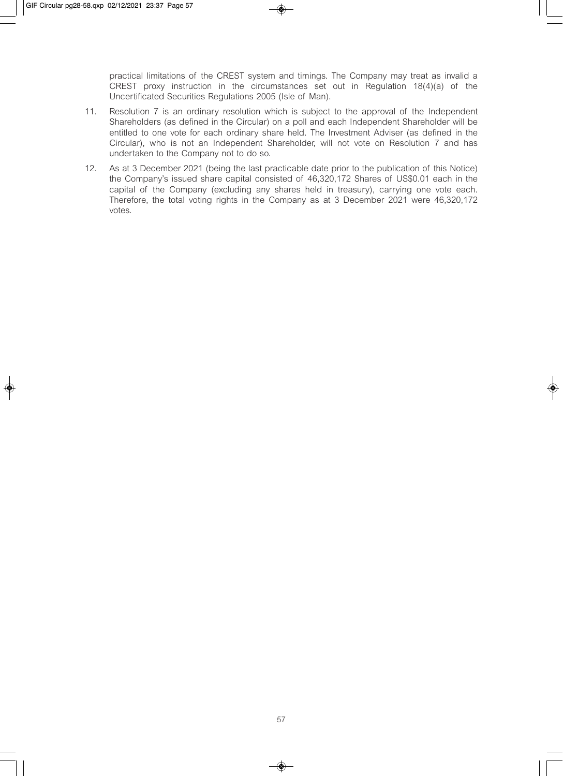practical limitations of the CREST system and timings. The Company may treat as invalid a CREST proxy instruction in the circumstances set out in Regulation 18(4)(a) of the Uncertificated Securities Regulations 2005 (Isle of Man).

- 11. Resolution 7 is an ordinary resolution which is subject to the approval of the Independent Shareholders (as defined in the Circular) on a poll and each Independent Shareholder will be entitled to one vote for each ordinary share held. The Investment Adviser (as defined in the Circular), who is not an Independent Shareholder, will not vote on Resolution 7 and has undertaken to the Company not to do so.
- 12. As at 3 December 2021 (being the last practicable date prior to the publication of this Notice) the Company's issued share capital consisted of 46,320,172 Shares of US\$0.01 each in the capital of the Company (excluding any shares held in treasury), carrying one vote each. Therefore, the total voting rights in the Company as at 3 December 2021 were 46,320,172 votes.